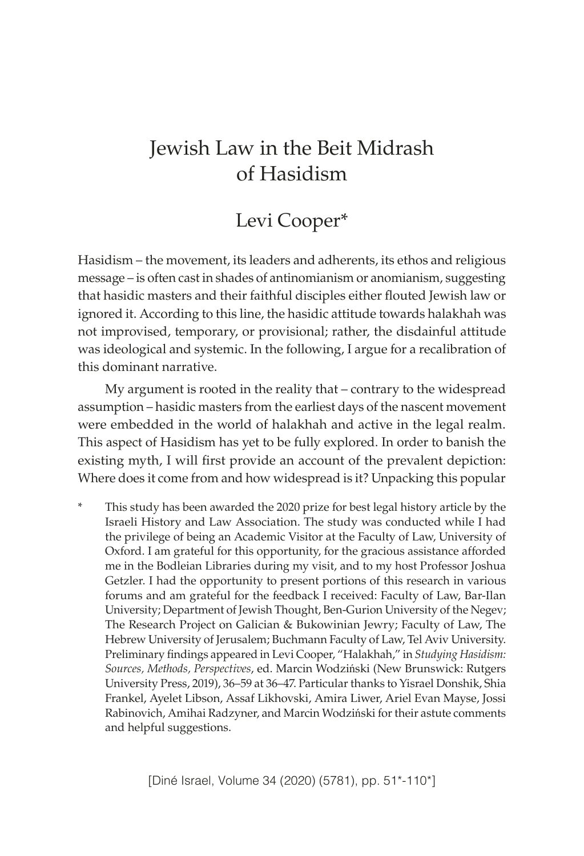# Jewish Law in the Beit Midrash of Hasidism

# Levi Cooper\*

Hasidism – the movement, its leaders and adherents, its ethos and religious message – is often cast in shades of antinomianism or anomianism, suggesting that hasidic masters and their faithful disciples either flouted Jewish law or ignored it. According to this line, the hasidic attitude towards halakhah was not improvised, temporary, or provisional; rather, the disdainful attitude was ideological and systemic. In the following, I argue for a recalibration of this dominant narrative.

My argument is rooted in the reality that – contrary to the widespread assumption – hasidic masters from the earliest days of the nascent movement were embedded in the world of halakhah and active in the legal realm. This aspect of Hasidism has yet to be fully explored. In order to banish the existing myth, I will first provide an account of the prevalent depiction: Where does it come from and how widespread is it? Unpacking this popular

This study has been awarded the 2020 prize for best legal history article by the Israeli History and Law Association. The study was conducted while I had the privilege of being an Academic Visitor at the Faculty of Law, University of Oxford. I am grateful for this opportunity, for the gracious assistance afforded me in the Bodleian Libraries during my visit, and to my host Professor Joshua Getzler. I had the opportunity to present portions of this research in various forums and am grateful for the feedback I received: Faculty of Law, Bar-Ilan University; Department of Jewish Thought, Ben-Gurion University of the Negev; The Research Project on Galician & Bukowinian Jewry; Faculty of Law, The Hebrew University of Jerusalem; Buchmann Faculty of Law, Tel Aviv University. Preliminary findings appeared in Levi Cooper, "Halakhah," in *Studying Hasidism: Sources, Methods, Perspectives*, ed. Marcin Wodziński (New Brunswick: Rutgers University Press, 2019), 36–59 at 36–47. Particular thanks to Yisrael Donshik, Shia Frankel, Ayelet Libson, Assaf Likhovski, Amira Liwer, Ariel Evan Mayse, Jossi Rabinovich, Amihai Radzyner, and Marcin Wodziński for their astute comments and helpful suggestions.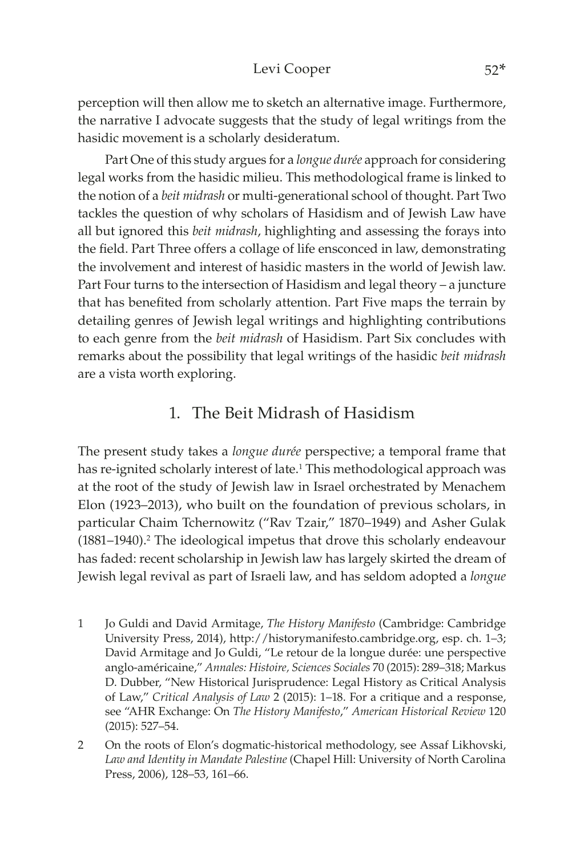perception will then allow me to sketch an alternative image. Furthermore, the narrative I advocate suggests that the study of legal writings from the hasidic movement is a scholarly desideratum.

Part One of this study argues for a *longue durée* approach for considering legal works from the hasidic milieu. This methodological frame is linked to the notion of a *beit midrash* or multi-generational school of thought. Part Two tackles the question of why scholars of Hasidism and of Jewish Law have all but ignored this *beit midrash*, highlighting and assessing the forays into the field. Part Three offers a collage of life ensconced in law, demonstrating the involvement and interest of hasidic masters in the world of Jewish law. Part Four turns to the intersection of Hasidism and legal theory – a juncture that has benefited from scholarly attention. Part Five maps the terrain by detailing genres of Jewish legal writings and highlighting contributions to each genre from the *beit midrash* of Hasidism. Part Six concludes with remarks about the possibility that legal writings of the hasidic *beit midrash* are a vista worth exploring.

## 1. The Beit Midrash of Hasidism

The present study takes a *longue durée* perspective; a temporal frame that has re-ignited scholarly interest of late.<sup>1</sup> This methodological approach was at the root of the study of Jewish law in Israel orchestrated by Menachem Elon (1923–2013), who built on the foundation of previous scholars, in particular Chaim Tchernowitz ("Rav Tzair," 1870–1949) and Asher Gulak (1881–1940).<sup>2</sup> The ideological impetus that drove this scholarly endeavour has faded: recent scholarship in Jewish law has largely skirted the dream of Jewish legal revival as part of Israeli law, and has seldom adopted a *longue* 

- 1 Jo Guldi and David Armitage, *The History Manifesto* (Cambridge: Cambridge University Press, 2014), http://[historymanifesto.cambridge.org](http://historymanifesto.cambridge.org), esp. ch. 1–3; David Armitage and Jo Guldi, "Le retour de la longue durée: une perspective anglo-américaine," *Annales: Histoire, Sciences Sociales* 70 (2015): 289–318; Markus D. Dubber, "New Historical Jurisprudence: Legal History as Critical Analysis of Law," *Critical Analysis of Law* 2 (2015): 1–18. For a critique and a response, see "AHR Exchange: On *The History Manifesto*," *American Historical Review* 120 (2015): 527–54.
- 2 On the roots of Elon's dogmatic-historical methodology, see Assaf Likhovski, *Law and Identity in Mandate Palestine* (Chapel Hill: University of North Carolina Press, 2006), 128–53, 161–66.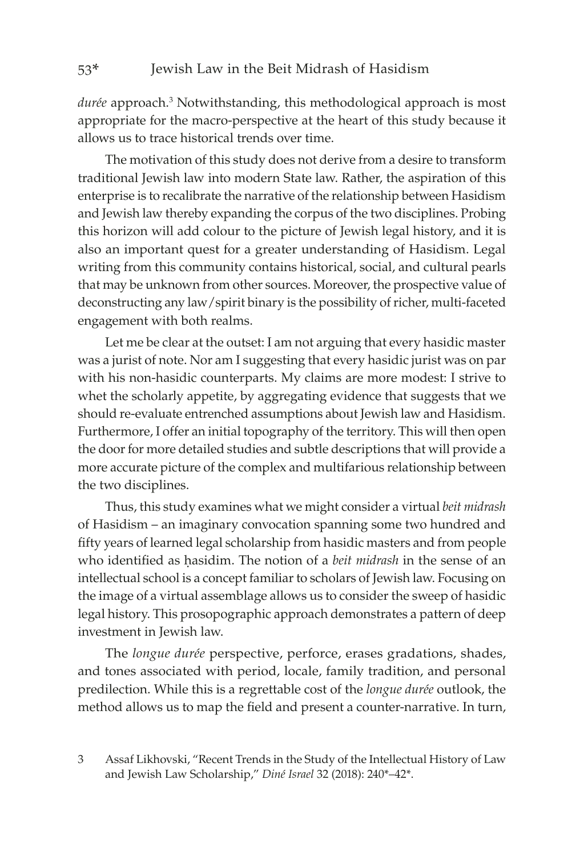durée approach.<sup>3</sup> Notwithstanding, this methodological approach is most appropriate for the macro-perspective at the heart of this study because it allows us to trace historical trends over time.

The motivation of this study does not derive from a desire to transform traditional Jewish law into modern State law. Rather, the aspiration of this enterprise is to recalibrate the narrative of the relationship between Hasidism and Jewish law thereby expanding the corpus of the two disciplines. Probing this horizon will add colour to the picture of Jewish legal history, and it is also an important quest for a greater understanding of Hasidism. Legal writing from this community contains historical, social, and cultural pearls that may be unknown from other sources. Moreover, the prospective value of deconstructing any law/spirit binary is the possibility of richer, multi-faceted engagement with both realms.

Let me be clear at the outset: I am not arguing that every hasidic master was a jurist of note. Nor am I suggesting that every hasidic jurist was on par with his non-hasidic counterparts. My claims are more modest: I strive to whet the scholarly appetite, by aggregating evidence that suggests that we should re-evaluate entrenched assumptions about Jewish law and Hasidism. Furthermore, I offer an initial topography of the territory. This will then open the door for more detailed studies and subtle descriptions that will provide a more accurate picture of the complex and multifarious relationship between the two disciplines.

Thus, this study examines what we might consider a virtual *beit midrash* of Hasidism – an imaginary convocation spanning some two hundred and fifty years of learned legal scholarship from hasidic masters and from people who identified as hasidim. The notion of a *beit midrash* in the sense of an intellectual school is a concept familiar to scholars of Jewish law. Focusing on the image of a virtual assemblage allows us to consider the sweep of hasidic legal history. This prosopographic approach demonstrates a pattern of deep investment in Jewish law.

The *longue durée* perspective, perforce, erases gradations, shades, and tones associated with period, locale, family tradition, and personal predilection. While this is a regrettable cost of the *longue durée* outlook, the method allows us to map the field and present a counter-narrative. In turn,

<sup>3</sup> Assaf Likhovski, "Recent Trends in the Study of the Intellectual History of Law and Jewish Law Scholarship," *Diné Israel* 32 (2018): 240\*–42\*.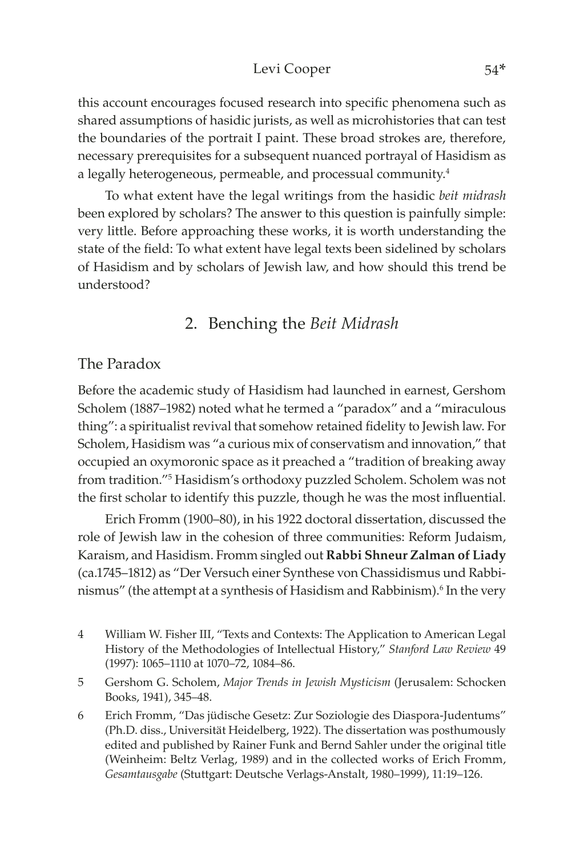#### Levi Cooper 54\*

this account encourages focused research into specific phenomena such as shared assumptions of hasidic jurists, as well as microhistories that can test the boundaries of the portrait I paint. These broad strokes are, therefore, necessary prerequisites for a subsequent nuanced portrayal of Hasidism as a legally heterogeneous, permeable, and processual community.<sup>4</sup>

To what extent have the legal writings from the hasidic *beit midrash* been explored by scholars? The answer to this question is painfully simple: very little. Before approaching these works, it is worth understanding the state of the field: To what extent have legal texts been sidelined by scholars of Hasidism and by scholars of Jewish law, and how should this trend be understood?

## 2. Benching the *Beit Midrash*

#### The Paradox

Before the academic study of Hasidism had launched in earnest, Gershom Scholem (1887–1982) noted what he termed a "paradox" and a "miraculous thing": a spiritualist revival that somehow retained fidelity to Jewish law. For Scholem, Hasidism was "a curious mix of conservatism and innovation," that occupied an oxymoronic space as it preached a "tradition of breaking away from tradition."<sup>5</sup> Hasidism's orthodoxy puzzled Scholem. Scholem was not the first scholar to identify this puzzle, though he was the most influential.

Erich Fromm (1900–80), in his 1922 doctoral dissertation, discussed the role of Jewish law in the cohesion of three communities: Reform Judaism, Karaism, and Hasidism. Fromm singled out **Rabbi Shneur Zalman of Liady** (ca.1745–1812) as "Der Versuch einer Synthese von Chassidismus und Rabbinismus" (the attempt at a synthesis of Hasidism and Rabbinism).<sup>6</sup> In the very

- 4 William W. Fisher III, "Texts and Contexts: The Application to American Legal History of the Methodologies of Intellectual History," *Stanford Law Review* 49 (1997): 1065–1110 at 1070–72, 1084–86.
- 5 Gershom G. Scholem, *Major Trends in Jewish Mysticism* (Jerusalem: Schocken Books, 1941), 345–48.
- 6 Erich Fromm, "Das jüdische Gesetz: Zur Soziologie des Diaspora-Judentums" (Ph.D. diss., Universität Heidelberg, 1922). The dissertation was posthumously edited and published by Rainer Funk and Bernd Sahler under the original title (Weinheim: Beltz Verlag, 1989) and in the collected works of Erich Fromm, *Gesamtausgabe* (Stuttgart: Deutsche Verlags-Anstalt, 1980–1999), 11:19–126.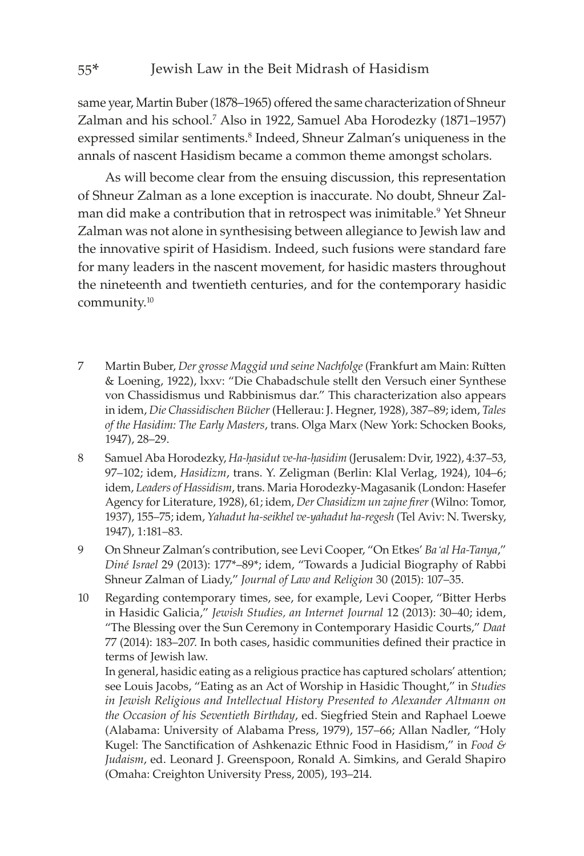same year, Martin Buber (1878–1965) offered the same characterization of Shneur Zalman and his school.<sup>7</sup> Also in 1922, Samuel Aba Horodezky (1871–1957) expressed similar sentiments.<sup>8</sup> Indeed, Shneur Zalman's uniqueness in the annals of nascent Hasidism became a common theme amongst scholars.

As will become clear from the ensuing discussion, this representation of Shneur Zalman as a lone exception is inaccurate. No doubt, Shneur Zalman did make a contribution that in retrospect was inimitable.<sup>9</sup> Yet Shneur Zalman was not alone in synthesising between allegiance to Jewish law and the innovative spirit of Hasidism. Indeed, such fusions were standard fare for many leaders in the nascent movement, for hasidic masters throughout the nineteenth and twentieth centuries, and for the contemporary hasidic community.10

- 7 Martin Buber, *Der grosse Maggid und seine Nachfolge* (Frankfurt am Main: Rütten & Loening, 1922), lxxv: "Die Chabadschule stellt den Versuch einer Synthese von Chassidismus und Rabbinismus dar." This characterization also appears in idem, *Die Chassidischen Bücher* (Hellerau: J. Hegner, 1928), 387–89; idem, *Tales of the Hasidim: The Early Masters*, trans. Olga Marx (New York: Schocken Books, 1947), 28–29.
- 8 Samuel Aba Horodezky, *Ha-hasidut ve-ha-hasidim* (Jerusalem: Dvir, 1922), 4:37–53, 97–102; idem, *Hasidizm*, trans. Y. Zeligman (Berlin: Klal Verlag, 1924), 104–6; idem, *Leaders of Hassidism*, trans. Maria Horodezky-Magasanik (London: Hasefer Agency for Literature, 1928), 61; idem, *Der Chasidizm un zajne firer* (Wilno: Tomor, 1937), 155–75; idem, *Yahadut ha-seikhel ve-yahadut ha-regesh* (Tel Aviv: N. Twersky, 1947), 1:181–83.
- 9 On Shneur Zalman's contribution, see Levi Cooper, "On Etkes' *Ba'al Ha-Tanya*," *Diné Israel* 29 (2013): 177\*–89\*; idem, "Towards a Judicial Biography of Rabbi Shneur Zalman of Liady," *Journal of Law and Religion* 30 (2015): 107–35.
- 10 Regarding contemporary times, see, for example, Levi Cooper, "Bitter Herbs in Hasidic Galicia," *Jewish Studies, an Internet Journal* 12 (2013): 30–40; idem, "The Blessing over the Sun Ceremony in Contemporary Hasidic Courts," *Daat* 77 (2014): 183–207. In both cases, hasidic communities defined their practice in terms of Jewish law.

In general, hasidic eating as a religious practice has captured scholars' attention; see Louis Jacobs, "Eating as an Act of Worship in Hasidic Thought," in *Studies in Jewish Religious and Intellectual History Presented to Alexander Altmann on the Occasion of his Seventieth Birthday*, ed. Siegfried Stein and Raphael Loewe (Alabama: University of Alabama Press, 1979), 157–66; Allan Nadler, "Holy Kugel: The Sanctification of Ashkenazic Ethnic Food in Hasidism," in *Food & Judaism*, ed. Leonard J. Greenspoon, Ronald A. Simkins, and Gerald Shapiro (Omaha: Creighton University Press, 2005), 193–214.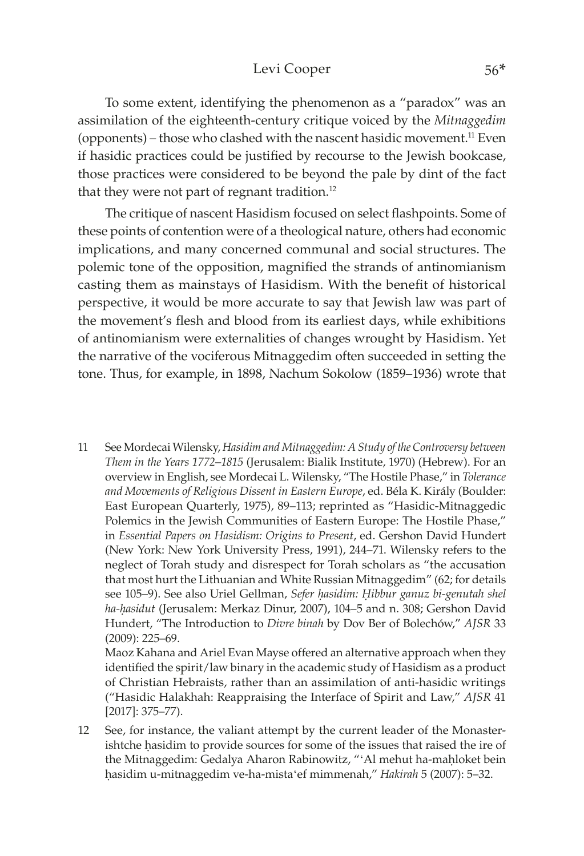#### Levi Cooper 56\*

To some extent, identifying the phenomenon as a "paradox" was an assimilation of the eighteenth-century critique voiced by the *Mitnaggedim* (opponents) – those who clashed with the nascent hasidic movement.<sup>11</sup> Even if hasidic practices could be justified by recourse to the Jewish bookcase, those practices were considered to be beyond the pale by dint of the fact that they were not part of regnant tradition.<sup>12</sup>

The critique of nascent Hasidism focused on select flashpoints. Some of these points of contention were of a theological nature, others had economic implications, and many concerned communal and social structures. The polemic tone of the opposition, magnified the strands of antinomianism casting them as mainstays of Hasidism. With the benefit of historical perspective, it would be more accurate to say that Jewish law was part of the movement's flesh and blood from its earliest days, while exhibitions of antinomianism were externalities of changes wrought by Hasidism. Yet the narrative of the vociferous Mitnaggedim often succeeded in setting the tone. Thus, for example, in 1898, Nachum Sokolow (1859–1936) wrote that

11 See Mordecai Wilensky, *Hasidim and Mitnaggedim: A Study of the Controversy between Them in the Years 1772–1815* (Jerusalem: Bialik Institute, 1970) (Hebrew). For an overview in English, see Mordecai L. Wilensky, "The Hostile Phase," in *Tolerance and Movements of Religious Dissent in Eastern Europe*, ed. Béla K. Király (Boulder: East European Quarterly, 1975), 89–113; reprinted as "Hasidic-Mitnaggedic Polemics in the Jewish Communities of Eastern Europe: The Hostile Phase," in *Essential Papers on Hasidism: Origins to Present*, ed. Gershon David Hundert (New York: New York University Press, 1991), 244–71. Wilensky refers to the neglect of Torah study and disrespect for Torah scholars as "the accusation that most hurt the Lithuanian and White Russian Mitnaggedim" (62; for details see 105-9). See also Uriel Gellman, Sefer hasidim: Hibbur ganuz bi-genutah shel ha-hasidut (Jerusalem: Merkaz Dinur, 2007), 104–5 and n. 308; Gershon David Hundert, "The Introduction to *Divre binah* by Dov Ber of Bolechów," *AJSR* 33 (2009): 225–69. Maoz Kahana and Ariel Evan Mayse offered an alternative approach when they

identified the spirit/law binary in the academic study of Hasidism as a product of Christian Hebraists, rather than an assimilation of anti-hasidic writings ("Hasidic Halakhah: Reappraising the Interface of Spirit and Law," *AJSR* 41 [2017]: 375–77).

12 See, for instance, the valiant attempt by the current leader of the Monasterishtche hasidim to provide sources for some of the issues that raised the ire of the Mitnaggedim: Gedalya Aharon Rabinowitz, "'Al mehut ha-mahloket bein êasidim u-mitnaggedim ve-ha-mista'ef mimmenah," *Hakirah* 5 (2007): 5–32.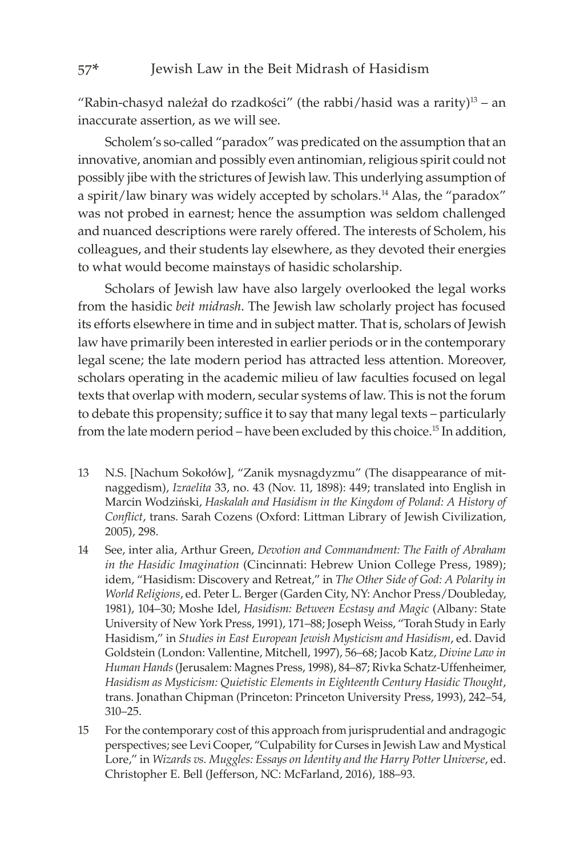"Rabin-chasyd należał do rzadkości" (the rabbi/hasid was a rarity) $13 - an$ inaccurate assertion, as we will see.

Scholem's so-called "paradox" was predicated on the assumption that an innovative, anomian and possibly even antinomian, religious spirit could not possibly jibe with the strictures of Jewish law. This underlying assumption of a spirit/law binary was widely accepted by scholars.<sup>14</sup> Alas, the "paradox" was not probed in earnest; hence the assumption was seldom challenged and nuanced descriptions were rarely offered. The interests of Scholem, his colleagues, and their students lay elsewhere, as they devoted their energies to what would become mainstays of hasidic scholarship.

Scholars of Jewish law have also largely overlooked the legal works from the hasidic *beit midrash*. The Jewish law scholarly project has focused its efforts elsewhere in time and in subject matter. That is, scholars of Jewish law have primarily been interested in earlier periods or in the contemporary legal scene; the late modern period has attracted less attention. Moreover, scholars operating in the academic milieu of law faculties focused on legal texts that overlap with modern, secular systems of law. This is not the forum to debate this propensity; suffice it to say that many legal texts – particularly from the late modern period – have been excluded by this choice.15 In addition,

- 13 N.S. [Nachum Sokołów], "Zanik mysnagdyzmu" (The disappearance of mitnaggedism), *Izraelita* 33, no. 43 (Nov. 11, 1898): 449; translated into English in Marcin Wodziński, *Haskalah and Hasidism in the Kingdom of Poland: A History of Conflict*, trans. Sarah Cozens (Oxford: Littman Library of Jewish Civilization, 2005), 298.
- 14 See, inter alia, Arthur Green, *Devotion and Commandment: The Faith of Abraham in the Hasidic Imagination* (Cincinnati: Hebrew Union College Press, 1989); idem, "Hasidism: Discovery and Retreat," in *The Other Side of God: A Polarity in World Religions*, ed. Peter L. Berger (Garden City, NY: Anchor Press/Doubleday, 1981), 104–30; Moshe Idel, *Hasidism: Between Ecstasy and Magic* (Albany: State University of New York Press, 1991), 171–88; Joseph Weiss, "Torah Study in Early Hasidism," in *Studies in East European Jewish Mysticism and Hasidism*, ed. David Goldstein (London: Vallentine, Mitchell, 1997), 56–68; Jacob Katz, *Divine Law in Human Hands* (Jerusalem: Magnes Press, 1998), 84–87; Rivka Schatz-Uffenheimer, *Hasidism as Mysticism: Quietistic Elements in Eighteenth Century Hasidic Thought*, trans. Jonathan Chipman (Princeton: Princeton University Press, 1993), 242–54, 310–25.
- 15 For the contemporary cost of this approach from jurisprudential and andragogic perspectives; see Levi Cooper, "Culpability for Curses in Jewish Law and Mystical Lore," in *Wizards vs. Muggles: Essays on Identity and the Harry Potter Universe*, ed. Christopher E. Bell (Jefferson, NC: McFarland, 2016), 188–93.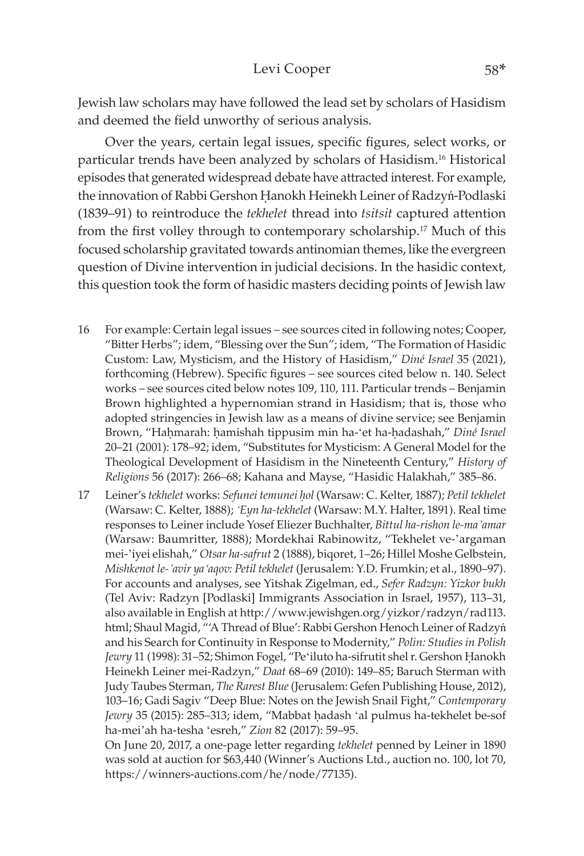Jewish law scholars may have followed the lead set by scholars of Hasidism and deemed the field unworthy of serious analysis.

Over the years, certain legal issues, specific figures, select works, or particular trends have been analyzed by scholars of Hasidism.16 Historical episodes that generated widespread debate have attracted interest. For example, the innovation of Rabbi Gershon Hanokh Heinekh Leiner of Radzyń-Podlaski (1839–91) to reintroduce the *tekhelet* thread into *tsitsit* captured attention from the first volley through to contemporary scholarship.17 Much of this focused scholarship gravitated towards antinomian themes, like the evergreen question of Divine intervention in judicial decisions. In the hasidic context, this question took the form of hasidic masters deciding points of Jewish law

- 16 For example: Certain legal issues see sources cited in following notes; Cooper, "Bitter Herbs"; idem, "Blessing over the Sun"; idem, "The Formation of Hasidic Custom: Law, Mysticism, and the History of Hasidism," *Diné Israel* 35 (2021), forthcoming (Hebrew). Specific figures – see sources cited below n. 140. Select works – see sources cited below notes 109, 110, 111. Particular trends – Benjamin Brown highlighted a hypernomian strand in Hasidism; that is, those who adopted stringencies in Jewish law as a means of divine service; see Benjamin Brown, "Hahmarah: hamishah tippusim min ha-'et ha-hadashah," *Diné Israel* 20–21 (2001): 178–92; idem, "Substitutes for Mysticism: A General Model for the Theological Development of Hasidism in the Nineteenth Century," *History of Religions* 56 (2017): 266–68; Kahana and Mayse, "Hasidic Halakhah," 385–86.
- 17 Leiner's *tekhelet* works: *Sefunei temunei êol* (Warsaw: C. Kelter, 1887); *Petil tekhelet* (Warsaw: C. Kelter, 1888); *'Eyn ha-tekhelet* (Warsaw: M.Y. Halter, 1891). Real time responses to Leiner include Yosef Eliezer Buchhalter, *Bittul ha-rishon le-ma'amar* (Warsaw: Baumritter, 1888); Mordekhai Rabinowitz, "Tekhelet ve-'argaman mei-'iyei elishah," *Otsar ha-safrut* 2 (1888), biqoret, 1–26; Hillel Moshe Gelbstein, *Mishkenot le-'avir ya'aqov: Petil tekhelet* (Jerusalem: Y.D. Frumkin; et al., 1890–97). For accounts and analyses, see Yitshak Zigelman, ed., *Sefer Radzyn: Yizkor bukh* (Tel Aviv: Radzyn [Podlaski] Immigrants Association in Israel, 1957), 113–31, also available in English at http://www.jewishgen.org/yizkor/radzyn/rad113. html; Shaul Magid, "'A Thread of Blue': Rabbi Gershon Henoch Leiner of Radzyń and his Search for Continuity in Response to Modernity," *Polin: Studies in Polish*  Jewry 11 (1998): 31-52; Shimon Fogel, "Pe'iluto ha-sifrutit shel r. Gershon Hanokh Heinekh Leiner mei-Radzyn," *Daat* 68–69 (2010): 149–85; Baruch Sterman with Judy Taubes Sterman, *The Rarest Blue* (Jerusalem: Gefen Publishing House, 2012), 103–16; Gadi Sagiv "Deep Blue: Notes on the Jewish Snail Fight," *Contemporary*  Jewry 35 (2015): 285-313; idem, "Mabbat hadash 'al pulmus ha-tekhelet be-sof ha-mei'ah ha-tesha 'esreh," *Zion* 82 (2017): 59–95.

On June 20, 2017, a one-page letter regarding *tekhelet* penned by Leiner in 1890 was sold at auction for \$63,440 (Winner's Auctions Ltd., auction no. 100, lot 70, https://winners-[auctions.com](https://winners-auctions.com/he/node/77135)/he/node/77135).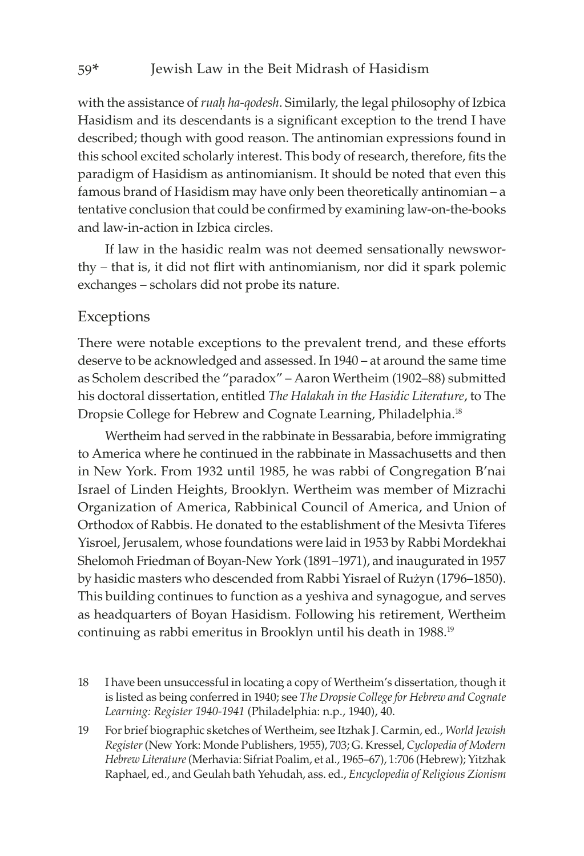with the assistance of *ruah ha-qodesh*. Similarly, the legal philosophy of Izbica Hasidism and its descendants is a significant exception to the trend I have described; though with good reason. The antinomian expressions found in this school excited scholarly interest. This body of research, therefore, fits the paradigm of Hasidism as antinomianism. It should be noted that even this famous brand of Hasidism may have only been theoretically antinomian – a tentative conclusion that could be confirmed by examining law-on-the-books and law-in-action in Izbica circles.

If law in the hasidic realm was not deemed sensationally newsworthy – that is, it did not flirt with antinomianism, nor did it spark polemic exchanges – scholars did not probe its nature.

## Exceptions

There were notable exceptions to the prevalent trend, and these efforts deserve to be acknowledged and assessed. In 1940 – at around the same time as Scholem described the "paradox" – Aaron Wertheim (1902–88) submitted his doctoral dissertation, entitled *The Halakah in the Hasidic Literature*, to The Dropsie College for Hebrew and Cognate Learning, Philadelphia.<sup>18</sup>

Wertheim had served in the rabbinate in Bessarabia, before immigrating to America where he continued in the rabbinate in Massachusetts and then in New York. From 1932 until 1985, he was rabbi of Congregation B'nai Israel of Linden Heights, Brooklyn. Wertheim was member of Mizrachi Organization of America, Rabbinical Council of America, and Union of Orthodox of Rabbis. He donated to the establishment of the Mesivta Tiferes Yisroel, Jerusalem, whose foundations were laid in 1953 by Rabbi Mordekhai Shelomoh Friedman of Boyan-New York (1891–1971), and inaugurated in 1957 by hasidic masters who descended from Rabbi Yisrael of Rużyn (1796–1850). This building continues to function as a yeshiva and synagogue, and serves as headquarters of Boyan Hasidism. Following his retirement, Wertheim continuing as rabbi emeritus in Brooklyn until his death in 1988.<sup>19</sup>

- 18 I have been unsuccessful in locating a copy of Wertheim's dissertation, though it is listed as being conferred in 1940; see *The Dropsie College for Hebrew and Cognate Learning: Register 1940-1941* (Philadelphia: n.p., 1940), 40.
- 19 For brief biographic sketches of Wertheim, see Itzhak J. Carmin, ed., *World Jewish Register* (New York: Monde Publishers, 1955), 703; G. Kressel, *Cyclopedia of Modern Hebrew Literature* (Merhavia: Sifriat Poalim, et al., 1965–67), 1:706 (Hebrew); Yitzhak Raphael, ed., and Geulah bath Yehudah, ass. ed., *Encyclopedia of Religious Zionism*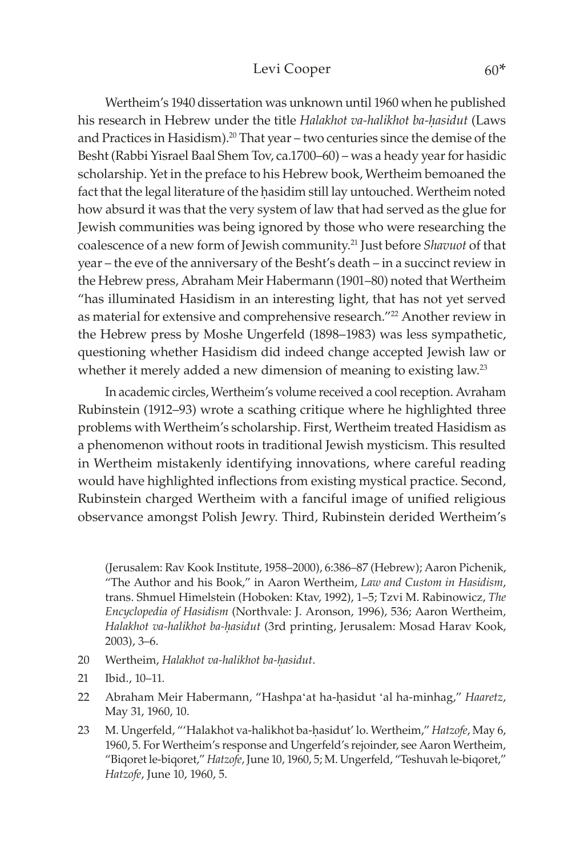#### Levi Cooper 60\*

Wertheim's 1940 dissertation was unknown until 1960 when he published his research in Hebrew under the title *Halakhot va-halikhot ba-hasidut* (Laws and Practices in Hasidism).<sup>20</sup> That year – two centuries since the demise of the Besht (Rabbi Yisrael Baal Shem Tov, ca.1700–60) – was a heady year for hasidic scholarship. Yet in the preface to his Hebrew book, Wertheim bemoaned the fact that the legal literature of the hasidim still lay untouched. Wertheim noted how absurd it was that the very system of law that had served as the glue for Jewish communities was being ignored by those who were researching the coalescence of a new form of Jewish community.21 Just before *Shavuot* of that year – the eve of the anniversary of the Besht's death – in a succinct review in the Hebrew press, Abraham Meir Habermann (1901–80) noted that Wertheim "has illuminated Hasidism in an interesting light, that has not yet served as material for extensive and comprehensive research."<sup>22</sup> Another review in the Hebrew press by Moshe Ungerfeld (1898–1983) was less sympathetic, questioning whether Hasidism did indeed change accepted Jewish law or whether it merely added a new dimension of meaning to existing law.<sup>23</sup>

In academic circles, Wertheim's volume received a cool reception. Avraham Rubinstein (1912–93) wrote a scathing critique where he highlighted three problems with Wertheim's scholarship. First, Wertheim treated Hasidism as a phenomenon without roots in traditional Jewish mysticism. This resulted in Wertheim mistakenly identifying innovations, where careful reading would have highlighted inflections from existing mystical practice. Second, Rubinstein charged Wertheim with a fanciful image of unified religious observance amongst Polish Jewry. Third, Rubinstein derided Wertheim's

(Jerusalem: Rav Kook Institute, 1958–2000), 6:386–87 (Hebrew); Aaron Pichenik, "The Author and his Book," in Aaron Wertheim, *Law and Custom in Hasidism*, trans. Shmuel Himelstein (Hoboken: Ktav, 1992), 1–5; Tzvi M. Rabinowicz, *The Encyclopedia of Hasidism* (Northvale: J. Aronson, 1996), 536; Aaron Wertheim, Halakhot va-halikhot ba-hasidut (3rd printing, Jerusalem: Mosad Harav Kook, 2003), 3–6.

- 20 Wertheim, *Halakhot va-halikhot ba-hasidut*.
- 21 Ibid., 10–11.
- 22 Abraham Meir Habermann, "Hashpa'at ha-hasidut 'al ha-minhag," *Haaretz*, May 31, 1960, 10.
- 23 M. Ungerfeld, "'Halakhot va-halikhot ba-ḥasidut' lo. Wertheim," *Hatzofe*, May 6, 1960, 5. For Wertheim's response and Ungerfeld's rejoinder, see Aaron Wertheim, "Biqoret le-biqoret," *Hatzofe*, June 10, 1960, 5; M. Ungerfeld, "Teshuvah le-biqoret," *Hatzofe*, June 10, 1960, 5.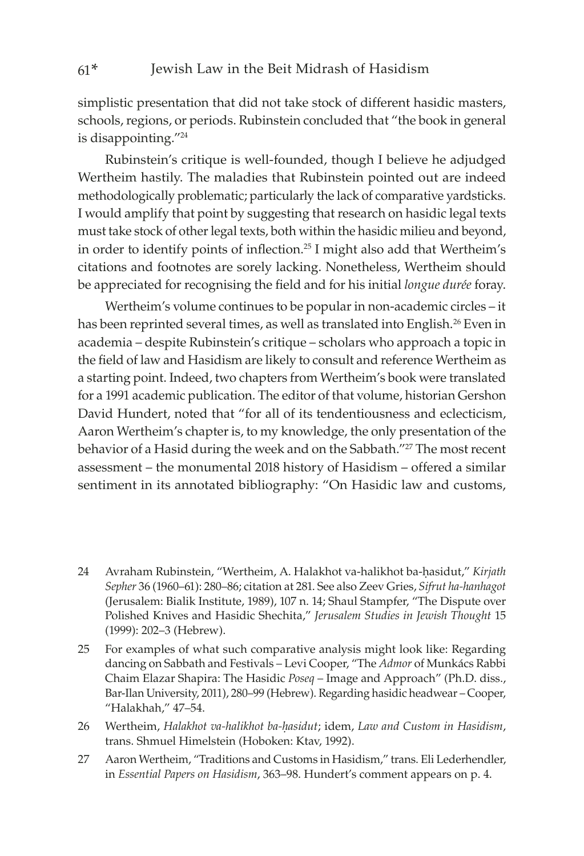simplistic presentation that did not take stock of different hasidic masters, schools, regions, or periods. Rubinstein concluded that "the book in general is disappointing."<sup>24</sup>

Rubinstein's critique is well-founded, though I believe he adjudged Wertheim hastily. The maladies that Rubinstein pointed out are indeed methodologically problematic; particularly the lack of comparative yardsticks. I would amplify that point by suggesting that research on hasidic legal texts must take stock of other legal texts, both within the hasidic milieu and beyond, in order to identify points of inflection.25 I might also add that Wertheim's citations and footnotes are sorely lacking. Nonetheless, Wertheim should be appreciated for recognising the field and for his initial *longue durée* foray.

Wertheim's volume continues to be popular in non-academic circles – it has been reprinted several times, as well as translated into English.<sup>26</sup> Even in academia – despite Rubinstein's critique – scholars who approach a topic in the field of law and Hasidism are likely to consult and reference Wertheim as a starting point. Indeed, two chapters from Wertheim's book were translated for a 1991 academic publication. The editor of that volume, historian Gershon David Hundert, noted that "for all of its tendentiousness and eclecticism, Aaron Wertheim's chapter is, to my knowledge, the only presentation of the behavior of a Hasid during the week and on the Sabbath."<sup>27</sup> The most recent assessment – the monumental 2018 history of Hasidism – offered a similar sentiment in its annotated bibliography: "On Hasidic law and customs,

- 24 Avraham Rubinstein, "Wertheim, A. Halakhot va-halikhot ba-hasidut," *Kirjath Sepher* 36 (1960–61): 280–86; citation at 281. See also Zeev Gries, *Sifrut ha-hanhagot* (Jerusalem: Bialik Institute, 1989), 107 n. 14; Shaul Stampfer, "The Dispute over Polished Knives and Hasidic Shechita," *Jerusalem Studies in Jewish Thought* 15 (1999): 202–3 (Hebrew).
- 25 For examples of what such comparative analysis might look like: Regarding dancing on Sabbath and Festivals – Levi Cooper, "The *Admor* of Munkács Rabbi Chaim Elazar Shapira: The Hasidic *Poseq* – Image and Approach" (Ph.D. diss., Bar-Ilan University, 2011), 280–99 (Hebrew). Regarding hasidic headwear – Cooper, "Halakhah," 47–54.
- 26 Wertheim, *Halakhot va-halikhot ba-êasidut*; idem, *Law and Custom in Hasidism*, trans. Shmuel Himelstein (Hoboken: Ktav, 1992).
- 27 Aaron Wertheim, "Traditions and Customs in Hasidism," trans. Eli Lederhendler, in *Essential Papers on Hasidism*, 363–98. Hundert's comment appears on p. 4.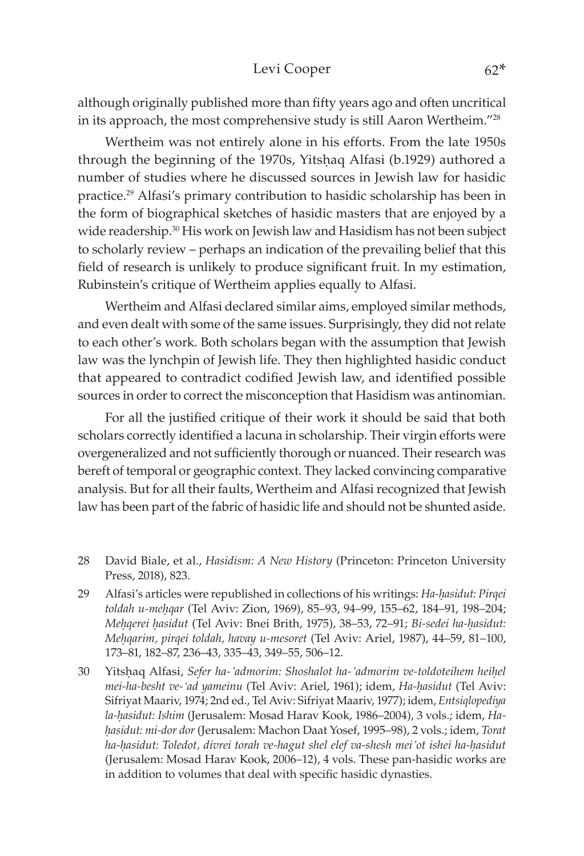#### Levi Cooper 62\*

although originally published more than fifty years ago and often uncritical in its approach, the most comprehensive study is still Aaron Wertheim."28

Wertheim was not entirely alone in his efforts. From the late 1950s through the beginning of the 1970s, Yitshaq Alfasi (b.1929) authored a number of studies where he discussed sources in Jewish law for hasidic practice.29 Alfasi's primary contribution to hasidic scholarship has been in the form of biographical sketches of hasidic masters that are enjoyed by a wide readership.<sup>30</sup> His work on Jewish law and Hasidism has not been subject to scholarly review – perhaps an indication of the prevailing belief that this field of research is unlikely to produce significant fruit. In my estimation, Rubinstein's critique of Wertheim applies equally to Alfasi.

Wertheim and Alfasi declared similar aims, employed similar methods, and even dealt with some of the same issues. Surprisingly, they did not relate to each other's work. Both scholars began with the assumption that Jewish law was the lynchpin of Jewish life. They then highlighted hasidic conduct that appeared to contradict codified Jewish law, and identified possible sources in order to correct the misconception that Hasidism was antinomian.

For all the justified critique of their work it should be said that both scholars correctly identified a lacuna in scholarship. Their virgin efforts were overgeneralized and not sufficiently thorough or nuanced. Their research was bereft of temporal or geographic context. They lacked convincing comparative analysis. But for all their faults, Wertheim and Alfasi recognized that Jewish law has been part of the fabric of hasidic life and should not be shunted aside.

- 28 David Biale, et al., *Hasidism: A New History* (Princeton: Princeton University Press, 2018), 823.
- 29 Alfasi's articles were republished in collections of his writings: *Ha-hasidut: Pirqei toldah u-meêqar* (Tel Aviv: Zion, 1969), 85–93, 94–99, 155–62, 184–91, 198–204; *Mehqerei hasidut* (Tel Aviv: Bnei Brith, 1975), 38–53, 72–91; *Bi-sedei ha-hasidut: Meêqarim, pirqei toldah, havay u-mesoret* (Tel Aviv: Ariel, 1987), 44–59, 81–100, 173–81, 182–87, 236–43, 335–43, 349–55, 506–12.
- 30 Yitsêaq Alfasi, *Sefer ha-'admorim: Shoshalot ha-'admorim ve-toldoteihem heiêel mei-ha-besht ve-'ad yameinu* (Tel Aviv: Ariel, 1961); idem, *Ha-êasidut* (Tel Aviv: Sifriyat Maariv, 1974; 2nd ed., Tel Aviv: Sifriyat Maariv, 1977); idem, *Entsiqlopediya la-êasidut: Ishim* (Jerusalem: Mosad Harav Kook, 1986–2004), 3 vols.; idem, *Haêasidut: mi-dor dor* (Jerusalem: Machon Daat Yosef, 1995–98), 2 vols.; idem, *Torat ha-êasidut: Toledot, divrei torah ve-hagut shel elef va-shesh mei'ot ishei ha-êasidut* (Jerusalem: Mosad Harav Kook, 2006–12), 4 vols. These pan-hasidic works are in addition to volumes that deal with specific hasidic dynasties.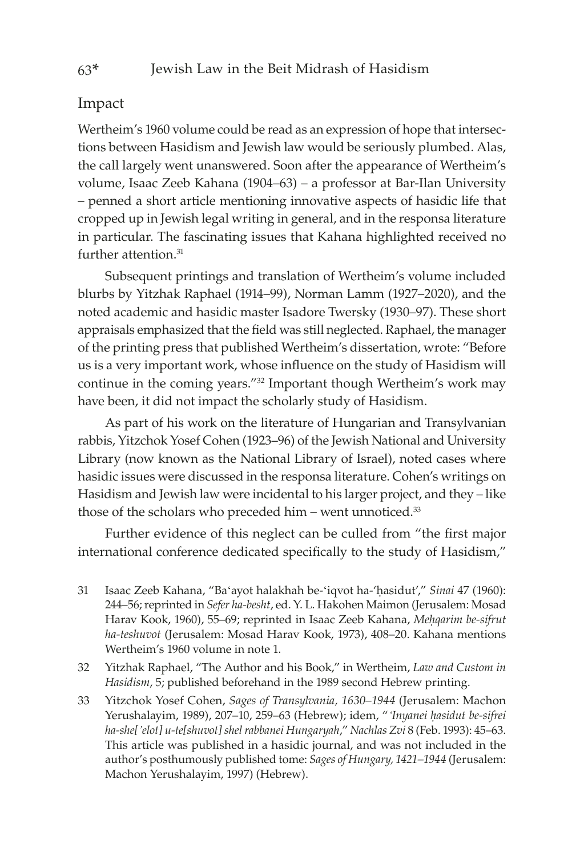## Impact

Wertheim's 1960 volume could be read as an expression of hope that intersections between Hasidism and Jewish law would be seriously plumbed. Alas, the call largely went unanswered. Soon after the appearance of Wertheim's volume, Isaac Zeeb Kahana (1904–63) – a professor at Bar-Ilan University – penned a short article mentioning innovative aspects of hasidic life that cropped up in Jewish legal writing in general, and in the responsa literature in particular. The fascinating issues that Kahana highlighted received no further attention.<sup>31</sup>

Subsequent printings and translation of Wertheim's volume included blurbs by Yitzhak Raphael (1914–99), Norman Lamm (1927–2020), and the noted academic and hasidic master Isadore Twersky (1930–97). These short appraisals emphasized that the field was still neglected. Raphael, the manager of the printing press that published Wertheim's dissertation, wrote: "Before us is a very important work, whose influence on the study of Hasidism will continue in the coming years."32 Important though Wertheim's work may have been, it did not impact the scholarly study of Hasidism.

As part of his work on the literature of Hungarian and Transylvanian rabbis, Yitzchok Yosef Cohen (1923–96) of the Jewish National and University Library (now known as the National Library of Israel), noted cases where hasidic issues were discussed in the responsa literature. Cohen's writings on Hasidism and Jewish law were incidental to his larger project, and they – like those of the scholars who preceded him – went unnoticed.<sup>33</sup>

Further evidence of this neglect can be culled from "the first major international conference dedicated specifically to the study of Hasidism,"

- 31 Isaac Zeeb Kahana, "Ba'ayot halakhah be-'iqvot ha-'hasidut'," *Sinai* 47 (1960): 244–56; reprinted in *Sefer ha-besht*, ed. Y. L. Hakohen Maimon (Jerusalem: Mosad Harav Kook, 1960), 55–69; reprinted in Isaac Zeeb Kahana, Mehqarim be-sifrut *ha-teshuvot* (Jerusalem: Mosad Harav Kook, 1973), 408–20. Kahana mentions Wertheim's 1960 volume in note 1.
- 32 Yitzhak Raphael, "The Author and his Book," in Wertheim, *Law and Custom in Hasidism*, 5; published beforehand in the 1989 second Hebrew printing.
- 33 Yitzchok Yosef Cohen, *Sages of Transylvania, 1630–1944* (Jerusalem: Machon Yerushalayim, 1989), 207–10, 259–63 (Hebrew); idem, "*'Inyanei êasidut be-sifrei ha-she['elot] u-te[shuvot] shel rabbanei Hungaryah*," *Nachlas Zvi* 8 (Feb. 1993): 45–63. This article was published in a hasidic journal, and was not included in the author's posthumously published tome: *Sages of Hungary, 1421–1944* (Jerusalem: Machon Yerushalayim, 1997) (Hebrew).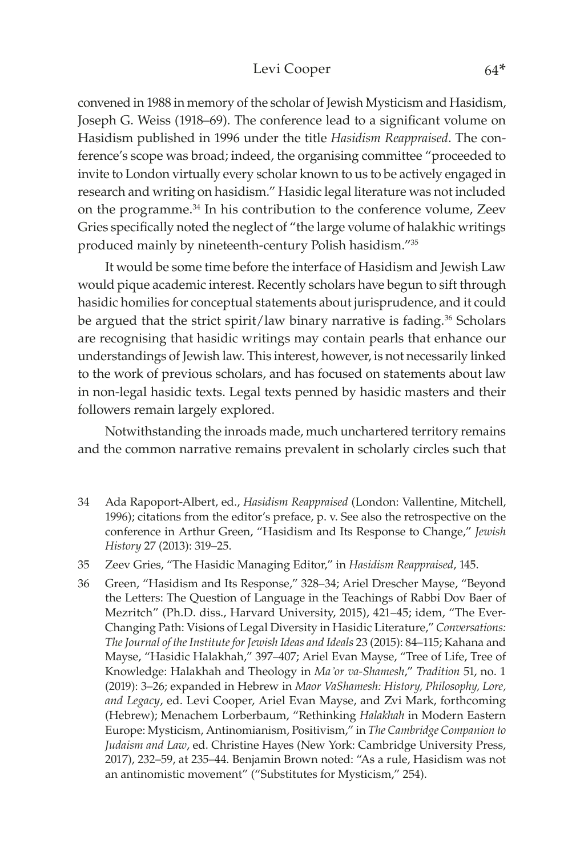#### Levi Cooper 64\*

convened in 1988 in memory of the scholar of Jewish Mysticism and Hasidism, Joseph G. Weiss (1918–69). The conference lead to a significant volume on Hasidism published in 1996 under the title *Hasidism Reappraised*. The conference's scope was broad; indeed, the organising committee "proceeded to invite to London virtually every scholar known to us to be actively engaged in research and writing on hasidism." Hasidic legal literature was not included on the programme.34 In his contribution to the conference volume, Zeev Gries specifically noted the neglect of "the large volume of halakhic writings produced mainly by nineteenth-century Polish hasidism."<sup>35</sup>

It would be some time before the interface of Hasidism and Jewish Law would pique academic interest. Recently scholars have begun to sift through hasidic homilies for conceptual statements about jurisprudence, and it could be argued that the strict spirit/law binary narrative is fading.<sup>36</sup> Scholars are recognising that hasidic writings may contain pearls that enhance our understandings of Jewish law. This interest, however, is not necessarily linked to the work of previous scholars, and has focused on statements about law in non-legal hasidic texts. Legal texts penned by hasidic masters and their followers remain largely explored.

Notwithstanding the inroads made, much unchartered territory remains and the common narrative remains prevalent in scholarly circles such that

- 34 Ada Rapoport-Albert, ed., *Hasidism Reappraised* (London: Vallentine, Mitchell, 1996); citations from the editor's preface, p. v. See also the retrospective on the conference in Arthur Green, "Hasidism and Its Response to Change," *Jewish History* 27 (2013): 319–25.
- 35 Zeev Gries, "The Hasidic Managing Editor," in *Hasidism Reappraised*, 145.
- 36 Green, "Hasidism and Its Response," 328–34; Ariel Drescher Mayse, "Beyond the Letters: The Question of Language in the Teachings of Rabbi Dov Baer of Mezritch" (Ph.D. diss., Harvard University, 2015), 421–45; idem, "The Ever-Changing Path: Visions of Legal Diversity in Hasidic Literature," *Conversations: The Journal of the Institute for Jewish Ideas and Ideals* 23 (2015): 84–115; Kahana and Mayse, "Hasidic Halakhah," 397–407; Ariel Evan Mayse, "Tree of Life, Tree of Knowledge: Halakhah and Theology in *Ma'or va-Shamesh*," *Tradition* 51, no. 1 (2019): 3–26; expanded in Hebrew in *Maor VaShamesh: History, Philosophy, Lore, and Legacy*, ed. Levi Cooper, Ariel Evan Mayse, and Zvi Mark, forthcoming (Hebrew); Menachem Lorberbaum, "Rethinking *Halakhah* in Modern Eastern Europe: Mysticism, Antinomianism, Positivism," in *The Cambridge Companion to Judaism and Law*, ed. Christine Hayes (New York: Cambridge University Press, 2017), 232–59, at 235–44. Benjamin Brown noted: "As a rule, Hasidism was not an antinomistic movement" ("Substitutes for Mysticism," 254).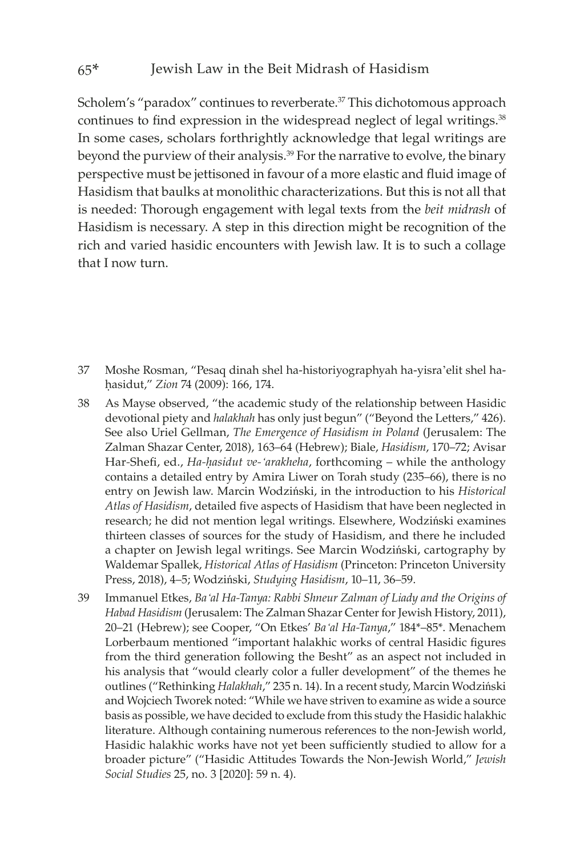Scholem's "paradox" continues to reverberate.<sup>37</sup> This dichotomous approach continues to find expression in the widespread neglect of legal writings.<sup>38</sup> In some cases, scholars forthrightly acknowledge that legal writings are beyond the purview of their analysis.<sup>39</sup> For the narrative to evolve, the binary perspective must be jettisoned in favour of a more elastic and fluid image of Hasidism that baulks at monolithic characterizations. But this is not all that is needed: Thorough engagement with legal texts from the *beit midrash* of Hasidism is necessary. A step in this direction might be recognition of the rich and varied hasidic encounters with Jewish law. It is to such a collage that I now turn.

- 37 Moshe Rosman, "Pesaq dinah shel ha-historiyographyah ha-yisra'elit shel haêasidut," *Zion* 74 (2009): 166, 174.
- 38 As Mayse observed, "the academic study of the relationship between Hasidic devotional piety and *halakhah* has only just begun" ("Beyond the Letters," 426). See also Uriel Gellman, *The Emergence of Hasidism in Poland* (Jerusalem: The Zalman Shazar Center, 2018), 163–64 (Hebrew); Biale, *Hasidism*, 170–72; Avisar Har-Shefi, ed., *Ha-hasidut ve-'arakheha*, forthcoming – while the anthology contains a detailed entry by Amira Liwer on Torah study (235–66), there is no entry on Jewish law. Marcin Wodziński, in the introduction to his *Historical Atlas of Hasidism*, detailed five aspects of Hasidism that have been neglected in research; he did not mention legal writings. Elsewhere, Wodziński examines thirteen classes of sources for the study of Hasidism, and there he included a chapter on Jewish legal writings. See Marcin Wodziński, cartography by Waldemar Spallek, *Historical Atlas of Hasidism* (Princeton: Princeton University Press, 2018), 4–5; Wodziński, *Studying Hasidism*, 10–11, 36–59.
- 39 Immanuel Etkes, *Ba'al Ha-Tanya: Rabbi Shneur Zalman of Liady and the Origins of Habad Hasidism* (Jerusalem: The Zalman Shazar Center for Jewish History, 2011), 20–21 (Hebrew); see Cooper, "On Etkes' *Ba'al Ha-Tanya*," 184\*–85\*. Menachem Lorberbaum mentioned "important halakhic works of central Hasidic figures from the third generation following the Besht" as an aspect not included in his analysis that "would clearly color a fuller development" of the themes he outlines ("Rethinking *Halakhah*," 235 n. 14). In a recent study, Marcin Wodziński and Wojciech Tworek noted: "While we have striven to examine as wide a source basis as possible, we have decided to exclude from this study the Hasidic halakhic literature. Although containing numerous references to the non-Jewish world, Hasidic halakhic works have not yet been sufficiently studied to allow for a broader picture" ("Hasidic Attitudes Towards the Non-Jewish World," *Jewish Social Studies* 25, no. 3 [2020]: 59 n. 4).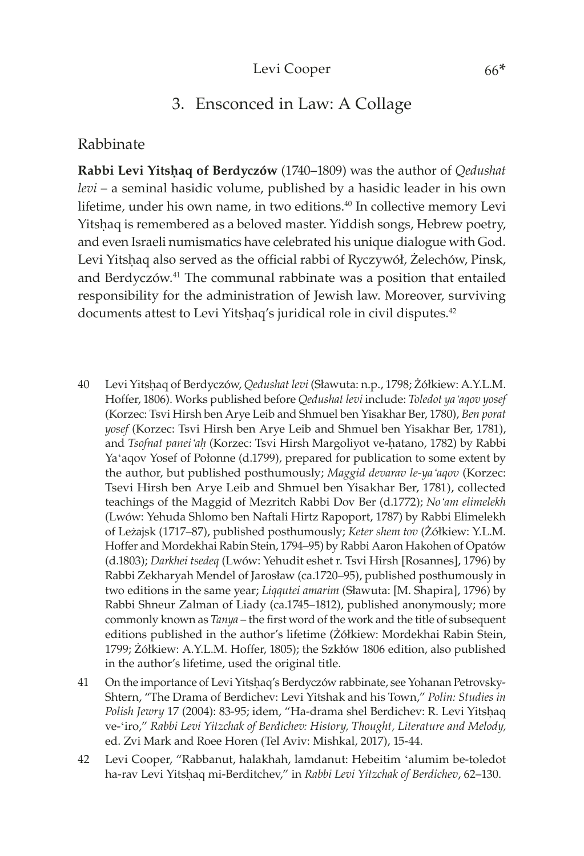## 3. Ensconced in Law: A Collage

## Rabbinate

**Rabbi Levi Yitshaq of Berdyczów** (1740–1809) was the author of *Qedushat levi* – a seminal hasidic volume, published by a hasidic leader in his own lifetime, under his own name, in two editions.<sup>40</sup> In collective memory Levi Yitshaq is remembered as a beloved master. Yiddish songs, Hebrew poetry, and even Israeli numismatics have celebrated his unique dialogue with God. Levi Yitshaq also served as the official rabbi of Ryczywół, Żelechów, Pinsk, and Berdyczów.<sup>41</sup> The communal rabbinate was a position that entailed responsibility for the administration of Jewish law. Moreover, surviving documents attest to Levi Yitshaq's juridical role in civil disputes.<sup>42</sup>

- 40 Levi Yitsêaq of Berdyczów, *Qedushat levi* (Sławuta: n.p., 1798; Żółkiew: A.Y.L.M. Hoffer, 1806). Works published before *Qedushat levi* include: *Toledot ya'aqov yosef* (Korzec: Tsvi Hirsh ben Arye Leib and Shmuel ben Yisakhar Ber, 1780), *Ben porat yosef* (Korzec: Tsvi Hirsh ben Arye Leib and Shmuel ben Yisakhar Ber, 1781), and *Tsofnat panei*<sup>'</sup>*ah* (Korzec: Tsvi Hirsh Margoliyot ve-hatano, 1782) by Rabbi Ya'aqov Yosef of Połonne (d.1799), prepared for publication to some extent by the author, but published posthumously; *Maggid devarav le-ya'aqov* (Korzec: Tsevi Hirsh ben Arye Leib and Shmuel ben Yisakhar Ber, 1781), collected teachings of the Maggid of Mezritch Rabbi Dov Ber (d.1772); *No'am elimelekh* (Lwów: Yehuda Shlomo ben Naftali Hirtz Rapoport, 1787) by Rabbi Elimelekh of Leżajsk (1717–87), published posthumously; *Keter shem tov* (Żółkiew: Y.L.M. Hoffer and Mordekhai Rabin Stein, 1794–95) by Rabbi Aaron Hakohen of Opatów (d.1803); *Darkhei tsedeq* (Lwów: Yehudit eshet r. Tsvi Hirsh [Rosannes], 1796) by Rabbi Zekharyah Mendel of Jarosław (ca.1720–95), published posthumously in two editions in the same year; *Liqqutei amarim* (Sławuta: [M. Shapira], 1796) by Rabbi Shneur Zalman of Liady (ca.1745–1812), published anonymously; more commonly known as *Tanya* – the first word of the work and the title of subsequent editions published in the author's lifetime (Żółkiew: Mordekhai Rabin Stein, 1799; Żółkiew: A.Y.L.M. Hoffer, 1805); the Szkłów 1806 edition, also published in the author's lifetime, used the original title.
- 41 On the importance of Levi Yitsêaq's Berdyczów rabbinate, see Yohanan Petrovsky-Shtern, "The Drama of Berdichev: Levi Yitshak and his Town," *Polin: Studies in*  Polish Jewry 17 (2004): 83-95; idem, "Ha-drama shel Berdichev: R. Levi Yitshaq ve-'iro," *Rabbi Levi Yitzchak of Berdichev: History, Thought, Literature and Melody,*  ed. Zvi Mark and Roee Horen (Tel Aviv: Mishkal, 2017), 15-44.
- 42 Levi Cooper, "Rabbanut, halakhah, lamdanut: Hebeitim 'alumim be-toledot ha-rav Levi Yitshaq mi-Berditchev," in *Rabbi Levi Yitzchak of Berdichev*, 62-130.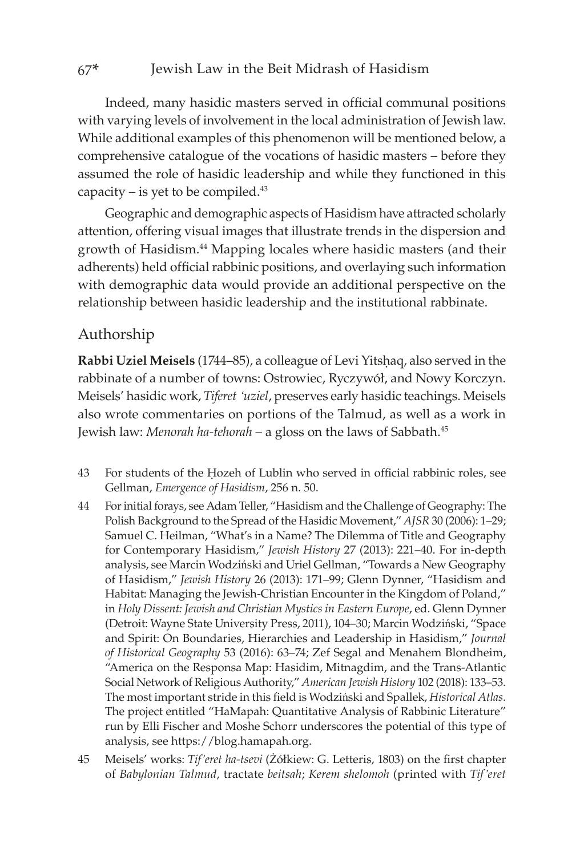#### 67\* Jewish Law in the Beit Midrash of Hasidism

Indeed, many hasidic masters served in official communal positions with varying levels of involvement in the local administration of Jewish law. While additional examples of this phenomenon will be mentioned below, a comprehensive catalogue of the vocations of hasidic masters – before they assumed the role of hasidic leadership and while they functioned in this capacity – is yet to be compiled. $43$ 

Geographic and demographic aspects of Hasidism have attracted scholarly attention, offering visual images that illustrate trends in the dispersion and growth of Hasidism.<sup>44</sup> Mapping locales where hasidic masters (and their adherents) held official rabbinic positions, and overlaying such information with demographic data would provide an additional perspective on the relationship between hasidic leadership and the institutional rabbinate.

## Authorship

Rabbi Uziel Meisels (1744–85), a colleague of Levi Yitshaq, also served in the rabbinate of a number of towns: Ostrowiec, Ryczywół, and Nowy Korczyn. Meisels' hasidic work, *Tiferet 'uziel*, preserves early hasidic teachings. Meisels also wrote commentaries on portions of the Talmud, as well as a work in Jewish law: *Menorah ha-tehorah* – a gloss on the laws of Sabbath.45

- 43 For students of the Êozeh of Lublin who served in official rabbinic roles, see Gellman, *Emergence of Hasidism*, 256 n. 50.
- 44 For initial forays, see Adam Teller, "Hasidism and the Challenge of Geography: The Polish Background to the Spread of the Hasidic Movement," *AJSR* 30 (2006): 1–29; Samuel C. Heilman, "What's in a Name? The Dilemma of Title and Geography for Contemporary Hasidism," *Jewish History* 27 (2013): 221–40. For in-depth analysis, see Marcin Wodziński and Uriel Gellman, "Towards a New Geography of Hasidism," *Jewish History* 26 (2013): 171–99; Glenn Dynner, "Hasidism and Habitat: Managing the Jewish-Christian Encounter in the Kingdom of Poland," in *Holy Dissent: Jewish and Christian Mystics in Eastern Europe*, ed. Glenn Dynner (Detroit: Wayne State University Press, 2011), 104–30; Marcin Wodziński, "Space and Spirit: On Boundaries, Hierarchies and Leadership in Hasidism," *Journal of Historical Geography* 53 (2016): 63–74; Zef Segal and Menahem Blondheim, "America on the Responsa Map: Hasidim, Mitnagdim, and the Trans-Atlantic Social Network of Religious Authority," *American Jewish History* 102 (2018): 133–53. The most important stride in this field is Wodziński and Spallek, *Historical Atlas.* The project entitled "HaMapah: Quantitative Analysis of Rabbinic Literature" run by Elli Fischer and Moshe Schorr underscores the potential of this type of analysis, see https://[blog.hamapah.org.](https://blog.hamapah.org)
- 45 Meisels' works: *Tif'eret ha-tsevi* (Żółkiew: G. Letteris, 1803) on the first chapter of *Babylonian Talmud*, tractate *beitsah*; *Kerem shelomoh* (printed with *Tif'eret*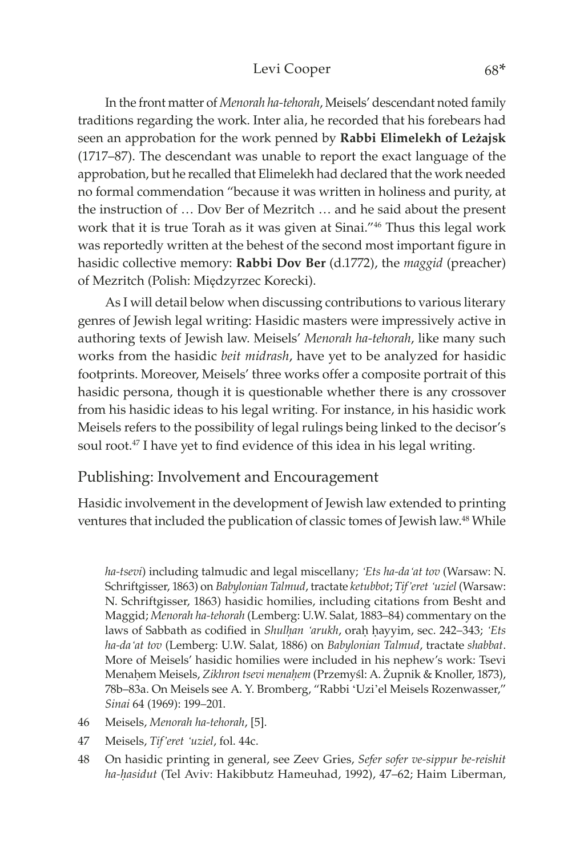## Levi Cooper 68\*

In the front matter of *Menorah ha-tehorah*, Meisels' descendant noted family traditions regarding the work. Inter alia, he recorded that his forebears had seen an approbation for the work penned by **Rabbi Elimelekh of Leżajsk** (1717–87). The descendant was unable to report the exact language of the approbation, but he recalled that Elimelekh had declared that the work needed no formal commendation "because it was written in holiness and purity, at the instruction of … Dov Ber of Mezritch … and he said about the present work that it is true Torah as it was given at Sinai."46 Thus this legal work was reportedly written at the behest of the second most important figure in hasidic collective memory: **Rabbi Dov Ber** (d.1772), the *maggid* (preacher) of Mezritch (Polish: Międzyrzec Korecki).

As I will detail below when discussing contributions to various literary genres of Jewish legal writing: Hasidic masters were impressively active in authoring texts of Jewish law. Meisels' *Menorah ha-tehorah*, like many such works from the hasidic *beit midrash*, have yet to be analyzed for hasidic footprints. Moreover, Meisels' three works offer a composite portrait of this hasidic persona, though it is questionable whether there is any crossover from his hasidic ideas to his legal writing. For instance, in his hasidic work Meisels refers to the possibility of legal rulings being linked to the decisor's soul root.<sup>47</sup> I have yet to find evidence of this idea in his legal writing.

## Publishing: Involvement and Encouragement

Hasidic involvement in the development of Jewish law extended to printing ventures that included the publication of classic tomes of Jewish law.<sup>48</sup> While

*ha-tsevi*) including talmudic and legal miscellany; *'Ets ha-da'at tov* (Warsaw: N. Schriftgisser, 1863) on *Babylonian Talmud*, tractate *ketubbot*; *Tif'eret 'uziel* (Warsaw: N. Schriftgisser, 1863) hasidic homilies, including citations from Besht and Maggid; *Menorah ha-tehorah* (Lemberg: U.W. Salat, 1883–84) commentary on the laws of Sabbath as codified in *Shulhan 'arukh*, orah hayyim, sec. 242-343; '*Ets ha-da'at tov* (Lemberg: U.W. Salat, 1886) on *Babylonian Talmud*, tractate *shabbat*. More of Meisels' hasidic homilies were included in his nephew's work: Tsevi Menaêem Meisels, *Zikhron tsevi menaêem* (Przemyśl: A. Żupnik & Knoller, 1873), 78b–83a. On Meisels see A. Y. Bromberg, "Rabbi 'Uzi'el Meisels Rozenwasser," *Sinai* 64 (1969): 199–201.

- 46 Meisels, *Menorah ha-tehorah*, [5].
- 47 Meisels, *Tif'eret 'uziel*, fol. 44c.
- 48 On hasidic printing in general, see Zeev Gries, *Sefer sofer ve-sippur be-reishit ha-êasidut* (Tel Aviv: Hakibbutz Hameuhad, 1992), 47–62; Haim Liberman,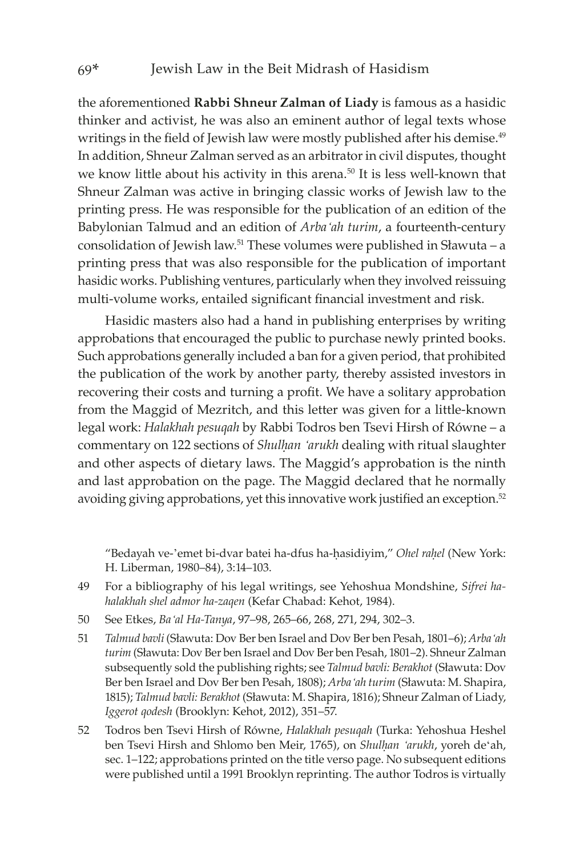the aforementioned **Rabbi Shneur Zalman of Liady** is famous as a hasidic thinker and activist, he was also an eminent author of legal texts whose writings in the field of Jewish law were mostly published after his demise.<sup>49</sup> In addition, Shneur Zalman served as an arbitrator in civil disputes, thought we know little about his activity in this arena.<sup>50</sup> It is less well-known that Shneur Zalman was active in bringing classic works of Jewish law to the printing press. He was responsible for the publication of an edition of the Babylonian Talmud and an edition of *Arba'ah turim*, a fourteenth-century consolidation of Jewish law.51 These volumes were published in Sławuta – a printing press that was also responsible for the publication of important hasidic works. Publishing ventures, particularly when they involved reissuing multi-volume works, entailed significant financial investment and risk.

Hasidic masters also had a hand in publishing enterprises by writing approbations that encouraged the public to purchase newly printed books. Such approbations generally included a ban for a given period, that prohibited the publication of the work by another party, thereby assisted investors in recovering their costs and turning a profit. We have a solitary approbation from the Maggid of Mezritch, and this letter was given for a little-known legal work: *Halakhah pesuqah* by Rabbi Todros ben Tsevi Hirsh of Równe – a commentary on 122 sections of *Shulhan 'arukh* dealing with ritual slaughter and other aspects of dietary laws. The Maggid's approbation is the ninth and last approbation on the page. The Maggid declared that he normally avoiding giving approbations, yet this innovative work justified an exception.<sup>52</sup>

"Bedayah ve-'emet bi-dvar batei ha-dfus ha-êasidiyim," *Ohel raêel* (New York: H. Liberman, 1980–84), 3:14–103.

- 49 For a bibliography of his legal writings, see Yehoshua Mondshine, *Sifrei hahalakhah shel admor ha-zaqen* (Kefar Chabad: Kehot, 1984).
- 50 See Etkes, *Ba'al Ha-Tanya*, 97–98, 265–66, 268, 271, 294, 302–3.
- 51 *Talmud bavli* (Sławuta: Dov Ber ben Israel and Dov Ber ben Pesah, 1801–6); *Arba'ah turim* (Sławuta: Dov Ber ben Israel and Dov Ber ben Pesah, 1801–2). Shneur Zalman subsequently sold the publishing rights; see *Talmud bavli: Berakhot* (Sławuta: Dov Ber ben Israel and Dov Ber ben Pesah, 1808); *Arba'ah turim* (Sławuta: M. Shapira, 1815); *Talmud bavli: Berakhot* (Sławuta: M. Shapira, 1816); Shneur Zalman of Liady, *Iggerot qodesh* (Brooklyn: Kehot, 2012), 351–57.
- 52 Todros ben Tsevi Hirsh of Równe, *Halakhah pesuqah* (Turka: Yehoshua Heshel ben Tsevi Hirsh and Shlomo ben Meir, 1765), on *Shulêan 'arukh*, yoreh de'ah, sec. 1–122; approbations printed on the title verso page. No subsequent editions were published until a 1991 Brooklyn reprinting. The author Todros is virtually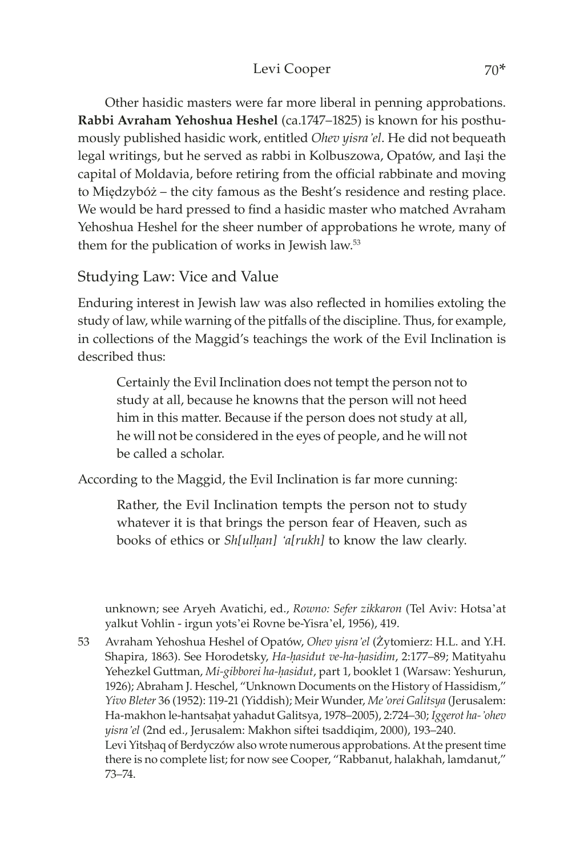## Levi Cooper 70\*

Other hasidic masters were far more liberal in penning approbations. **Rabbi Avraham Yehoshua Heshel** (ca.1747–1825) is known for his posthumously published hasidic work, entitled *Ohev yisra'el*. He did not bequeath legal writings, but he served as rabbi in Kolbuszowa, Opatów, and Iaşi the capital of Moldavia, before retiring from the official rabbinate and moving to Międzybóż – the city famous as the Besht's residence and resting place. We would be hard pressed to find a hasidic master who matched Avraham Yehoshua Heshel for the sheer number of approbations he wrote, many of them for the publication of works in Jewish law.53

## Studying Law: Vice and Value

Enduring interest in Jewish law was also reflected in homilies extoling the study of law, while warning of the pitfalls of the discipline. Thus, for example, in collections of the Maggid's teachings the work of the Evil Inclination is described thus:

Certainly the Evil Inclination does not tempt the person not to study at all, because he knowns that the person will not heed him in this matter. Because if the person does not study at all, he will not be considered in the eyes of people, and he will not be called a scholar.

According to the Maggid, the Evil Inclination is far more cunning:

Rather, the Evil Inclination tempts the person not to study whatever it is that brings the person fear of Heaven, such as books of ethics or *Sh[ulêan] 'a[rukh]* to know the law clearly.

unknown; see Aryeh Avatichi, ed., *Rowno: Sefer zikkaron* (Tel Aviv: Hotsa'at yalkut Vohlin - irgun yots'ei Rovne be-Yisra'el, 1956), 419.

53 Avraham Yehoshua Heshel of Opatów, *Ohev yisra'el* (Żytomierz: H.L. and Y.H. Shapira, 1863). See Horodetsky, *Ha-hasidut ve-ha-hasidim*, 2:177–89; Matityahu Yehezkel Guttman, Mi-gibborei ha-hasidut, part 1, booklet 1 (Warsaw: Yeshurun, 1926); Abraham J. Heschel, "Unknown Documents on the History of Hassidism," *Yivo Bleter* 36 (1952): 119-21 (Yiddish); Meir Wunder, *Me'orei Galitsya* (Jerusalem: Ha-makhon le-hantsaêat yahadut Galitsya, 1978–2005), 2:724–30; *Iggerot ha-'ohev yisra'el* (2nd ed., Jerusalem: Makhon siftei tsaddiqim, 2000), 193–240. Levi Yitshaq of Berdyczów also wrote numerous approbations. At the present time there is no complete list; for now see Cooper, "Rabbanut, halakhah, lamdanut," 73–74.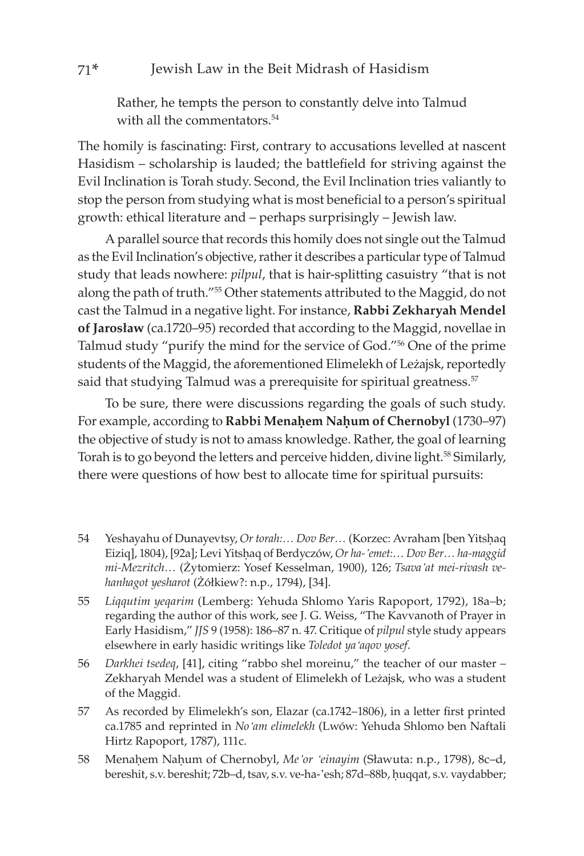## 71\* Jewish Law in the Beit Midrash of Hasidism

Rather, he tempts the person to constantly delve into Talmud with all the commentators.<sup>54</sup>

The homily is fascinating: First, contrary to accusations levelled at nascent Hasidism – scholarship is lauded; the battlefield for striving against the Evil Inclination is Torah study. Second, the Evil Inclination tries valiantly to stop the person from studying what is most beneficial to a person's spiritual growth: ethical literature and – perhaps surprisingly – Jewish law.

A parallel source that records this homily does not single out the Talmud as the Evil Inclination's objective, rather it describes a particular type of Talmud study that leads nowhere: *pilpul*, that is hair-splitting casuistry "that is not along the path of truth."55 Other statements attributed to the Maggid, do not cast the Talmud in a negative light. For instance, **Rabbi Zekharyah Mendel of Jarosław** (ca.1720–95) recorded that according to the Maggid, novellae in Talmud study "purify the mind for the service of God."56 One of the prime students of the Maggid, the aforementioned Elimelekh of Leżajsk, reportedly said that studying Talmud was a prerequisite for spiritual greatness.<sup>57</sup>

To be sure, there were discussions regarding the goals of such study. For example, according to Rabbi Menahem Nahum of Chernobyl (1730–97) the objective of study is not to amass knowledge. Rather, the goal of learning Torah is to go beyond the letters and perceive hidden, divine light.<sup>58</sup> Similarly, there were questions of how best to allocate time for spiritual pursuits:

- 54 Yeshayahu of Dunayevtsy, *Or torah:... Dov Ber...* (Korzec: Avraham [ben Yitshaq Eiziq], 1804), [92a]; Levi Yitshaq of Berdyczów, Or ha-'emet:... Dov Ber... ha-maggid *mi-Mezritch…* (Żytomierz: Yosef Kesselman, 1900), 126; *Tsava'at mei-rivash vehanhagot yesharot* (Żółkiew?: n.p., 1794), [34].
- 55 *Liqqutim yeqarim* (Lemberg: Yehuda Shlomo Yaris Rapoport, 1792), 18a–b; regarding the author of this work, see J. G. Weiss, "The Kavvanoth of Prayer in Early Hasidism," *JJS* 9 (1958): 186–87 n. 47. Critique of *pilpul* style study appears elsewhere in early hasidic writings like *Toledot ya'aqov yosef*.
- 56 *Darkhei tsedeq*, [41], citing "rabbo shel moreinu," the teacher of our master Zekharyah Mendel was a student of Elimelekh of Leżajsk, who was a student of the Maggid.
- 57 As recorded by Elimelekh's son, Elazar (ca.1742–1806), in a letter first printed ca.1785 and reprinted in *No'am elimelekh* (Lwów: Yehuda Shlomo ben Naftali Hirtz Rapoport, 1787), 111c.
- 58 Menaêem Naêum of Chernobyl, *Me'or 'einayim* (Sławuta: n.p., 1798), 8c–d, bereshit, s.v. bereshit; 72b-d, tsav, s.v. ve-ha-'esh; 87d-88b, huqqat, s.v. vaydabber;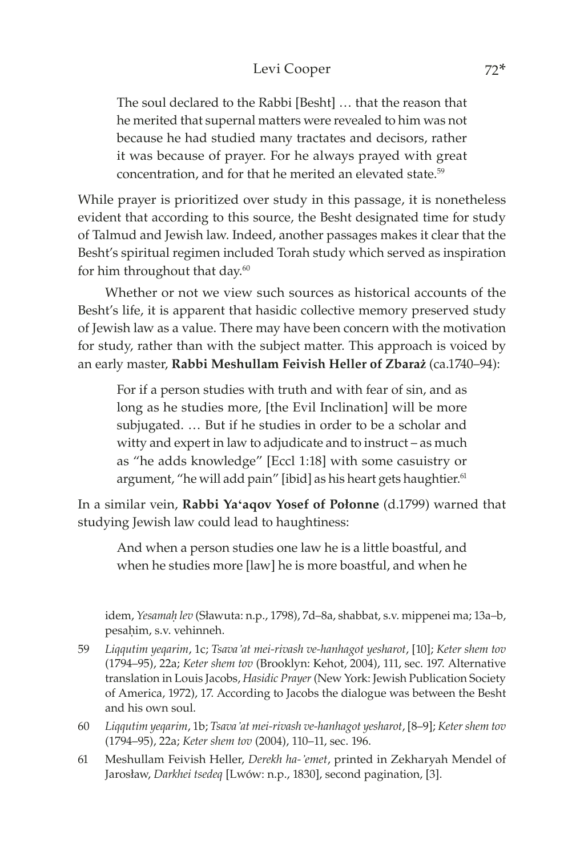The soul declared to the Rabbi [Besht] … that the reason that he merited that supernal matters were revealed to him was not because he had studied many tractates and decisors, rather it was because of prayer. For he always prayed with great concentration, and for that he merited an elevated state.<sup>59</sup>

While prayer is prioritized over study in this passage, it is nonetheless evident that according to this source, the Besht designated time for study of Talmud and Jewish law. Indeed, another passages makes it clear that the Besht's spiritual regimen included Torah study which served as inspiration for him throughout that day.<sup>60</sup>

Whether or not we view such sources as historical accounts of the Besht's life, it is apparent that hasidic collective memory preserved study of Jewish law as a value. There may have been concern with the motivation for study, rather than with the subject matter. This approach is voiced by an early master, **Rabbi Meshullam Feivish Heller of Zbaraż** (ca.1740–94):

For if a person studies with truth and with fear of sin, and as long as he studies more, [the Evil Inclination] will be more subjugated. … But if he studies in order to be a scholar and witty and expert in law to adjudicate and to instruct – as much as "he adds knowledge" [Eccl 1:18] with some casuistry or argument, "he will add pain" [ibid] as his heart gets haughtier.<sup>61</sup>

In a similar vein, **Rabbi Ya'aqov Yosef of Połonne** (d.1799) warned that studying Jewish law could lead to haughtiness:

And when a person studies one law he is a little boastful, and when he studies more [law] he is more boastful, and when he

idem, *Yesamaê lev* (Sławuta: n.p., 1798), 7d–8a, shabbat, s.v. mippenei ma; 13a–b, pesaḥim, s.v. vehinneh.

- 59 *Liqqutim yeqarim*, 1c; *Tsava'at mei-rivash ve-hanhagot yesharot*, [10]; *Keter shem tov* (1794–95), 22a; *Keter shem tov* (Brooklyn: Kehot, 2004), 111, sec. 197. Alternative translation in Louis Jacobs, *Hasidic Prayer* (New York: Jewish Publication Society of America, 1972), 17. According to Jacobs the dialogue was between the Besht and his own soul.
- 60 *Liqqutim yeqarim*, 1b; *Tsava'at mei-rivash ve-hanhagot yesharot*, [8–9]; *Keter shem tov* (1794–95), 22a; *Keter shem tov* (2004), 110–11, sec. 196.
- 61 Meshullam Feivish Heller, *Derekh ha-'emet*, printed in Zekharyah Mendel of Jarosław, *Darkhei tsedeq* [Lwów: n.p., 1830], second pagination, [3].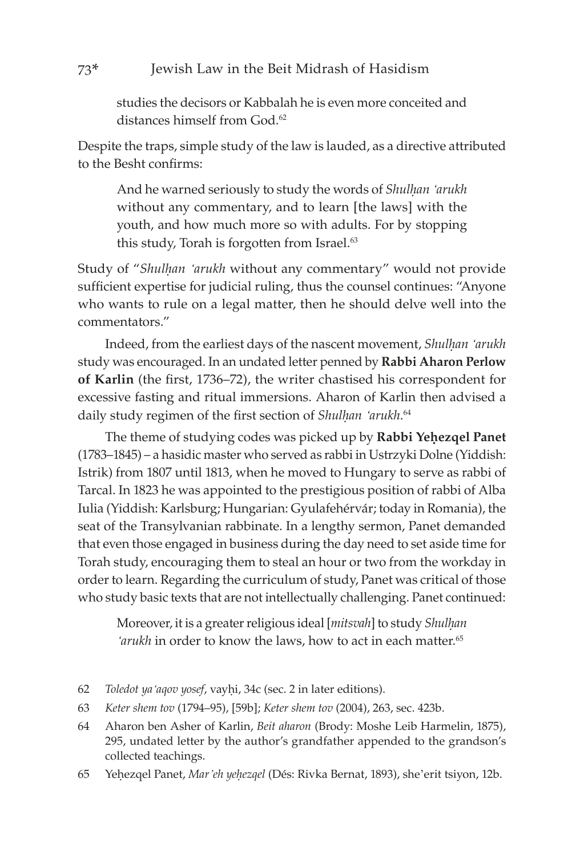#### 73\* Jewish Law in the Beit Midrash of Hasidism

studies the decisors or Kabbalah he is even more conceited and distances himself from God.<sup>62</sup>

Despite the traps, simple study of the law is lauded, as a directive attributed to the Besht confirms:

And he warned seriously to study the words of *Shulhan 'arukh* without any commentary, and to learn [the laws] with the youth, and how much more so with adults. For by stopping this study, Torah is forgotten from Israel.<sup>63</sup>

Study of "Shulhan 'arukh without any commentary" would not provide sufficient expertise for judicial ruling, thus the counsel continues: "Anyone who wants to rule on a legal matter, then he should delve well into the commentators."

Indeed, from the earliest days of the nascent movement, *Shulhan 'arukh* study was encouraged. In an undated letter penned by **Rabbi Aharon Perlow of Karlin** (the first, 1736–72), the writer chastised his correspondent for excessive fasting and ritual immersions. Aharon of Karlin then advised a daily study regimen of the first section of *Shulhan 'arukh*.<sup>64</sup>

The theme of studying codes was picked up by Rabbi Yehezqel Panet (1783–1845) – a hasidic master who served as rabbi in Ustrzyki Dolne (Yiddish: Istrik) from 1807 until 1813, when he moved to Hungary to serve as rabbi of Tarcal. In 1823 he was appointed to the prestigious position of rabbi of Alba Iulia (Yiddish: Karlsburg; Hungarian: Gyulafehérvár; today in Romania), the seat of the Transylvanian rabbinate. In a lengthy sermon, Panet demanded that even those engaged in business during the day need to set aside time for Torah study, encouraging them to steal an hour or two from the workday in order to learn. Regarding the curriculum of study, Panet was critical of those who study basic texts that are not intellectually challenging. Panet continued:

Moreover, it is a greater religious ideal [*mitsvah*] to study *Shulhan 'arukh* in order to know the laws, how to act in each matter.65

- 62 *Toledot ya'aqov yosef*, vayêi, 34c (sec. 2 in later editions).
- 63 *Keter shem tov* (1794–95), [59b]; *Keter shem tov* (2004), 263, sec. 423b.
- 64 Aharon ben Asher of Karlin, *Beit aharon* (Brody: Moshe Leib Harmelin, 1875), 295, undated letter by the author's grandfather appended to the grandson's collected teachings.
- 65 Yeêezqel Panet, *Mar'eh yeêezqel* (Dés: Rivka Bernat, 1893), she'erit tsiyon, 12b.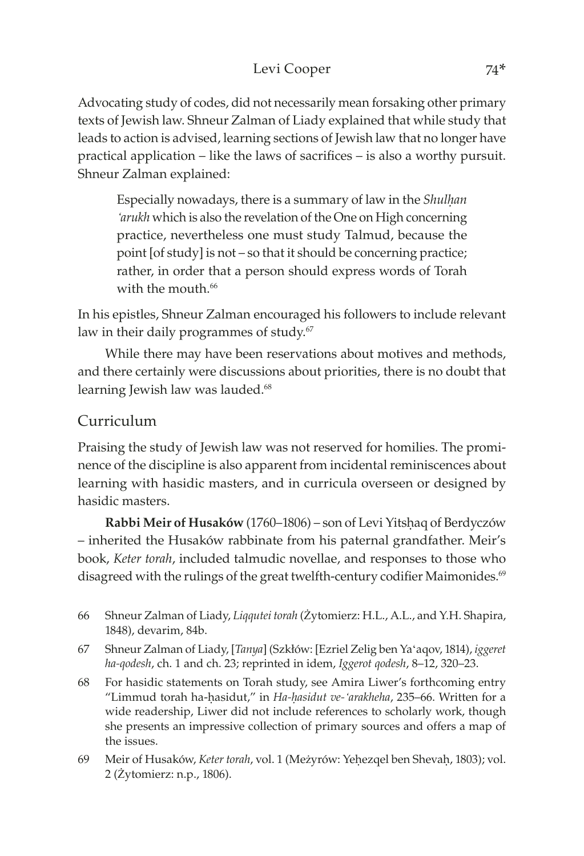## Levi Cooper 74\*

Advocating study of codes, did not necessarily mean forsaking other primary texts of Jewish law. Shneur Zalman of Liady explained that while study that leads to action is advised, learning sections of Jewish law that no longer have practical application – like the laws of sacrifices – is also a worthy pursuit. Shneur Zalman explained:

Especially nowadays, there is a summary of law in the *Shulhan 'arukh* which is also the revelation of the One on High concerning practice, nevertheless one must study Talmud, because the point [of study] is not – so that it should be concerning practice; rather, in order that a person should express words of Torah with the mouth.<sup>66</sup>

In his epistles, Shneur Zalman encouraged his followers to include relevant law in their daily programmes of study.<sup>67</sup>

While there may have been reservations about motives and methods, and there certainly were discussions about priorities, there is no doubt that learning Jewish law was lauded.<sup>68</sup>

## Curriculum

Praising the study of Jewish law was not reserved for homilies. The prominence of the discipline is also apparent from incidental reminiscences about learning with hasidic masters, and in curricula overseen or designed by hasidic masters.

Rabbi Meir of Husaków (1760-1806) – son of Levi Yitshaq of Berdyczów – inherited the Husaków rabbinate from his paternal grandfather. Meir's book, *Keter torah*, included talmudic novellae, and responses to those who disagreed with the rulings of the great twelfth-century codifier Maimonides.<sup>69</sup>

- 66 Shneur Zalman of Liady, *Liqqutei torah* (Żytomierz: H.L., A.L., and Y.H. Shapira, 1848), devarim, 84b.
- 67 Shneur Zalman of Liady, [*Tanya*] (Szkłów: [Ezriel Zelig ben Ya'aqov, 1814), *iggeret ha-qodesh*, ch. 1 and ch. 23; reprinted in idem, *Iggerot qodesh*, 8–12, 320–23.
- 68 For hasidic statements on Torah study, see Amira Liwer's forthcoming entry "Limmud torah ha-êasidut," in *Ha-êasidut ve-'arakheha*, 235–66. Written for a wide readership, Liwer did not include references to scholarly work, though she presents an impressive collection of primary sources and offers a map of the issues.
- 69 Meir of Husaków, *Keter torah*, vol. 1 (Meżyrów: Yeḥezqel ben Shevaḥ, 1803); vol. 2 (Żytomierz: n.p., 1806).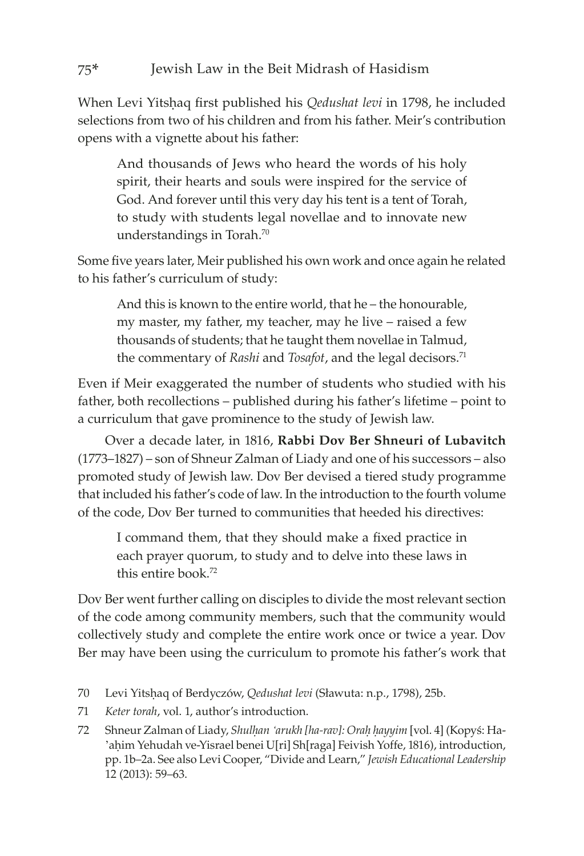When Levi Yitshaq first published his *Qedushat levi* in 1798, he included selections from two of his children and from his father. Meir's contribution opens with a vignette about his father:

And thousands of Jews who heard the words of his holy spirit, their hearts and souls were inspired for the service of God. And forever until this very day his tent is a tent of Torah, to study with students legal novellae and to innovate new understandings in Torah.70

Some five years later, Meir published his own work and once again he related to his father's curriculum of study:

And this is known to the entire world, that he – the honourable, my master, my father, my teacher, may he live – raised a few thousands of students; that he taught them novellae in Talmud, the commentary of *Rashi* and *Tosafot*, and the legal decisors.71

Even if Meir exaggerated the number of students who studied with his father, both recollections – published during his father's lifetime – point to a curriculum that gave prominence to the study of Jewish law.

Over a decade later, in 1816, **Rabbi Dov Ber Shneuri of Lubavitch** (1773–1827) – son of Shneur Zalman of Liady and one of his successors – also promoted study of Jewish law. Dov Ber devised a tiered study programme that included his father's code of law. In the introduction to the fourth volume of the code, Dov Ber turned to communities that heeded his directives:

I command them, that they should make a fixed practice in each prayer quorum, to study and to delve into these laws in this entire book.72

Dov Ber went further calling on disciples to divide the most relevant section of the code among community members, such that the community would collectively study and complete the entire work once or twice a year. Dov Ber may have been using the curriculum to promote his father's work that

- 70 Levi Yitsêaq of Berdyczów, *Qedushat levi* (Sławuta: n.p., 1798), 25b.
- 71 *Keter torah*, vol. 1, author's introduction.
- 72 Shneur Zalman of Liady, *Shulḥan 'arukh [ha-rav]: Oraḥ ḥayyim* [vol. 4] (Kopyś: Ha-'ahim Yehudah ve-Yisrael benei U[ri] Sh[raga] Feivish Yoffe, 1816), introduction, pp. 1b–2a. See also Levi Cooper, "Divide and Learn," *Jewish Educational Leadership*  12 (2013): 59–63.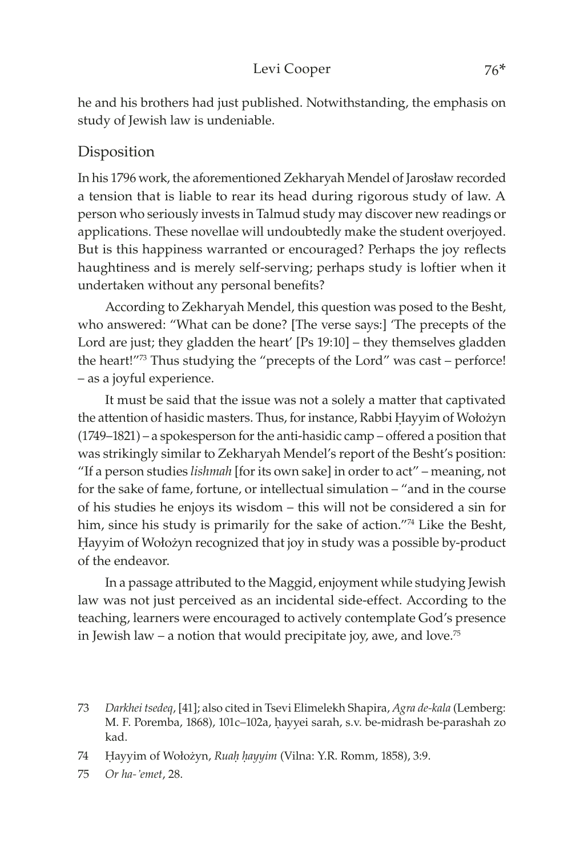#### Levi Cooper 76\*

he and his brothers had just published. Notwithstanding, the emphasis on study of Jewish law is undeniable.

## Disposition

In his 1796 work, the aforementioned Zekharyah Mendel of Jarosław recorded a tension that is liable to rear its head during rigorous study of law. A person who seriously invests in Talmud study may discover new readings or applications. These novellae will undoubtedly make the student overjoyed. But is this happiness warranted or encouraged? Perhaps the joy reflects haughtiness and is merely self-serving; perhaps study is loftier when it undertaken without any personal benefits?

According to Zekharyah Mendel, this question was posed to the Besht, who answered: "What can be done? [The verse says:] 'The precepts of the Lord are just; they gladden the heart' [Ps 19:10] – they themselves gladden the heart!"<sup>73</sup> Thus studying the "precepts of the Lord" was cast – perforce! – as a joyful experience.

It must be said that the issue was not a solely a matter that captivated the attention of hasidic masters. Thus, for instance, Rabbi Hayyim of Wołożyn (1749–1821) – a spokesperson for the anti-hasidic camp – offered a position that was strikingly similar to Zekharyah Mendel's report of the Besht's position: "If a person studies *lishmah* [for its own sake] in order to act" – meaning, not for the sake of fame, fortune, or intellectual simulation – "and in the course of his studies he enjoys its wisdom – this will not be considered a sin for him, since his study is primarily for the sake of action."<sup>74</sup> Like the Besht, Hayyim of Wołożyn recognized that joy in study was a possible by-product of the endeavor.

In a passage attributed to the Maggid, enjoyment while studying Jewish law was not just perceived as an incidental side-effect. According to the teaching, learners were encouraged to actively contemplate God's presence in Jewish law – a notion that would precipitate joy, awe, and love.<sup>75</sup>

75 *Or ha-'emet*, 28.

<sup>73</sup> *Darkhei tsedeq*, [41]; also cited in Tsevi Elimelekh Shapira, *Agra de-kala* (Lemberg: M. F. Poremba, 1868), 101c-102a, hayyei sarah, s.v. be-midrash be-parashah zo kad.

<sup>74</sup> Hayyim of Wołożyn, *Ruah hayyim* (Vilna: Y.R. Romm, 1858), 3:9.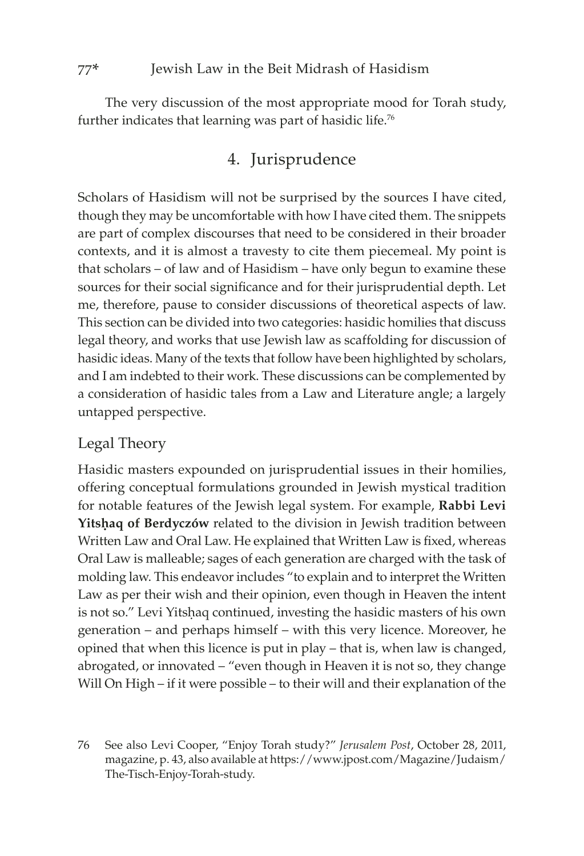The very discussion of the most appropriate mood for Torah study, further indicates that learning was part of hasidic life.<sup>76</sup>

## 4. Jurisprudence

Scholars of Hasidism will not be surprised by the sources I have cited, though they may be uncomfortable with how I have cited them. The snippets are part of complex discourses that need to be considered in their broader contexts, and it is almost a travesty to cite them piecemeal. My point is that scholars – of law and of Hasidism – have only begun to examine these sources for their social significance and for their jurisprudential depth. Let me, therefore, pause to consider discussions of theoretical aspects of law. This section can be divided into two categories: hasidic homilies that discuss legal theory, and works that use Jewish law as scaffolding for discussion of hasidic ideas. Many of the texts that follow have been highlighted by scholars, and I am indebted to their work. These discussions can be complemented by a consideration of hasidic tales from a Law and Literature angle; a largely untapped perspective.

## Legal Theory

Hasidic masters expounded on jurisprudential issues in their homilies, offering conceptual formulations grounded in Jewish mystical tradition for notable features of the Jewish legal system. For example, **Rabbi Levi**  Yitshaq of Berdyczów related to the division in Jewish tradition between Written Law and Oral Law. He explained that Written Law is fixed, whereas Oral Law is malleable; sages of each generation are charged with the task of molding law. This endeavor includes "to explain and to interpret the Written Law as per their wish and their opinion, even though in Heaven the intent is not so." Levi Yitshaq continued, investing the hasidic masters of his own generation – and perhaps himself – with this very licence. Moreover, he opined that when this licence is put in play – that is, when law is changed, abrogated, or innovated – "even though in Heaven it is not so, they change Will On High – if it were possible – to their will and their explanation of the

<sup>76</sup> See also Levi Cooper, "Enjoy Torah study?" *Jerusalem Post*, October 28, 2011, magazine, p. 43, also available at https://[www.jpost.com](https://www.jpost.com/Magazine/Judaism/The-Tisch-Enjoy-Torah-study)/Magazine/Judaism/ The-Tisch-Enjoy-[Torah](https://www.jpost.com/Magazine/Judaism/The-Tisch-Enjoy-Torah-study)-study.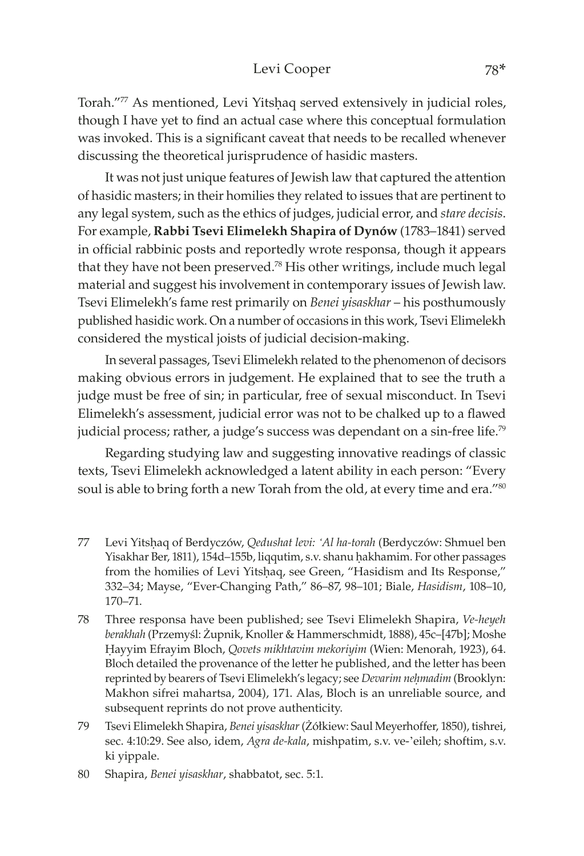#### Levi Cooper 78\*

Torah."77 As mentioned, Levi Yitshaq served extensively in judicial roles, though I have yet to find an actual case where this conceptual formulation was invoked. This is a significant caveat that needs to be recalled whenever discussing the theoretical jurisprudence of hasidic masters.

It was not just unique features of Jewish law that captured the attention of hasidic masters; in their homilies they related to issues that are pertinent to any legal system, such as the ethics of judges, judicial error, and *stare decisis*. For example, **Rabbi Tsevi Elimelekh Shapira of Dynów** (1783–1841) served in official rabbinic posts and reportedly wrote responsa, though it appears that they have not been preserved.<sup>78</sup> His other writings, include much legal material and suggest his involvement in contemporary issues of Jewish law. Tsevi Elimelekh's fame rest primarily on *Benei yisaskhar* – his posthumously published hasidic work. On a number of occasions in this work, Tsevi Elimelekh considered the mystical joists of judicial decision-making.

In several passages, Tsevi Elimelekh related to the phenomenon of decisors making obvious errors in judgement. He explained that to see the truth a judge must be free of sin; in particular, free of sexual misconduct. In Tsevi Elimelekh's assessment, judicial error was not to be chalked up to a flawed judicial process; rather, a judge's success was dependant on a sin-free life.<sup>79</sup>

Regarding studying law and suggesting innovative readings of classic texts, Tsevi Elimelekh acknowledged a latent ability in each person: "Every soul is able to bring forth a new Torah from the old, at every time and era."<sup>80</sup>

- 77 Levi Yitsêaq of Berdyczów, *Qedushat levi: 'Al ha-torah* (Berdyczów: Shmuel ben Yisakhar Ber, 1811), 154d–155b, liqqutim, s.v. shanu hakhamim. For other passages from the homilies of Levi Yitshaq, see Green, "Hasidism and Its Response," 332–34; Mayse, "Ever-Changing Path," 86–87, 98–101; Biale, *Hasidism*, 108–10, 170–71.
- 78 Three responsa have been published; see Tsevi Elimelekh Shapira, *Ve-heyeh berakhah* (Przemyśl: Żupnik, Knoller & Hammerschmidt, 1888), 45c–[47b]; Moshe Êayyim Efrayim Bloch, *Qovets mikhtavim mekoriyim* (Wien: Menorah, 1923), 64. Bloch detailed the provenance of the letter he published, and the letter has been reprinted by bearers of Tsevi Elimelekh's legacy; see *Devarim neêmadim* (Brooklyn: Makhon sifrei mahartsa, 2004), 171. Alas, Bloch is an unreliable source, and subsequent reprints do not prove authenticity.
- 79 Tsevi Elimelekh Shapira, *Benei yisaskhar* (Żółkiew: Saul Meyerhoffer, 1850), tishrei, sec. 4:10:29. See also, idem, *Agra de-kala*, mishpatim, s.v. ve-'eileh; shoftim, s.v. ki yippale.
- 80 Shapira, *Benei yisaskhar*, shabbatot, sec. 5:1.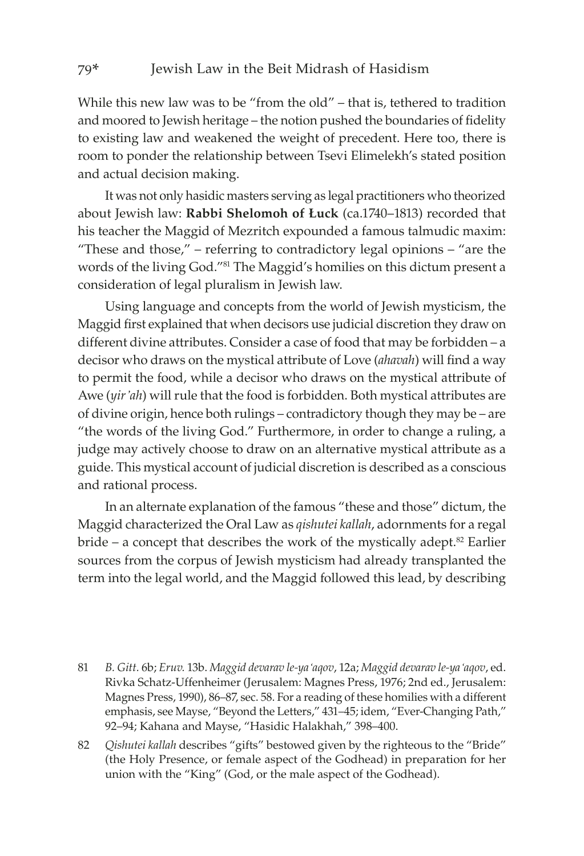While this new law was to be "from the old" – that is, tethered to tradition and moored to Jewish heritage – the notion pushed the boundaries of fidelity to existing law and weakened the weight of precedent. Here too, there is room to ponder the relationship between Tsevi Elimelekh's stated position and actual decision making.

It was not only hasidic masters serving as legal practitioners who theorized about Jewish law: **Rabbi Shelomoh of Łuck** (ca.1740–1813) recorded that his teacher the Maggid of Mezritch expounded a famous talmudic maxim: "These and those," – referring to contradictory legal opinions – "are the words of the living God."81 The Maggid's homilies on this dictum present a consideration of legal pluralism in Jewish law.

Using language and concepts from the world of Jewish mysticism, the Maggid first explained that when decisors use judicial discretion they draw on different divine attributes. Consider a case of food that may be forbidden – a decisor who draws on the mystical attribute of Love (*ahavah*) will find a way to permit the food, while a decisor who draws on the mystical attribute of Awe (*yir'ah*) will rule that the food is forbidden. Both mystical attributes are of divine origin, hence both rulings – contradictory though they may be – are "the words of the living God." Furthermore, in order to change a ruling, a judge may actively choose to draw on an alternative mystical attribute as a guide. This mystical account of judicial discretion is described as a conscious and rational process.

In an alternate explanation of the famous "these and those" dictum, the Maggid characterized the Oral Law as *qishutei kallah*, adornments for a regal  $b$ ride – a concept that describes the work of the mystically adept.<sup>82</sup> Earlier sources from the corpus of Jewish mysticism had already transplanted the term into the legal world, and the Maggid followed this lead, by describing

- 81 *B. Gitt.* 6b; *Eruv.* 13b. *Maggid devarav le-ya'aqov*, 12a; *Maggid devarav le-ya'aqov*, ed. Rivka Schatz-Uffenheimer (Jerusalem: Magnes Press, 1976; 2nd ed., Jerusalem: Magnes Press, 1990), 86–87, sec. 58. For a reading of these homilies with a different emphasis, see Mayse, "Beyond the Letters," 431–45; idem, "Ever-Changing Path," 92–94; Kahana and Mayse, "Hasidic Halakhah," 398–400.
- 82 *Qishutei kallah* describes "gifts" bestowed given by the righteous to the "Bride" (the Holy Presence, or female aspect of the Godhead) in preparation for her union with the "King" (God, or the male aspect of the Godhead).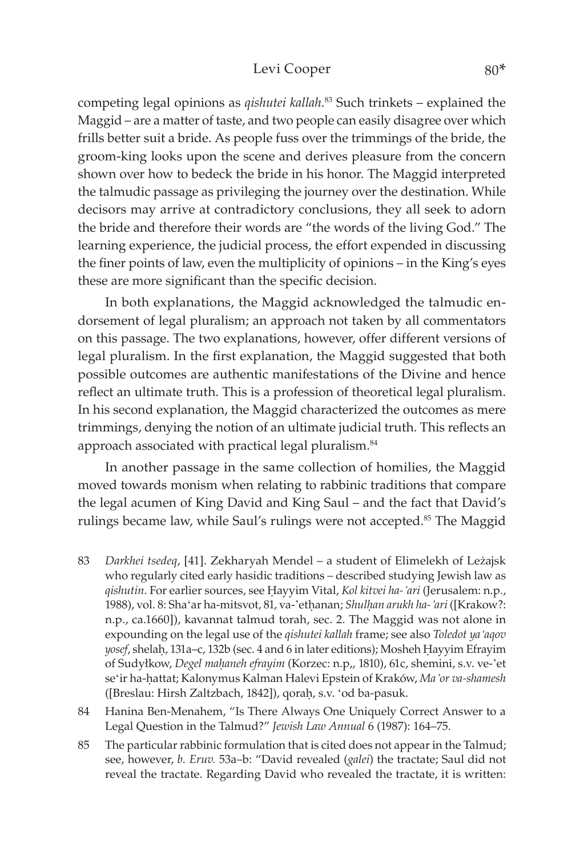#### Levi Cooper 80\*

competing legal opinions as *qishutei kallah*. <sup>83</sup> Such trinkets – explained the Maggid – are a matter of taste, and two people can easily disagree over which frills better suit a bride. As people fuss over the trimmings of the bride, the groom-king looks upon the scene and derives pleasure from the concern shown over how to bedeck the bride in his honor. The Maggid interpreted the talmudic passage as privileging the journey over the destination. While decisors may arrive at contradictory conclusions, they all seek to adorn the bride and therefore their words are "the words of the living God." The learning experience, the judicial process, the effort expended in discussing the finer points of law, even the multiplicity of opinions – in the King's eyes these are more significant than the specific decision.

In both explanations, the Maggid acknowledged the talmudic endorsement of legal pluralism; an approach not taken by all commentators on this passage. The two explanations, however, offer different versions of legal pluralism. In the first explanation, the Maggid suggested that both possible outcomes are authentic manifestations of the Divine and hence reflect an ultimate truth. This is a profession of theoretical legal pluralism. In his second explanation, the Maggid characterized the outcomes as mere trimmings, denying the notion of an ultimate judicial truth. This reflects an approach associated with practical legal pluralism.<sup>84</sup>

In another passage in the same collection of homilies, the Maggid moved towards monism when relating to rabbinic traditions that compare the legal acumen of King David and King Saul – and the fact that David's rulings became law, while Saul's rulings were not accepted.<sup>85</sup> The Maggid

- 83 *Darkhei tsedeq*, [41]. Zekharyah Mendel a student of Elimelekh of Leżajsk who regularly cited early hasidic traditions – described studying Jewish law as *qishutin*. For earlier sources, see Êayyim Vital, *Kol kitvei ha-'ari* (Jerusalem: n.p., 1988), vol. 8: Sha'ar ha-mitsvot, 81, va-'ethanan; *Shulhan arukh ha-'ari* ([Krakow?: n.p., ca.1660]), kavannat talmud torah, sec. 2. The Maggid was not alone in expounding on the legal use of the *qishutei kallah* frame; see also *Toledot ya'aqov*  yosef, shelah, 131a-c, 132b (sec. 4 and 6 in later editions); Mosheh Hayyim Efrayim of Sudyłkow, *Degel maêaneh efrayim* (Korzec: n.p,, 1810), 61c, shemini, s.v. ve-'et se'ir ha-êattat; Kalonymus Kalman Halevi Epstein of Kraków, *Ma'or va-shamesh* ([Breslau: Hirsh Zaltzbach, 1842]), qorah, s.v. 'od ba-pasuk.
- 84 Hanina Ben-Menahem, "Is There Always One Uniquely Correct Answer to a Legal Question in the Talmud?" *Jewish Law Annual* 6 (1987): 164–75.
- 85 The particular rabbinic formulation that is cited does not appear in the Talmud; see, however, *b. Eruv.* 53a–b: "David revealed (*galei*) the tractate; Saul did not reveal the tractate. Regarding David who revealed the tractate, it is written: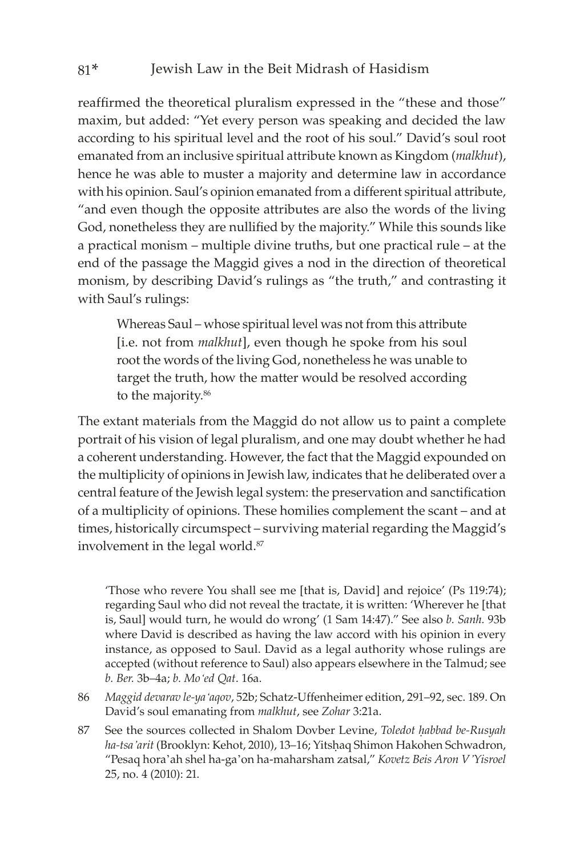reaffirmed the theoretical pluralism expressed in the "these and those" maxim, but added: "Yet every person was speaking and decided the law according to his spiritual level and the root of his soul." David's soul root emanated from an inclusive spiritual attribute known as Kingdom (*malkhut*), hence he was able to muster a majority and determine law in accordance with his opinion. Saul's opinion emanated from a different spiritual attribute, "and even though the opposite attributes are also the words of the living God, nonetheless they are nullified by the majority." While this sounds like a practical monism – multiple divine truths, but one practical rule – at the end of the passage the Maggid gives a nod in the direction of theoretical monism, by describing David's rulings as "the truth," and contrasting it with Saul's rulings:

Whereas Saul – whose spiritual level was not from this attribute [i.e. not from *malkhut*], even though he spoke from his soul root the words of the living God, nonetheless he was unable to target the truth, how the matter would be resolved according to the majority.<sup>86</sup>

The extant materials from the Maggid do not allow us to paint a complete portrait of his vision of legal pluralism, and one may doubt whether he had a coherent understanding. However, the fact that the Maggid expounded on the multiplicity of opinions in Jewish law, indicates that he deliberated over a central feature of the Jewish legal system: the preservation and sanctification of a multiplicity of opinions. These homilies complement the scant – and at times, historically circumspect – surviving material regarding the Maggid's involvement in the legal world.<sup>87</sup>

'Those who revere You shall see me [that is, David] and rejoice' (Ps 119:74); regarding Saul who did not reveal the tractate, it is written: 'Wherever he [that is, Saul] would turn, he would do wrong' (1 Sam 14:47)." See also *b. Sanh.* 93b where David is described as having the law accord with his opinion in every instance, as opposed to Saul. David as a legal authority whose rulings are accepted (without reference to Saul) also appears elsewhere in the Talmud; see *b. Ber.* 3b–4a; *b. Mo'ed Qat*. 16a.

- 86 *Maggid devarav le-ya'aqov*, 52b; Schatz-Uffenheimer edition, 291–92, sec. 189. On David's soul emanating from *malkhut*, see *Zohar* 3:21a.
- 87 See the sources collected in Shalom Dovber Levine, *Toledot habbad be-Rusyah ha-tsa'arit* (Brooklyn: Kehot, 2010), 13–16; Yitsêaq Shimon Hakohen Schwadron, "Pesaq hora'ah shel ha-ga'on ha-maharsham zatsal," *Kovetz Beis Aron V'Yisroel* 25, no. 4 (2010): 21.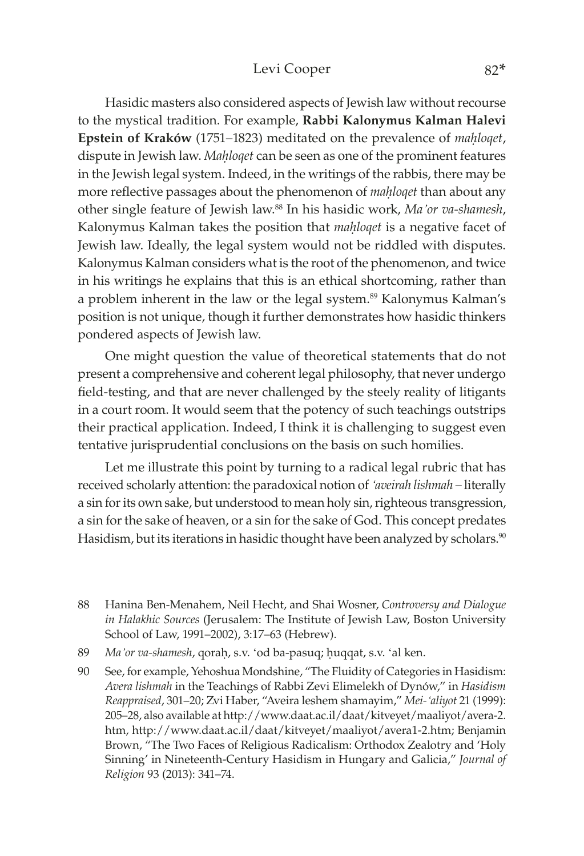#### Levi Cooper 82\*

Hasidic masters also considered aspects of Jewish law without recourse to the mystical tradition. For example, **Rabbi Kalonymus Kalman Halevi**  Epstein of Kraków (1751–1823) meditated on the prevalence of *mahloqet*, dispute in Jewish law. *Mahloqet* can be seen as one of the prominent features in the Jewish legal system. Indeed, in the writings of the rabbis, there may be more reflective passages about the phenomenon of *mahloget* than about any other single feature of Jewish law.<sup>88</sup> In his hasidic work, *Ma'or va-shamesh*, Kalonymus Kalman takes the position that *mahloqet* is a negative facet of Jewish law. Ideally, the legal system would not be riddled with disputes. Kalonymus Kalman considers what is the root of the phenomenon, and twice in his writings he explains that this is an ethical shortcoming, rather than a problem inherent in the law or the legal system.<sup>89</sup> Kalonymus Kalman's position is not unique, though it further demonstrates how hasidic thinkers pondered aspects of Jewish law.

One might question the value of theoretical statements that do not present a comprehensive and coherent legal philosophy, that never undergo field-testing, and that are never challenged by the steely reality of litigants in a court room. It would seem that the potency of such teachings outstrips their practical application. Indeed, I think it is challenging to suggest even tentative jurisprudential conclusions on the basis on such homilies.

Let me illustrate this point by turning to a radical legal rubric that has received scholarly attention: the paradoxical notion of *'aveirah lishmah* – literally a sin for its own sake, but understood to mean holy sin, righteous transgression, a sin for the sake of heaven, or a sin for the sake of God. This concept predates Hasidism, but its iterations in hasidic thought have been analyzed by scholars.<sup>90</sup>

- 89 *Ma'or va-shamesh*, qorah, s.v. 'od ba-pasuq; huqqat, s.v. 'al ken.
- 90 See, for example, Yehoshua Mondshine, "The Fluidity of Categories in Hasidism: *Avera lishmah* in the Teachings of Rabbi Zevi Elimelekh of Dynów," in *Hasidism Reappraised*, 301–20; Zvi Haber, "Aveira leshem shamayim," *Mei-'aliyot* 21 (1999): 205–28, also available at http://[www.daat.ac.il](http://www.daat.ac.il/daat/kitveyet/maaliyot/avera-2.htm)/daat/kitveyet/maaliyot/avera-2. [htm,](http://www.daat.ac.il/daat/kitveyet/maaliyot/avera-2.htm) http://[www.daat.ac.il](http://www.daat.ac.il/daat/kitveyet/maaliyot/avera1-2.htm)/daat/kitveyet/maaliyot/avera1-2.htm; Benjamin Brown, "The Two Faces of Religious Radicalism: Orthodox Zealotry and 'Holy Sinning' in Nineteenth-Century Hasidism in Hungary and Galicia," *Journal of Religion* 93 (2013): 341–74.

<sup>88</sup> Hanina Ben-Menahem, Neil Hecht, and Shai Wosner, *Controversy and Dialogue in Halakhic Sources* (Jerusalem: The Institute of Jewish Law, Boston University School of Law, 1991–2002), 3:17–63 (Hebrew).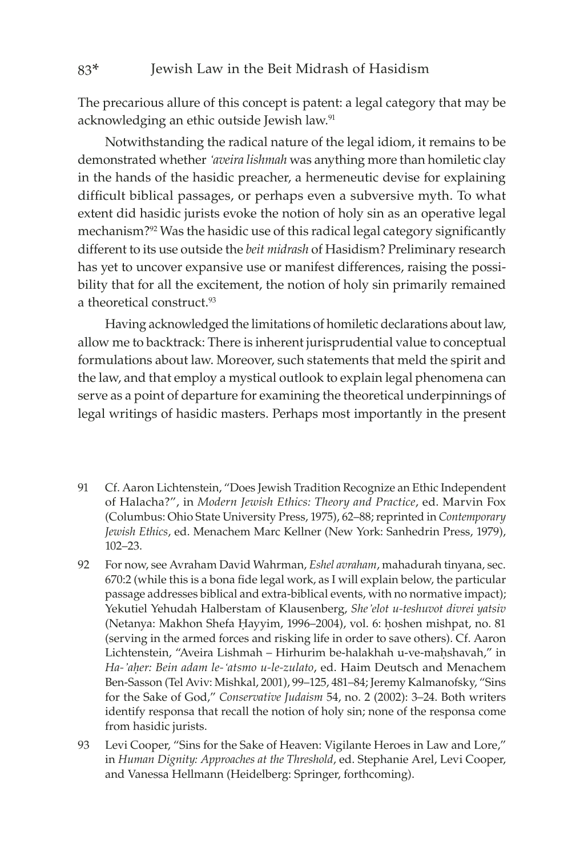#### 83\* Jewish Law in the Beit Midrash of Hasidism

The precarious allure of this concept is patent: a legal category that may be acknowledging an ethic outside Jewish law.91

Notwithstanding the radical nature of the legal idiom, it remains to be demonstrated whether *'aveira lishmah* was anything more than homiletic clay in the hands of the hasidic preacher, a hermeneutic devise for explaining difficult biblical passages, or perhaps even a subversive myth. To what extent did hasidic jurists evoke the notion of holy sin as an operative legal mechanism?92 Was the hasidic use of this radical legal category significantly different to its use outside the *beit midrash* of Hasidism? Preliminary research has yet to uncover expansive use or manifest differences, raising the possibility that for all the excitement, the notion of holy sin primarily remained a theoretical construct.<sup>93</sup>

Having acknowledged the limitations of homiletic declarations about law, allow me to backtrack: There is inherent jurisprudential value to conceptual formulations about law. Moreover, such statements that meld the spirit and the law, and that employ a mystical outlook to explain legal phenomena can serve as a point of departure for examining the theoretical underpinnings of legal writings of hasidic masters. Perhaps most importantly in the present

- 91 Cf. Aaron Lichtenstein, "Does Jewish Tradition Recognize an Ethic Independent of Halacha?", in *Modern Jewish Ethics: Theory and Practice*, ed. Marvin Fox (Columbus: Ohio State University Press, 1975), 62–88; reprinted in *Contemporary Jewish Ethics*, ed. Menachem Marc Kellner (New York: Sanhedrin Press, 1979), 102–23.
- 92 For now, see Avraham David Wahrman, *Eshel avraham*, mahadurah tinyana, sec. 670:2 (while this is a bona fide legal work, as I will explain below, the particular passage addresses biblical and extra-biblical events, with no normative impact); Yekutiel Yehudah Halberstam of Klausenberg, *She'elot u-teshuvot divrei yatsiv*  (Netanya: Makhon Shefa Hayyim, 1996–2004), vol. 6: hoshen mishpat, no. 81 (serving in the armed forces and risking life in order to save others). Cf. Aaron Lichtenstein, "Aveira Lishmah – Hirhurim be-halakhah u-ve-mahshavah," in *Ha-'aêer: Bein adam le-'atsmo u-le-zulato*, ed. Haim Deutsch and Menachem Ben-Sasson (Tel Aviv: Mishkal, 2001), 99–125, 481–84; Jeremy Kalmanofsky, "Sins for the Sake of God," *Conservative Judaism* 54, no. 2 (2002): 3–24. Both writers identify responsa that recall the notion of holy sin; none of the responsa come from hasidic jurists.
- 93 Levi Cooper, "Sins for the Sake of Heaven: Vigilante Heroes in Law and Lore," in *Human Dignity: Approaches at the Threshold*, ed. Stephanie Arel, Levi Cooper, and Vanessa Hellmann (Heidelberg: Springer, forthcoming).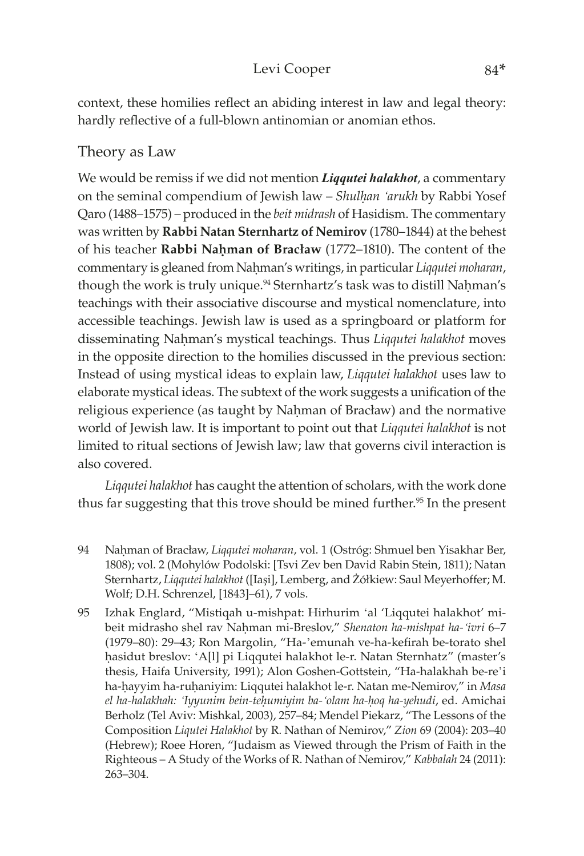#### Levi Cooper 84\*

context, these homilies reflect an abiding interest in law and legal theory: hardly reflective of a full-blown antinomian or anomian ethos.

## Theory as Law

We would be remiss if we did not mention *Liqqutei halakhot*, a commentary on the seminal compendium of Jewish law – *Shulêan 'arukh* by Rabbi Yosef Qaro (1488–1575) – produced in the *beit midrash* of Hasidism. The commentary was written by **Rabbi Natan Sternhartz of Nemirov** (1780–1844) at the behest of his teacher **Rabbi Nahman of Bracław** (1772–1810). The content of the commentary is gleaned from Nahman's writings, in particular *Liqqutei moharan*, though the work is truly unique.<sup>94</sup> Sternhartz's task was to distill Nahman's teachings with their associative discourse and mystical nomenclature, into accessible teachings. Jewish law is used as a springboard or platform for disseminating Nahman's mystical teachings. Thus *Liqqutei halakhot* moves in the opposite direction to the homilies discussed in the previous section: Instead of using mystical ideas to explain law, *Liqqutei halakhot* uses law to elaborate mystical ideas. The subtext of the work suggests a unification of the religious experience (as taught by Nahman of Bracław) and the normative world of Jewish law. It is important to point out that *Liqqutei halakhot* is not limited to ritual sections of Jewish law; law that governs civil interaction is also covered.

*Liqqutei halakhot* has caught the attention of scholars, with the work done thus far suggesting that this trove should be mined further.<sup>95</sup> In the present

- 94 Naêman of Bracław, *Liqqutei moharan*, vol. 1 (Ostróg: Shmuel ben Yisakhar Ber, 1808); vol. 2 (Mohylów Podolski: [Tsvi Zev ben David Rabin Stein, 1811); Natan Sternhartz, *Liqqutei halakhot* ([Iaşi], Lemberg, and Żółkiew: Saul Meyerhoffer; M. Wolf; D.H. Schrenzel, [1843]–61), 7 vols.
- 95 Izhak Englard, "Mistiqah u-mishpat: Hirhurim 'al 'Liqqutei halakhot' mibeit midrasho shel rav Nahman mi-Breslov," Shenaton ha-mishpat ha-'ivri 6-7 (1979–80): 29–43; Ron Margolin, "Ha-'emunah ve-ha-kefirah be-torato shel hasidut breslov: 'A[l] pi Liqqutei halakhot le-r. Natan Sternhatz" (master's thesis, Haifa University, 1991); Alon Goshen-Gottstein, "Ha-halakhah be-re'i ha-hayyim ha-ruhaniyim: Liqqutei halakhot le-r. Natan me-Nemirov," in *Masa el ha-halakhah: 'Iyyunim bein-teêumiyim ba-'olam ha-êoq ha-yehudi*, ed. Amichai Berholz (Tel Aviv: Mishkal, 2003), 257–84; Mendel Piekarz, "The Lessons of the Composition *Liqutei Halakhot* by R. Nathan of Nemirov," *Zion* 69 (2004): 203–40 (Hebrew); Roee Horen, "Judaism as Viewed through the Prism of Faith in the Righteous – A Study of the Works of R. Nathan of Nemirov," *Kabbalah* 24 (2011): 263–304.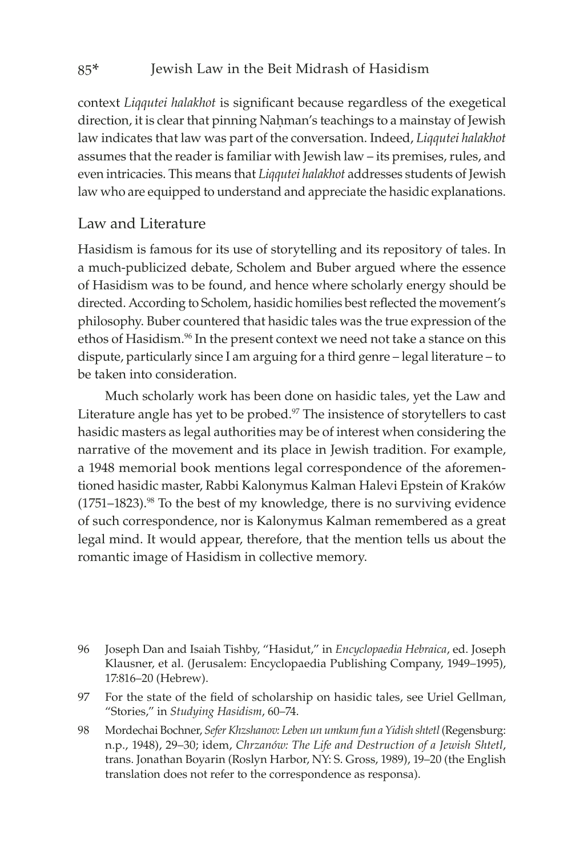context *Liqqutei halakhot* is significant because regardless of the exegetical direction, it is clear that pinning Nahman's teachings to a mainstay of Jewish law indicates that law was part of the conversation. Indeed, *Liqqutei halakhot* assumes that the reader is familiar with Jewish law – its premises, rules, and even intricacies. This means that *Liqqutei halakhot* addresses students of Jewish law who are equipped to understand and appreciate the hasidic explanations.

## Law and Literature

Hasidism is famous for its use of storytelling and its repository of tales. In a much-publicized debate, Scholem and Buber argued where the essence of Hasidism was to be found, and hence where scholarly energy should be directed. According to Scholem, hasidic homilies best reflected the movement's philosophy. Buber countered that hasidic tales was the true expression of the ethos of Hasidism.<sup>96</sup> In the present context we need not take a stance on this dispute, particularly since I am arguing for a third genre – legal literature – to be taken into consideration.

Much scholarly work has been done on hasidic tales, yet the Law and Literature angle has yet to be probed. $97$  The insistence of storytellers to cast hasidic masters as legal authorities may be of interest when considering the narrative of the movement and its place in Jewish tradition. For example, a 1948 memorial book mentions legal correspondence of the aforementioned hasidic master, Rabbi Kalonymus Kalman Halevi Epstein of Kraków  $(1751-1823).$ <sup>98</sup> To the best of my knowledge, there is no surviving evidence of such correspondence, nor is Kalonymus Kalman remembered as a great legal mind. It would appear, therefore, that the mention tells us about the romantic image of Hasidism in collective memory.

- 96 Joseph Dan and Isaiah Tishby, "Hasidut," in *Encyclopaedia Hebraica*, ed. Joseph Klausner, et al. (Jerusalem: Encyclopaedia Publishing Company, 1949–1995), 17:816–20 (Hebrew).
- 97 For the state of the field of scholarship on hasidic tales, see Uriel Gellman, "Stories," in *Studying Hasidism*, 60–74.
- 98 Mordechai Bochner, *Sefer Khzshanov: Leben un umkum fun a Yidish shtetl* (Regensburg: n.p., 1948), 29–30; idem, *Chrzanów: The Life and Destruction of a Jewish Shtetl*, trans. Jonathan Boyarin (Roslyn Harbor, NY: S. Gross, 1989), 19–20 (the English translation does not refer to the correspondence as responsa).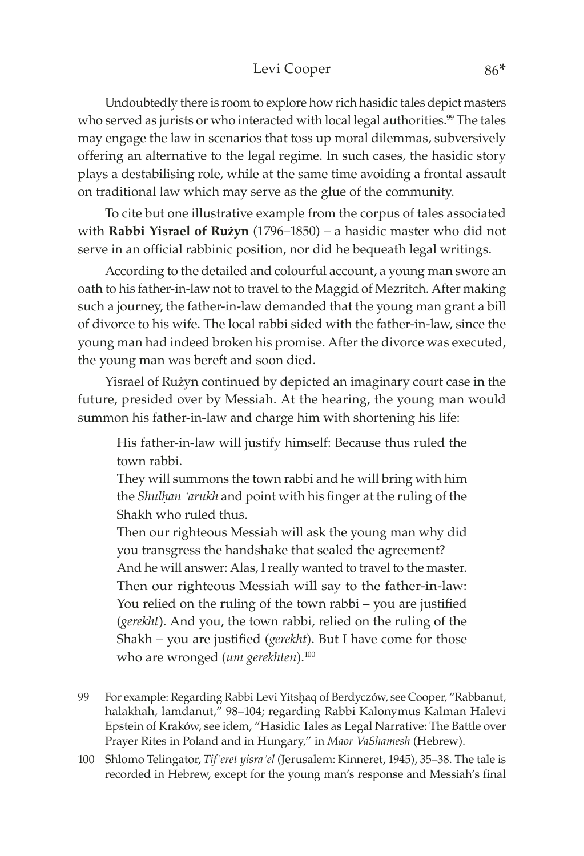#### Levi Cooper 86\*

Undoubtedly there is room to explore how rich hasidic tales depict masters who served as jurists or who interacted with local legal authorities.<sup>99</sup> The tales may engage the law in scenarios that toss up moral dilemmas, subversively offering an alternative to the legal regime. In such cases, the hasidic story plays a destabilising role, while at the same time avoiding a frontal assault on traditional law which may serve as the glue of the community.

To cite but one illustrative example from the corpus of tales associated with **Rabbi Yisrael of Rużyn** (1796–1850) – a hasidic master who did not serve in an official rabbinic position, nor did he bequeath legal writings.

According to the detailed and colourful account, a young man swore an oath to his father-in-law not to travel to the Maggid of Mezritch. After making such a journey, the father-in-law demanded that the young man grant a bill of divorce to his wife. The local rabbi sided with the father-in-law, since the young man had indeed broken his promise. After the divorce was executed, the young man was bereft and soon died.

Yisrael of Rużyn continued by depicted an imaginary court case in the future, presided over by Messiah. At the hearing, the young man would summon his father-in-law and charge him with shortening his life:

His father-in-law will justify himself: Because thus ruled the town rabbi.

They will summons the town rabbi and he will bring with him the *Shulhan 'arukh* and point with his finger at the ruling of the Shakh who ruled thus.

Then our righteous Messiah will ask the young man why did you transgress the handshake that sealed the agreement?

And he will answer: Alas, I really wanted to travel to the master. Then our righteous Messiah will say to the father-in-law: You relied on the ruling of the town rabbi – you are justified (*gerekht*). And you, the town rabbi, relied on the ruling of the Shakh – you are justified (*gerekht*). But I have come for those who are wronged (*um gerekhten*).<sup>100</sup>

- 99 For example: Regarding Rabbi Levi Yitshaq of Berdyczów, see Cooper, "Rabbanut, halakhah, lamdanut," 98–104; regarding Rabbi Kalonymus Kalman Halevi Epstein of Kraków, see idem, "Hasidic Tales as Legal Narrative: The Battle over Prayer Rites in Poland and in Hungary," in *Maor VaShamesh* (Hebrew).
- 100 Shlomo Telingator, *Tif'eret yisra'el* (Jerusalem: Kinneret, 1945), 35–38. The tale is recorded in Hebrew, except for the young man's response and Messiah's final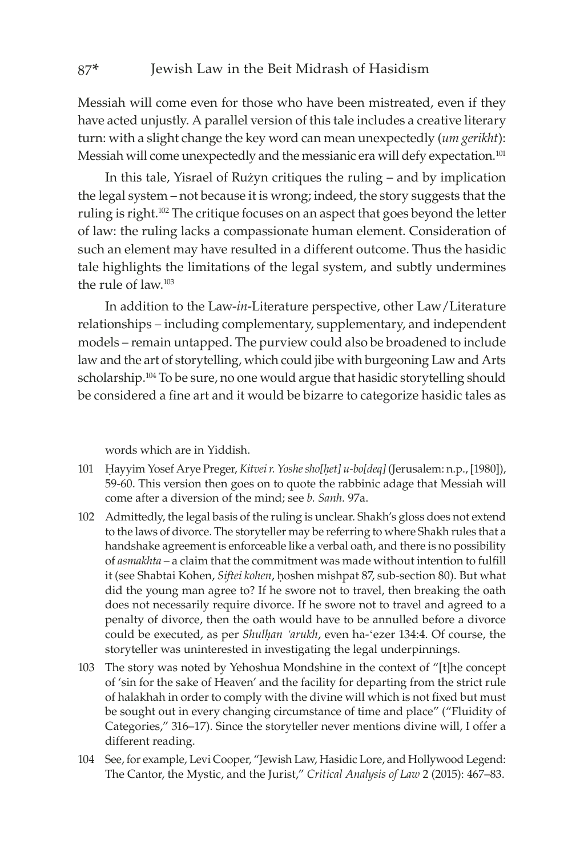Messiah will come even for those who have been mistreated, even if they have acted unjustly. A parallel version of this tale includes a creative literary turn: with a slight change the key word can mean unexpectedly (*um gerikht*): Messiah will come unexpectedly and the messianic era will defy expectation.<sup>101</sup>

In this tale, Yisrael of Rużyn critiques the ruling – and by implication the legal system – not because it is wrong; indeed, the story suggests that the ruling is right.<sup>102</sup> The critique focuses on an aspect that goes beyond the letter of law: the ruling lacks a compassionate human element. Consideration of such an element may have resulted in a different outcome. Thus the hasidic tale highlights the limitations of the legal system, and subtly undermines the rule of law.<sup>103</sup>

In addition to the Law-*in*-Literature perspective, other Law/Literature relationships – including complementary, supplementary, and independent models – remain untapped. The purview could also be broadened to include law and the art of storytelling, which could jibe with burgeoning Law and Arts scholarship.<sup>104</sup> To be sure, no one would argue that hasidic storytelling should be considered a fine art and it would be bizarre to categorize hasidic tales as

words which are in Yiddish.

- 101 Êayyim Yosef Arye Preger, *Kitvei r. Yoshe sho[êet] u-bo[deq]* (Jerusalem: n.p., [1980]), 59-60. This version then goes on to quote the rabbinic adage that Messiah will come after a diversion of the mind; see *b. Sanh.* 97a.
- 102 Admittedly, the legal basis of the ruling is unclear. Shakh's gloss does not extend to the laws of divorce. The storyteller may be referring to where Shakh rules that a handshake agreement is enforceable like a verbal oath, and there is no possibility of *asmakhta* – a claim that the commitment was made without intention to fulfill it (see Shabtai Kohen, *Siftei kohen*, hoshen mishpat 87, sub-section 80). But what did the young man agree to? If he swore not to travel, then breaking the oath does not necessarily require divorce. If he swore not to travel and agreed to a penalty of divorce, then the oath would have to be annulled before a divorce could be executed, as per *Shulhan 'arukh*, even ha-'ezer 134:4. Of course, the storyteller was uninterested in investigating the legal underpinnings.
- 103 The story was noted by Yehoshua Mondshine in the context of "[t]he concept of 'sin for the sake of Heaven' and the facility for departing from the strict rule of halakhah in order to comply with the divine will which is not fixed but must be sought out in every changing circumstance of time and place" ("Fluidity of Categories," 316–17). Since the storyteller never mentions divine will, I offer a different reading.
- 104 See, for example, Levi Cooper, "Jewish Law, Hasidic Lore, and Hollywood Legend: The Cantor, the Mystic, and the Jurist," *Critical Analysis of Law* 2 (2015): 467–83.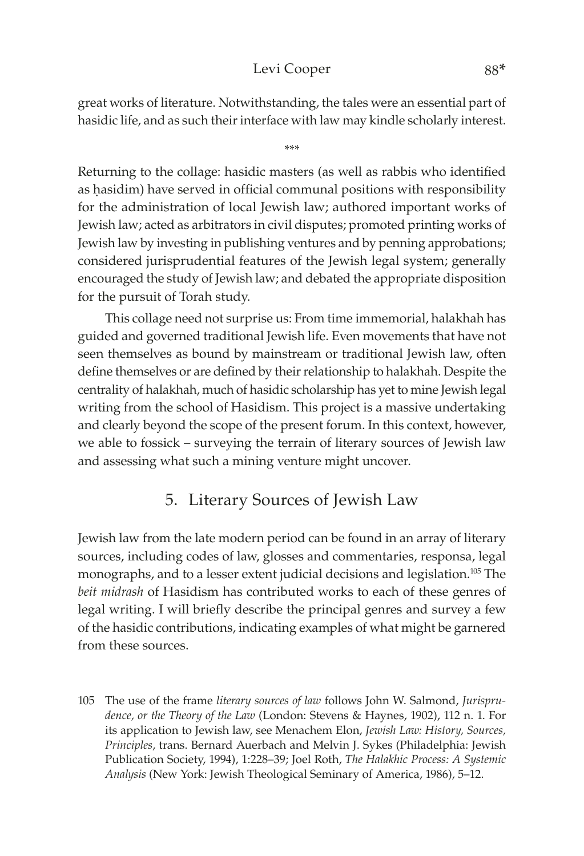## Levi Cooper 88\*

great works of literature. Notwithstanding, the tales were an essential part of hasidic life, and as such their interface with law may kindle scholarly interest.

\*\*\*

Returning to the collage: hasidic masters (as well as rabbis who identified as hasidim) have served in official communal positions with responsibility for the administration of local Jewish law; authored important works of Jewish law; acted as arbitrators in civil disputes; promoted printing works of Jewish law by investing in publishing ventures and by penning approbations; considered jurisprudential features of the Jewish legal system; generally encouraged the study of Jewish law; and debated the appropriate disposition for the pursuit of Torah study.

This collage need not surprise us: From time immemorial, halakhah has guided and governed traditional Jewish life. Even movements that have not seen themselves as bound by mainstream or traditional Jewish law, often define themselves or are defined by their relationship to halakhah. Despite the centrality of halakhah, much of hasidic scholarship has yet to mine Jewish legal writing from the school of Hasidism. This project is a massive undertaking and clearly beyond the scope of the present forum. In this context, however, we able to fossick – surveying the terrain of literary sources of Jewish law and assessing what such a mining venture might uncover.

## 5. Literary Sources of Jewish Law

Jewish law from the late modern period can be found in an array of literary sources, including codes of law, glosses and commentaries, responsa, legal monographs, and to a lesser extent judicial decisions and legislation.105 The *beit midrash* of Hasidism has contributed works to each of these genres of legal writing. I will briefly describe the principal genres and survey a few of the hasidic contributions, indicating examples of what might be garnered from these sources.

<sup>105</sup> The use of the frame *literary sources of law* follows John W. Salmond, *Jurisprudence, or the Theory of the Law* (London: Stevens & Haynes, 1902), 112 n. 1. For its application to Jewish law, see Menachem Elon, *Jewish Law: History, Sources, Principles*, trans. Bernard Auerbach and Melvin J. Sykes (Philadelphia: Jewish Publication Society, 1994), 1:228–39; Joel Roth, *The Halakhic Process: A Systemic Analysis* (New York: Jewish Theological Seminary of America, 1986), 5–12.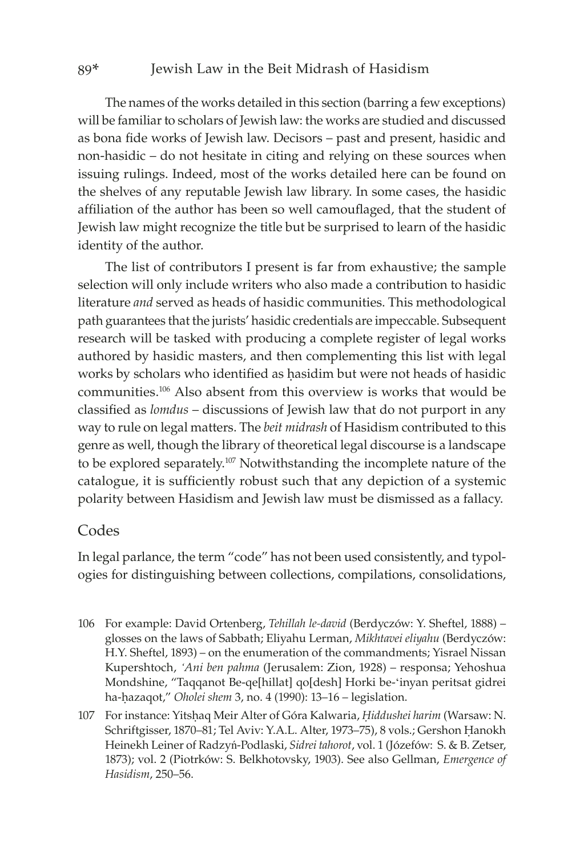#### 89\* Jewish Law in the Beit Midrash of Hasidism

The names of the works detailed in this section (barring a few exceptions) will be familiar to scholars of Jewish law: the works are studied and discussed as bona fide works of Jewish law. Decisors – past and present, hasidic and non-hasidic – do not hesitate in citing and relying on these sources when issuing rulings. Indeed, most of the works detailed here can be found on the shelves of any reputable Jewish law library. In some cases, the hasidic affiliation of the author has been so well camouflaged, that the student of Jewish law might recognize the title but be surprised to learn of the hasidic identity of the author.

The list of contributors I present is far from exhaustive; the sample selection will only include writers who also made a contribution to hasidic literature *and* served as heads of hasidic communities. This methodological path guarantees that the jurists' hasidic credentials are impeccable. Subsequent research will be tasked with producing a complete register of legal works authored by hasidic masters, and then complementing this list with legal works by scholars who identified as hasidim but were not heads of hasidic communities.106 Also absent from this overview is works that would be classified as *lomdus* – discussions of Jewish law that do not purport in any way to rule on legal matters. The *beit midrash* of Hasidism contributed to this genre as well, though the library of theoretical legal discourse is a landscape to be explored separately.107 Notwithstanding the incomplete nature of the catalogue, it is sufficiently robust such that any depiction of a systemic polarity between Hasidism and Jewish law must be dismissed as a fallacy.

#### Codes

In legal parlance, the term "code" has not been used consistently, and typologies for distinguishing between collections, compilations, consolidations,

- 106 For example: David Ortenberg, *Tehillah le-david* (Berdyczów: Y. Sheftel, 1888) glosses on the laws of Sabbath; Eliyahu Lerman, *Mikhtavei eliyahu* (Berdyczów: H.Y. Sheftel, 1893) – on the enumeration of the commandments; Yisrael Nissan Kupershtoch, *'Ani ben pahma* (Jerusalem: Zion, 1928) – responsa; Yehoshua Mondshine, "Taqqanot Be-qe[hillat] qo[desh] Horki be-'inyan peritsat gidrei ha-hazaqot," *Oholei shem* 3, no. 4 (1990): 13–16 – legislation.
- 107 For instance: Yitshaq Meir Alter of Góra Kalwaria, *Hiddushei harim* (Warsaw: N. Schriftgisser, 1870–81; Tel Aviv: Y.A.L. Alter, 1973–75), 8 vols.; Gershon Hanokh Heinekh Leiner of Radzyń-Podlaski, *Sidrei tahorot*, vol. 1 (Józefów: S. & B. Zetser, 1873); vol. 2 (Piotrków: S. Belkhotovsky, 1903). See also Gellman, *Emergence of Hasidism*, 250–56.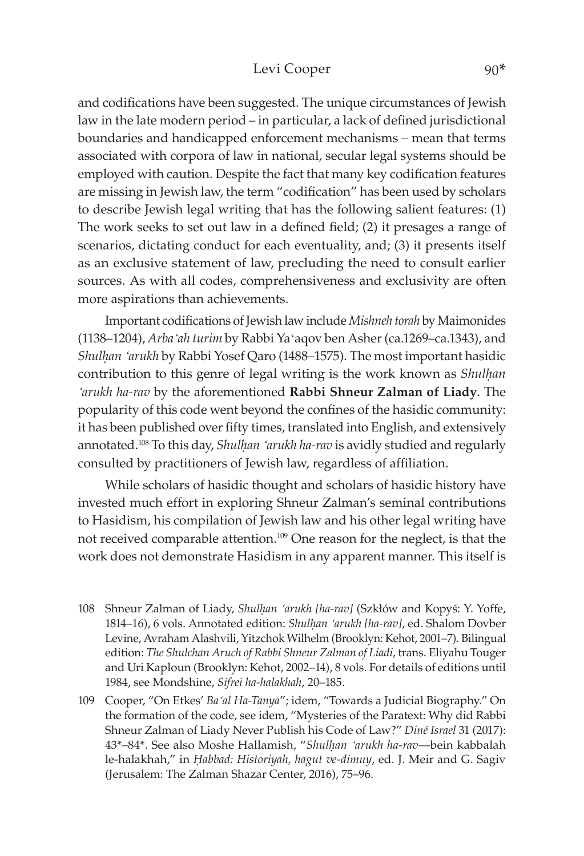and codifications have been suggested. The unique circumstances of Jewish law in the late modern period – in particular, a lack of defined jurisdictional boundaries and handicapped enforcement mechanisms – mean that terms associated with corpora of law in national, secular legal systems should be employed with caution. Despite the fact that many key codification features are missing in Jewish law, the term "codification" has been used by scholars to describe Jewish legal writing that has the following salient features: (1) The work seeks to set out law in a defined field; (2) it presages a range of scenarios, dictating conduct for each eventuality, and; (3) it presents itself as an exclusive statement of law, precluding the need to consult earlier sources. As with all codes, comprehensiveness and exclusivity are often more aspirations than achievements.

Important codifications of Jewish law include *Mishneh torah* by Maimonides (1138–1204), *Arba'ah turim* by Rabbi Ya'aqov ben Asher (ca.1269–ca.1343), and *Shulhan 'arukh* by Rabbi Yosef Qaro (1488–1575). The most important hasidic contribution to this genre of legal writing is the work known as *Shulhan 'arukh ha-rav* by the aforementioned **Rabbi Shneur Zalman of Liady**. The popularity of this code went beyond the confines of the hasidic community: it has been published over fifty times, translated into English, and extensively annotated.<sup>108</sup> To this day, *Shulhan 'arukh ha-rav* is avidly studied and regularly consulted by practitioners of Jewish law, regardless of affiliation.

While scholars of hasidic thought and scholars of hasidic history have invested much effort in exploring Shneur Zalman's seminal contributions to Hasidism, his compilation of Jewish law and his other legal writing have not received comparable attention.109 One reason for the neglect, is that the work does not demonstrate Hasidism in any apparent manner. This itself is

- 108 Shneur Zalman of Liady, *Shulêan 'arukh [ha-rav]* (Szkłów and Kopyś: Y. Yoffe, 1814–16), 6 vols. Annotated edition: *Shulêan 'arukh [ha-rav]*, ed. Shalom Dovber Levine, Avraham Alashvili, Yitzchok Wilhelm (Brooklyn: Kehot, 2001–7). Bilingual edition: *The Shulchan Aruch of Rabbi Shneur Zalman of Liadi*, trans. Eliyahu Touger and Uri Kaploun (Brooklyn: Kehot, 2002–14), 8 vols. For details of editions until 1984, see Mondshine, *Sifrei ha-halakhah*, 20–185.
- 109 Cooper, "On Etkes' *Ba'al Ha-Tanya*"; idem, "Towards a Judicial Biography." On the formation of the code, see idem, "Mysteries of the Paratext: Why did Rabbi Shneur Zalman of Liady Never Publish his Code of Law?" *Diné Israel* 31 (2017): 43\*–84\*. See also Moshe Hallamish, "*Shulêan 'arukh ha-rav*—bein kabbalah le-halakhah," in *Êabbad: Historiyah, hagut ve-dimuy*, ed. J. Meir and G. Sagiv (Jerusalem: The Zalman Shazar Center, 2016), 75–96.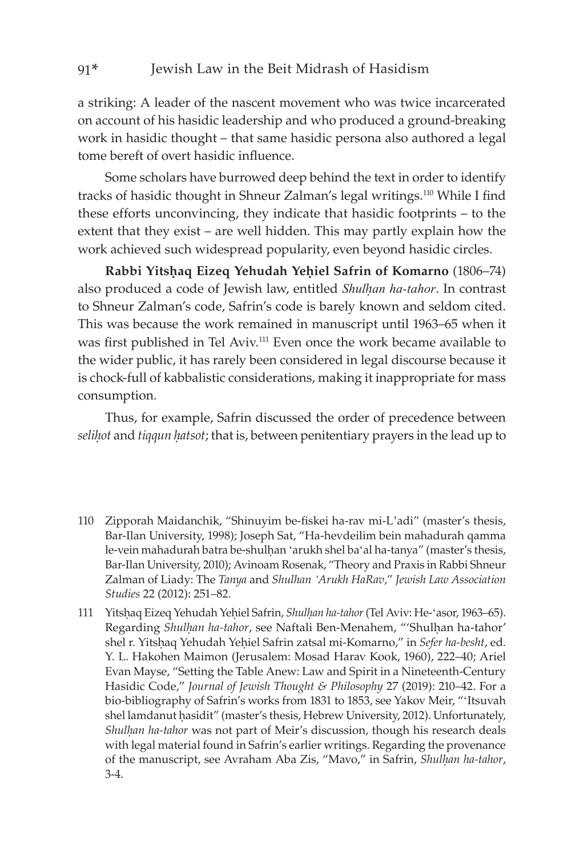a striking: A leader of the nascent movement who was twice incarcerated on account of his hasidic leadership and who produced a ground-breaking work in hasidic thought – that same hasidic persona also authored a legal tome bereft of overt hasidic influence.

Some scholars have burrowed deep behind the text in order to identify tracks of hasidic thought in Shneur Zalman's legal writings.<sup>110</sup> While I find these efforts unconvincing, they indicate that hasidic footprints – to the extent that they exist – are well hidden. This may partly explain how the work achieved such widespread popularity, even beyond hasidic circles.

Rabbi Yitshaq Eizeq Yehudah Yehiel Safrin of Komarno (1806–74) also produced a code of Jewish law, entitled *Shulêan ha-tahor*. In contrast to Shneur Zalman's code, Safrin's code is barely known and seldom cited. This was because the work remained in manuscript until 1963–65 when it was first published in Tel Aviv.111 Even once the work became available to the wider public, it has rarely been considered in legal discourse because it is chock-full of kabbalistic considerations, making it inappropriate for mass consumption.

Thus, for example, Safrin discussed the order of precedence between *selihot* and *tiqqun hatsot*; that is, between penitentiary prayers in the lead up to

- 110 Zipporah Maidanchik, "Shinuyim be-fiskei ha-rav mi-L'adi" (master's thesis, Bar-Ilan University, 1998); Joseph Sat, "Ha-hevdeilim bein mahadurah qamma le-vein mahadurah batra be-shulhan 'arukh shel ba'al ha-tanya" (master's thesis, Bar-Ilan University, 2010); Avinoam Rosenak, "Theory and Praxis in Rabbi Shneur Zalman of Liady: The *Tanya* and *Shulhan 'Arukh HaRav*," *Jewish Law Association Studies* 22 (2012): 251–82.
- 111 Yitshaq Eizeq Yehudah Yehiel Safrin, *Shulhan ha-tahor* (Tel Aviv: He-'asor, 1963–65). Regarding Shulhan ha-tahor, see Naftali Ben-Menahem, "'Shulhan ha-tahor' shel r. Yitshaq Yehudah Yehiel Safrin zatsal mi-Komarno," in *Sefer ha-besht*, ed. Y. L. Hakohen Maimon (Jerusalem: Mosad Harav Kook, 1960), 222–40; Ariel Evan Mayse, "Setting the Table Anew: Law and Spirit in a Nineteenth-Century Hasidic Code," *Journal of Jewish Thought & Philosophy* 27 (2019): 210–42. For a bio-bibliography of Safrin's works from 1831 to 1853, see Yakov Meir, "'Itsuvah shel lamdanut hasidit" (master's thesis, Hebrew University, 2012). Unfortunately, Shulhan ha-tahor was not part of Meir's discussion, though his research deals with legal material found in Safrin's earlier writings. Regarding the provenance of the manuscript, see Avraham Aba Zis, "Mavo," in Safrin, *Shulhan ha-tahor*, 3-4.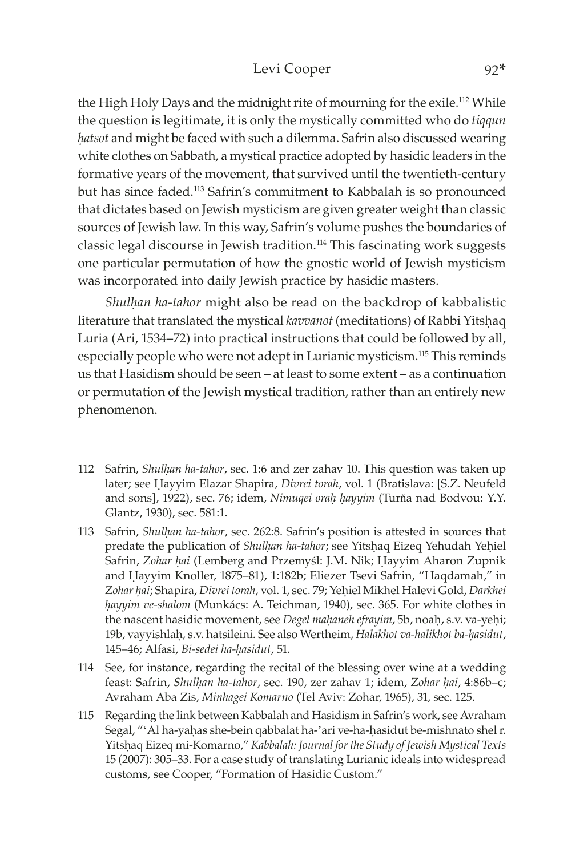#### Levi Cooper 92\*

the High Holy Days and the midnight rite of mourning for the exile.<sup>112</sup> While the question is legitimate, it is only the mystically committed who do *tiqqun êatsot* and might be faced with such a dilemma. Safrin also discussed wearing white clothes on Sabbath, a mystical practice adopted by hasidic leaders in the formative years of the movement, that survived until the twentieth-century but has since faded.113 Safrin's commitment to Kabbalah is so pronounced that dictates based on Jewish mysticism are given greater weight than classic sources of Jewish law. In this way, Safrin's volume pushes the boundaries of classic legal discourse in Jewish tradition.114 This fascinating work suggests one particular permutation of how the gnostic world of Jewish mysticism was incorporated into daily Jewish practice by hasidic masters.

*Shulhan ha-tahor* might also be read on the backdrop of kabbalistic literature that translated the mystical *kavvanot* (meditations) of Rabbi Yitshaq Luria (Ari, 1534–72) into practical instructions that could be followed by all, especially people who were not adept in Lurianic mysticism.115 This reminds us that Hasidism should be seen – at least to some extent – as a continuation or permutation of the Jewish mystical tradition, rather than an entirely new phenomenon.

- 112 Safrin, *Shulêan ha-tahor*, sec. 1:6 and zer zahav 10. This question was taken up later; see Hayyim Elazar Shapira, *Divrei torah*, vol. 1 (Bratislava: [S.Z. Neufeld and sons], 1922), sec. 76; idem, *Nimuqei orah hayyim* (Turňa nad Bodvou: Y.Y. Glantz, 1930), sec. 581:1.
- 113 Safrin, *Shulhan ha-tahor*, sec. 262:8. Safrin's position is attested in sources that predate the publication of *Shulhan ha-tahor*; see Yitshaq Eizeq Yehudah Yehiel Safrin, *Zohar hai* (Lemberg and Przemyśl: J.M. Nik; Hayyim Aharon Zupnik and Hayyim Knoller, 1875–81), 1:182b; Eliezer Tsevi Safrin, "Haqdamah," in *Zohar êai*; Shapira, *Divrei torah*, vol. 1, sec. 79; Yeêiel Mikhel Halevi Gold, *Darkhei êayyim ve-shalom* (Munkács: A. Teichman, 1940), sec. 365. For white clothes in the nascent hasidic movement, see *Degel mahaneh efrayim*, 5b, noah, s.v. va-yehi; 19b, vayyishlah, s.v. hatsileini. See also Wertheim, *Halakhot va-halikhot ba-hasidut*, 145–46; Alfasi, Bi-sedei ha-hasidut, 51.
- 114 See, for instance, regarding the recital of the blessing over wine at a wedding feast: Safrin, *Shulhan ha-tahor*, sec. 190, zer zahav 1; idem, Zohar hai, 4:86b-c; Avraham Aba Zis, *Minhagei Komarno* (Tel Aviv: Zohar, 1965), 31, sec. 125.
- 115 Regarding the link between Kabbalah and Hasidism in Safrin's work, see Avraham Segal, "'Al ha-yaḥas she-bein qabbalat ha-'ari ve-ha-ḥasidut be-mishnato shel r. Yitshaq Eizeq mi-Komarno," *Kabbalah: Journal for the Study of Jewish Mystical Texts* 15 (2007): 305–33. For a case study of translating Lurianic ideals into widespread customs, see Cooper, "Formation of Hasidic Custom."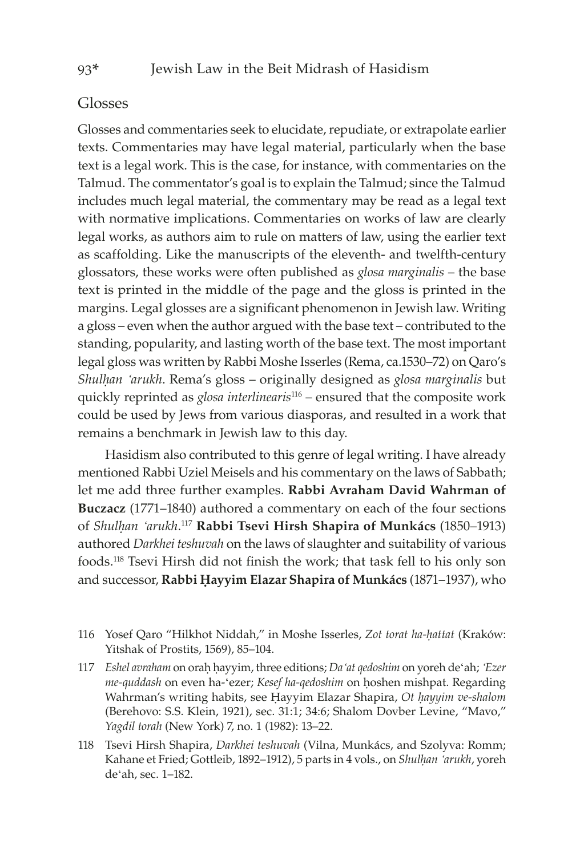## Glosses

Glosses and commentaries seek to elucidate, repudiate, or extrapolate earlier texts. Commentaries may have legal material, particularly when the base text is a legal work. This is the case, for instance, with commentaries on the Talmud. The commentator's goal is to explain the Talmud; since the Talmud includes much legal material, the commentary may be read as a legal text with normative implications. Commentaries on works of law are clearly legal works, as authors aim to rule on matters of law, using the earlier text as scaffolding. Like the manuscripts of the eleventh- and twelfth-century glossators, these works were often published as *glosa marginalis* – the base text is printed in the middle of the page and the gloss is printed in the margins. Legal glosses are a significant phenomenon in Jewish law. Writing a gloss – even when the author argued with the base text – contributed to the standing, popularity, and lasting worth of the base text. The most important legal gloss was written by Rabbi Moshe Isserles (Rema, ca.1530–72) on Qaro's *Shulêan 'arukh*. Rema's gloss – originally designed as *glosa marginalis* but quickly reprinted as *glosa interlinearis*116 – ensured that the composite work could be used by Jews from various diasporas, and resulted in a work that remains a benchmark in Jewish law to this day.

Hasidism also contributed to this genre of legal writing. I have already mentioned Rabbi Uziel Meisels and his commentary on the laws of Sabbath; let me add three further examples. **Rabbi Avraham David Wahrman of Buczacz** (1771–1840) authored a commentary on each of the four sections of *Shulêan 'arukh*. <sup>117</sup> **Rabbi Tsevi Hirsh Shapira of Munkács** (1850–1913) authored *Darkhei teshuvah* on the laws of slaughter and suitability of various foods.118 Tsevi Hirsh did not finish the work; that task fell to his only son and successor, Rabbi Hayyim Elazar Shapira of Munkács (1871-1937), who

- 116 Yosef Oaro "Hilkhot Niddah," in Moshe Isserles, Zot torat ha-hattat (Kraków: Yitshak of Prostits, 1569), 85–104.
- 117 *Eshel avraham* on oraê êayyim, three editions; *Da'at qedoshim* on yoreh de'ah; *'Ezer me-quddash* on even ha-'ezer; *Kesef ha-qedoshim* on hoshen mishpat. Regarding Wahrman's writing habits, see Hayyim Elazar Shapira, Ot hayyim ve-shalom (Berehovo: S.S. Klein, 1921), sec. 31:1; 34:6; Shalom Dovber Levine, "Mavo," *Yagdil torah* (New York) 7, no. 1 (1982): 13–22.
- 118 Tsevi Hirsh Shapira, *Darkhei teshuvah* (Vilna, Munkács, and Szolyva: Romm; Kahane et Fried; Gottleib, 1892-1912), 5 parts in 4 vols., on *Shulhan 'arukh*, yoreh de'ah, sec. 1–182.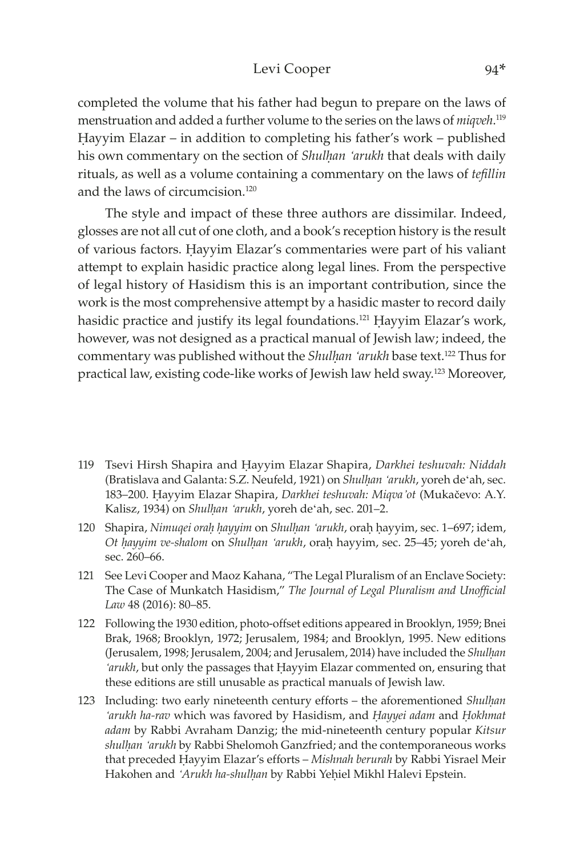#### Levi Cooper 94\*

completed the volume that his father had begun to prepare on the laws of menstruation and added a further volume to the series on the laws of *miqveh*. 119 Hayyim Elazar – in addition to completing his father's work – published his own commentary on the section of *Shulhan 'arukh* that deals with daily rituals, as well as a volume containing a commentary on the laws of *tefillin* and the laws of circumcision<sup>120</sup>

The style and impact of these three authors are dissimilar. Indeed, glosses are not all cut of one cloth, and a book's reception history is the result of various factors. Hayyim Elazar's commentaries were part of his valiant attempt to explain hasidic practice along legal lines. From the perspective of legal history of Hasidism this is an important contribution, since the work is the most comprehensive attempt by a hasidic master to record daily hasidic practice and justify its legal foundations.<sup>121</sup> Hayyim Elazar's work, however, was not designed as a practical manual of Jewish law; indeed, the commentary was published without the *Shulhan 'arukh* base text.<sup>122</sup> Thus for practical law, existing code-like works of Jewish law held sway.123 Moreover,

- 119 Tsevi Hirsh Shapira and Êayyim Elazar Shapira, *Darkhei teshuvah: Niddah* (Bratislava and Galanta: S.Z. Neufeld, 1921) on *Shulêan 'arukh*, yoreh de'ah, sec. 183–200. Êayyim Elazar Shapira, *Darkhei teshuvah: Miqva'ot* (Mukačevo: A.Y. Kalisz, 1934) on *Shulhan 'arukh*, yoreh de'ah, sec. 201-2.
- 120 Shapira, *Nimuqei oraê êayyim* on *Shulêan 'arukh*, oraê êayyim, sec. 1–697; idem, *Ot hayyim ve-shalom* on *Shulhan 'arukh*, orah hayyim, sec. 25–45; yoreh de'ah, sec. 260–66.
- 121 See Levi Cooper and Maoz Kahana, "The Legal Pluralism of an Enclave Society: The Case of Munkatch Hasidism," *The Journal of Legal Pluralism and Unofficial Law* 48 (2016): 80–85.
- 122 Following the 1930 edition, photo-offset editions appeared in Brooklyn, 1959; Bnei Brak, 1968; Brooklyn, 1972; Jerusalem, 1984; and Brooklyn, 1995. New editions (Jerusalem, 1998; Jerusalem, 2004; and Jerusalem, 2014) have included the *Shulhan* '*arukh*, but only the passages that Hayyim Elazar commented on, ensuring that these editions are still unusable as practical manuals of Jewish law.
- 123 Including: two early nineteenth century efforts the aforementioned *Shulhan 'arukh ha-rav* which was favored by Hasidism, and *Êayyei adam* and *Êokhmat adam* by Rabbi Avraham Danzig; the mid-nineteenth century popular *Kitsur shulêan 'arukh* by Rabbi Shelomoh Ganzfried; and the contemporaneous works that preceded Êayyim Elazar's efforts – *Mishnah berurah* by Rabbi Yisrael Meir Hakohen and 'Arukh ha-shulhan by Rabbi Yehiel Mikhl Halevi Epstein.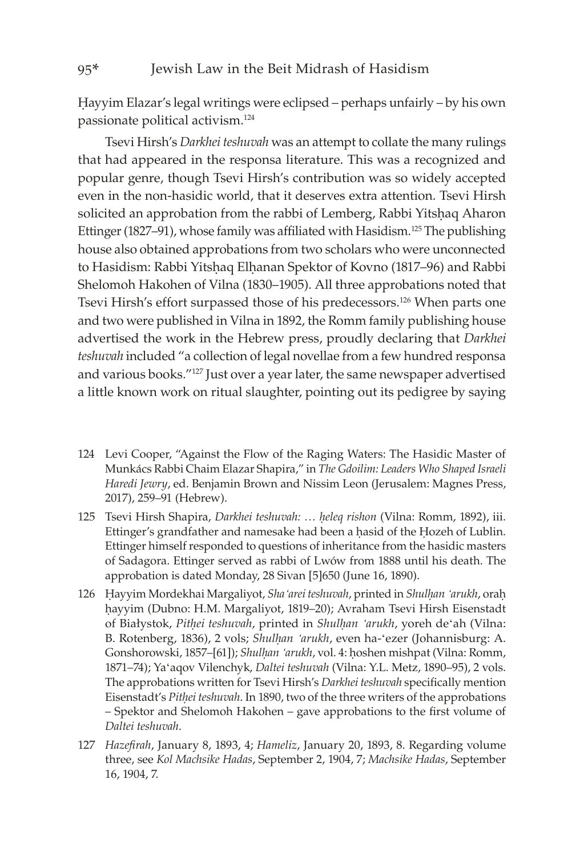#### 95\* Jewish Law in the Beit Midrash of Hasidism

Êayyim Elazar's legal writings were eclipsed – perhaps unfairly – by his own passionate political activism.124

Tsevi Hirsh's *Darkhei teshuvah* was an attempt to collate the many rulings that had appeared in the responsa literature. This was a recognized and popular genre, though Tsevi Hirsh's contribution was so widely accepted even in the non-hasidic world, that it deserves extra attention. Tsevi Hirsh solicited an approbation from the rabbi of Lemberg, Rabbi Yitshaq Aharon Ettinger (1827–91), whose family was affiliated with Hasidism.<sup>125</sup> The publishing house also obtained approbations from two scholars who were unconnected to Hasidism: Rabbi Yitshaq Elhanan Spektor of Kovno (1817–96) and Rabbi Shelomoh Hakohen of Vilna (1830–1905). All three approbations noted that Tsevi Hirsh's effort surpassed those of his predecessors.126 When parts one and two were published in Vilna in 1892, the Romm family publishing house advertised the work in the Hebrew press, proudly declaring that *Darkhei teshuvah* included "a collection of legal novellae from a few hundred responsa and various books."127 Just over a year later, the same newspaper advertised a little known work on ritual slaughter, pointing out its pedigree by saying

- 124 Levi Cooper, "Against the Flow of the Raging Waters: The Hasidic Master of Munkács Rabbi Chaim Elazar Shapira," in *The Gdoilim: Leaders Who Shaped Israeli Haredi Jewry*, ed. Benjamin Brown and Nissim Leon (Jerusalem: Magnes Press, 2017), 259–91 (Hebrew).
- 125 Tsevi Hirsh Shapira, *Darkhei teshuvah: … êeleq rishon* (Vilna: Romm, 1892), iii. Ettinger's grandfather and namesake had been a hasid of the Hozeh of Lublin. Ettinger himself responded to questions of inheritance from the hasidic masters of Sadagora. Ettinger served as rabbi of Lwów from 1888 until his death. The approbation is dated Monday, 28 Sivan [5]650 (June 16, 1890).
- 126 Hayyim Mordekhai Margaliyot, *Sha'arei teshuvah*, printed in *Shulhan 'arukh*, orah hayyim (Dubno: H.M. Margaliyot, 1819–20); Avraham Tsevi Hirsh Eisenstadt of Białystok, *Pitêei teshuvah*, printed in *Shulêan 'arukh*, yoreh de'ah (Vilna: B. Rotenberg, 1836), 2 vols; *Shulhan 'arukh*, even ha-'ezer (Johannisburg: A. Gonshorowski, 1857–[61]); *Shulhan 'arukh*, vol. 4: hoshen mishpat (Vilna: Romm, 1871–74); Ya'aqov Vilenchyk, *Daltei teshuvah* (Vilna: Y.L. Metz, 1890–95), 2 vols. The approbations written for Tsevi Hirsh's *Darkhei teshuvah* specifically mention Eisenstadt's *Pitêei teshuvah*. In 1890, two of the three writers of the approbations – Spektor and Shelomoh Hakohen – gave approbations to the first volume of *Daltei teshuvah*.
- 127 *Hazefirah*, January 8, 1893, 4; *Hameliz*, January 20, 1893, 8. Regarding volume three, see *Kol Machsike Hadas*, September 2, 1904, 7; *Machsike Hadas*, September 16, 1904, 7.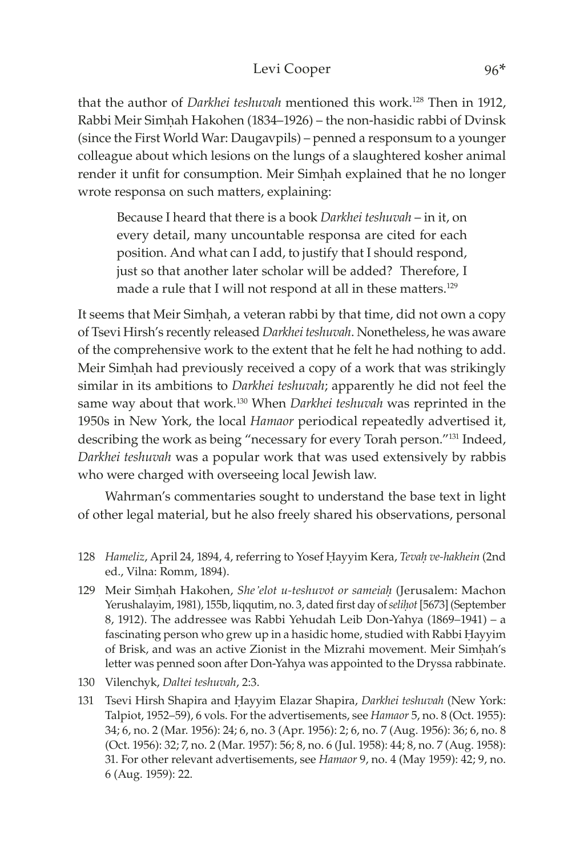that the author of *Darkhei teshuvah* mentioned this work.<sup>128</sup> Then in 1912, Rabbi Meir Simhah Hakohen (1834–1926) – the non-hasidic rabbi of Dvinsk (since the First World War: Daugavpils) – penned a responsum to a younger colleague about which lesions on the lungs of a slaughtered kosher animal render it unfit for consumption. Meir Simhah explained that he no longer wrote responsa on such matters, explaining:

Because I heard that there is a book *Darkhei teshuvah* – in it, on every detail, many uncountable responsa are cited for each position. And what can I add, to justify that I should respond, just so that another later scholar will be added? Therefore, I made a rule that I will not respond at all in these matters.<sup>129</sup>

It seems that Meir Simhah, a veteran rabbi by that time, did not own a copy of Tsevi Hirsh's recently released *Darkhei teshuvah*. Nonetheless, he was aware of the comprehensive work to the extent that he felt he had nothing to add. Meir Simhah had previously received a copy of a work that was strikingly similar in its ambitions to *Darkhei teshuvah*; apparently he did not feel the same way about that work.130 When *Darkhei teshuvah* was reprinted in the 1950s in New York, the local *Hamaor* periodical repeatedly advertised it, describing the work as being "necessary for every Torah person."131 Indeed, *Darkhei teshuvah* was a popular work that was used extensively by rabbis who were charged with overseeing local Jewish law.

Wahrman's commentaries sought to understand the base text in light of other legal material, but he also freely shared his observations, personal

- 128 *Hameliz, April 24, 1894, 4, referring to Yosef Hayyim Kera, Tevah ve-hakhein* (2nd ed., Vilna: Romm, 1894).
- 129 Meir Simêah Hakohen, *She'elot u-teshuvot or sameiaê* (Jerusalem: Machon Yerushalayim, 1981), 155b, liqqutim, no. 3, dated first day of *selihot* [5673] (September 8, 1912). The addressee was Rabbi Yehudah Leib Don-Yahya (1869–1941) – a fascinating person who grew up in a hasidic home, studied with Rabbi Hayyim of Brisk, and was an active Zionist in the Mizrahi movement. Meir Simhah's letter was penned soon after Don-Yahya was appointed to the Dryssa rabbinate.
- 130 Vilenchyk, *Daltei teshuvah*, 2:3.
- 131 Tsevi Hirsh Shapira and Êayyim Elazar Shapira, *Darkhei teshuvah* (New York: Talpiot, 1952–59), 6 vols. For the advertisements, see *Hamaor* 5, no. 8 (Oct. 1955): 34; 6, no. 2 (Mar. 1956): 24; 6, no. 3 (Apr. 1956): 2; 6, no. 7 (Aug. 1956): 36; 6, no. 8 (Oct. 1956): 32; 7, no. 2 (Mar. 1957): 56; 8, no. 6 (Jul. 1958): 44; 8, no. 7 (Aug. 1958): 31. For other relevant advertisements, see *Hamaor* 9, no. 4 (May 1959): 42; 9, no. 6 (Aug. 1959): 22.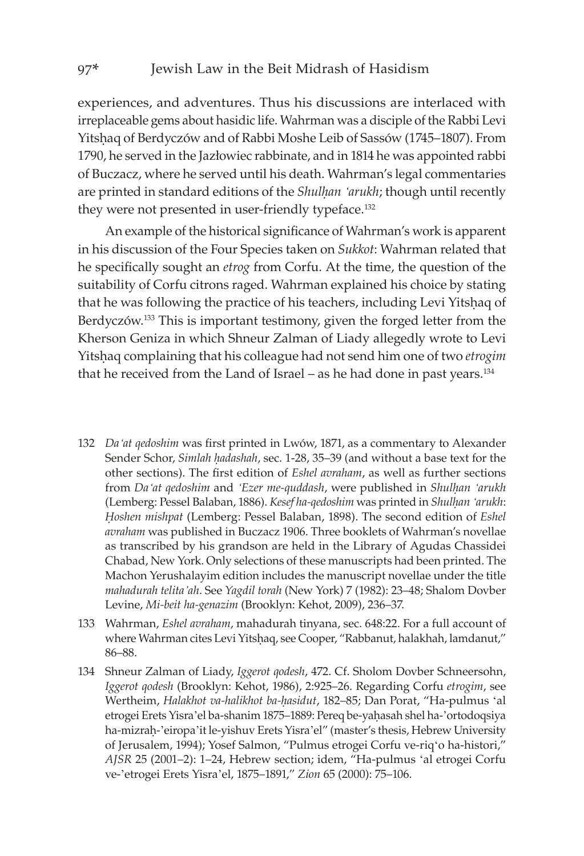experiences, and adventures. Thus his discussions are interlaced with irreplaceable gems about hasidic life. Wahrman was a disciple of the Rabbi Levi Yitshaq of Berdyczów and of Rabbi Moshe Leib of Sassów (1745–1807). From 1790, he served in the Jazłowiec rabbinate, and in 1814 he was appointed rabbi of Buczacz, where he served until his death. Wahrman's legal commentaries are printed in standard editions of the *Shulêan 'arukh*; though until recently they were not presented in user-friendly typeface.<sup>132</sup>

An example of the historical significance of Wahrman's work is apparent in his discussion of the Four Species taken on *Sukkot*: Wahrman related that he specifically sought an *etrog* from Corfu. At the time, the question of the suitability of Corfu citrons raged. Wahrman explained his choice by stating that he was following the practice of his teachers, including Levi Yitshaq of Berdyczów.<sup>133</sup> This is important testimony, given the forged letter from the Kherson Geniza in which Shneur Zalman of Liady allegedly wrote to Levi Yitshaq complaining that his colleague had not send him one of two *etrogim* that he received from the Land of Israel – as he had done in past years. $134$ 

- 132 *Da'at qedoshim* was first printed in Lwów, 1871, as a commentary to Alexander Sender Schor, *Simlah hadashah*, sec. 1-28, 35-39 (and without a base text for the other sections). The first edition of *Eshel avraham*, as well as further sections from *Da'at qedoshim* and *'Ezer me-quddash*, were published in *Shulêan 'arukh* (Lemberg: Pessel Balaban, 1886). *Kesef ha-qedoshim* was printed in *Shulêan 'arukh*: *Êoshen mishpat* (Lemberg: Pessel Balaban, 1898). The second edition of *Eshel avraham* was published in Buczacz 1906. Three booklets of Wahrman's novellae as transcribed by his grandson are held in the Library of Agudas Chassidei Chabad, New York. Only selections of these manuscripts had been printed. The Machon Yerushalayim edition includes the manuscript novellae under the title *mahadurah telita'ah*. See *Yagdil torah* (New York) 7 (1982): 23–48; Shalom Dovber Levine, *Mi-beit ha-genazim* (Brooklyn: Kehot, 2009), 236–37.
- 133 Wahrman, *Eshel avraham*, mahadurah tinyana, sec. 648:22. For a full account of where Wahrman cites Levi Yitshaq, see Cooper, "Rabbanut, halakhah, lamdanut," 86–88.
- 134 Shneur Zalman of Liady, *Iggerot qodesh*, 472. Cf. Sholom Dovber Schneersohn, *Iggerot qodesh* (Brooklyn: Kehot, 1986), 2:925–26. Regarding Corfu *etrogim*, see Wertheim, *Halakhot va-halikhot ba-hasidut*, 182-85; Dan Porat, "Ha-pulmus 'al etrogei Erets Yisra'el ba-shanim 1875–1889: Pereq be-yaḥasah shel ha-'ortodoqsiya ha-mizraḥ-'eiropa'it le-yishuv Erets Yisra'el" (master's thesis, Hebrew University of Jerusalem, 1994); Yosef Salmon, "Pulmus etrogei Corfu ve-riq'o ha-histori," *AJSR* 25 (2001–2): 1–24, Hebrew section; idem, "Ha-pulmus 'al etrogei Corfu ve-'etrogei Erets Yisra'el, 1875–1891," *Zion* 65 (2000): 75–106.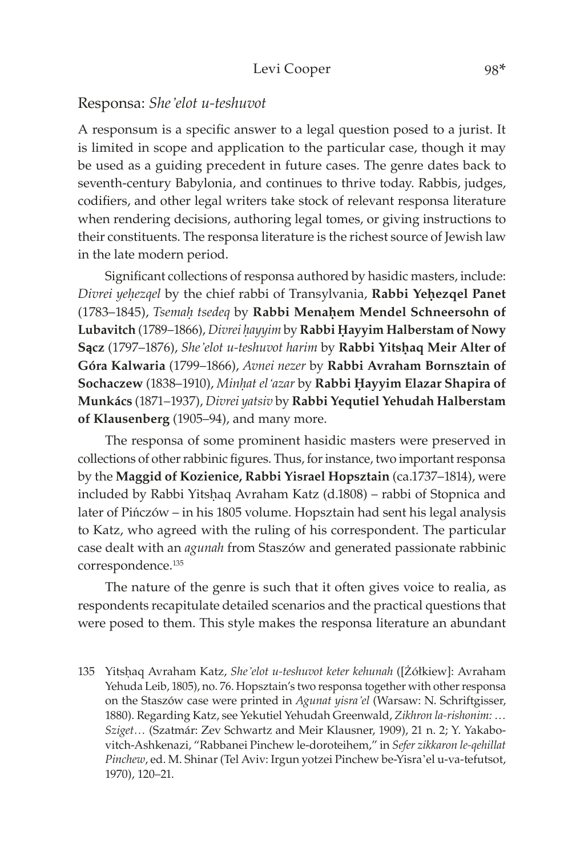#### Responsa: *She'elot u-teshuvot*

A responsum is a specific answer to a legal question posed to a jurist. It is limited in scope and application to the particular case, though it may be used as a guiding precedent in future cases. The genre dates back to seventh-century Babylonia, and continues to thrive today. Rabbis, judges, codifiers, and other legal writers take stock of relevant responsa literature when rendering decisions, authoring legal tomes, or giving instructions to their constituents. The responsa literature is the richest source of Jewish law in the late modern period.

Significant collections of responsa authored by hasidic masters, include: *Divrei yeêezqel* by the chief rabbi of Transylvania, **Rabbi Yeêezqel Panet** (1783-1845), *Tsemah tsedeq* by Rabbi Menahem Mendel Schneersohn of Lubavitch (1789–1866), Divrei hayyim by Rabbi Hayyim Halberstam of Nowy **Sacz** (1797–1876), *She'elot u-teshuvot harim* by Rabbi Yitshaq Meir Alter of **Góra Kalwaria** (1799–1866), *Avnei nezer* by **Rabbi Avraham Bornsztain of**  Sochaczew (1838–1910), Minhat el<sup>'</sup>azar by Rabbi Ḥayyim Elazar Shapira of **Munkács** (1871–1937), *Divrei yatsiv* by **Rabbi Yequtiel Yehudah Halberstam of Klausenberg** (1905–94), and many more.

The responsa of some prominent hasidic masters were preserved in collections of other rabbinic figures. Thus, for instance, two important responsa by the **Maggid of Kozienice, Rabbi Yisrael Hopsztain** (ca.1737–1814), were included by Rabbi Yitshaq Avraham Katz (d.1808) – rabbi of Stopnica and later of Pińczów – in his 1805 volume. Hopsztain had sent his legal analysis to Katz, who agreed with the ruling of his correspondent. The particular case dealt with an *agunah* from Staszów and generated passionate rabbinic correspondence.135

The nature of the genre is such that it often gives voice to realia, as respondents recapitulate detailed scenarios and the practical questions that were posed to them. This style makes the responsa literature an abundant

<sup>135</sup> Yitsêaq Avraham Katz, *She'elot u-teshuvot keter kehunah* ([Żółkiew]: Avraham Yehuda Leib, 1805), no. 76. Hopsztain's two responsa together with other responsa on the Staszów case were printed in *Agunat yisra'el* (Warsaw: N. Schriftgisser, 1880). Regarding Katz, see Yekutiel Yehudah Greenwald, *Zikhron la-rishonim: … Sziget…* (Szatmár: Zev Schwartz and Meir Klausner, 1909), 21 n. 2; Y. Yakabovitch-Ashkenazi, "Rabbanei Pinchew le-doroteihem," in *Sefer zikkaron le-qehillat Pinchew*, ed. M. Shinar (Tel Aviv: Irgun yotzei Pinchew be-Yisra'el u-va-tefutsot, 1970), 120–21.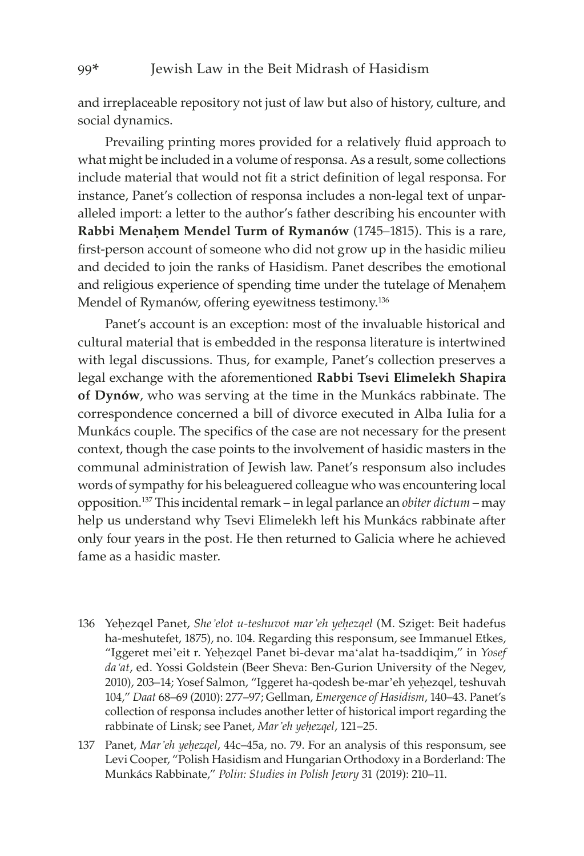#### 99\* Jewish Law in the Beit Midrash of Hasidism

and irreplaceable repository not just of law but also of history, culture, and social dynamics.

Prevailing printing mores provided for a relatively fluid approach to what might be included in a volume of responsa. As a result, some collections include material that would not fit a strict definition of legal responsa. For instance, Panet's collection of responsa includes a non-legal text of unparalleled import: a letter to the author's father describing his encounter with **Rabbi Menahem Mendel Turm of Rymanów** (1745–1815). This is a rare, first-person account of someone who did not grow up in the hasidic milieu and decided to join the ranks of Hasidism. Panet describes the emotional and religious experience of spending time under the tutelage of Menahem Mendel of Rymanów, offering eyewitness testimony.136

Panet's account is an exception: most of the invaluable historical and cultural material that is embedded in the responsa literature is intertwined with legal discussions. Thus, for example, Panet's collection preserves a legal exchange with the aforementioned **Rabbi Tsevi Elimelekh Shapira of Dynów**, who was serving at the time in the Munkács rabbinate. The correspondence concerned a bill of divorce executed in Alba Iulia for a Munkács couple. The specifics of the case are not necessary for the present context, though the case points to the involvement of hasidic masters in the communal administration of Jewish law. Panet's responsum also includes words of sympathy for his beleaguered colleague who was encountering local opposition.137 This incidental remark – in legal parlance an *obiter dictum* – may help us understand why Tsevi Elimelekh left his Munkács rabbinate after only four years in the post. He then returned to Galicia where he achieved fame as a hasidic master.

- 136 Yehezqel Panet, She'elot u-teshuvot mar'eh yehezqel (M. Sziget: Beit hadefus ha-meshutefet, 1875), no. 104. Regarding this responsum, see Immanuel Etkes, "Iggeret mei'eit r. Yehezqel Panet bi-devar ma'alat ha-tsaddiqim," in *Yosef da'at*, ed. Yossi Goldstein (Beer Sheva: Ben-Gurion University of the Negev, 2010), 203-14; Yosef Salmon, "Iggeret ha-qodesh be-mar'eh yehezqel, teshuvah 104," *Daat* 68–69 (2010): 277–97; Gellman, *Emergence of Hasidism*, 140–43. Panet's collection of responsa includes another letter of historical import regarding the rabbinate of Linsk; see Panet, *Mar'eh yeêezqel*, 121–25.
- 137 Panet, *Mar'eh yeêezqel*, 44c–45a, no. 79. For an analysis of this responsum, see Levi Cooper, "Polish Hasidism and Hungarian Orthodoxy in a Borderland: The Munkács Rabbinate," *Polin: Studies in Polish Jewry* 31 (2019): 210–11.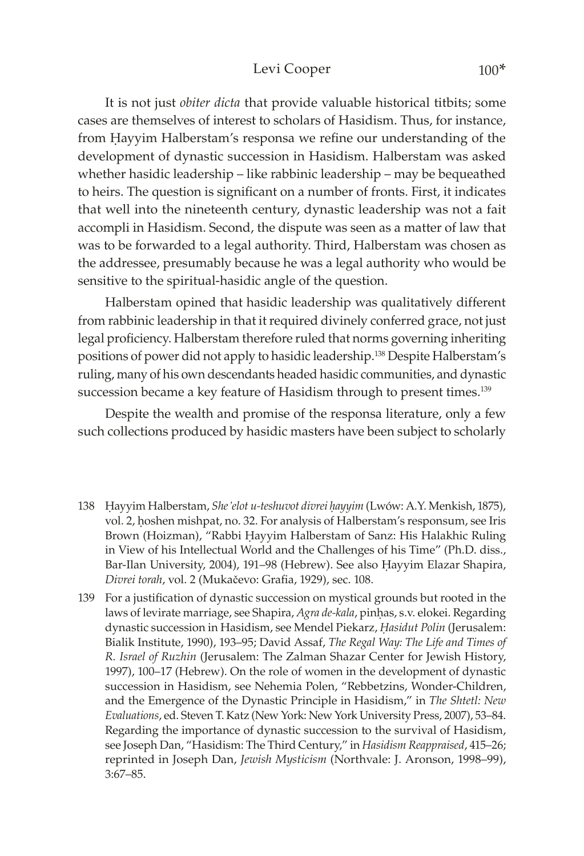#### Levi Cooper 100\*

It is not just *obiter dicta* that provide valuable historical titbits; some cases are themselves of interest to scholars of Hasidism. Thus, for instance, from Hayyim Halberstam's responsa we refine our understanding of the development of dynastic succession in Hasidism. Halberstam was asked whether hasidic leadership – like rabbinic leadership – may be bequeathed to heirs. The question is significant on a number of fronts. First, it indicates that well into the nineteenth century, dynastic leadership was not a fait accompli in Hasidism. Second, the dispute was seen as a matter of law that was to be forwarded to a legal authority. Third, Halberstam was chosen as the addressee, presumably because he was a legal authority who would be sensitive to the spiritual-hasidic angle of the question.

Halberstam opined that hasidic leadership was qualitatively different from rabbinic leadership in that it required divinely conferred grace, not just legal proficiency. Halberstam therefore ruled that norms governing inheriting positions of power did not apply to hasidic leadership.<sup>138</sup> Despite Halberstam's ruling, many of his own descendants headed hasidic communities, and dynastic succession became a key feature of Hasidism through to present times.<sup>139</sup>

Despite the wealth and promise of the responsa literature, only a few such collections produced by hasidic masters have been subject to scholarly

- 138 Êayyim Halberstam, *She'elot u-teshuvot divrei êayyim* (Lwów: A.Y. Menkish, 1875), vol. 2, hoshen mishpat, no. 32. For analysis of Halberstam's responsum, see Iris Brown (Hoizman), "Rabbi Hayyim Halberstam of Sanz: His Halakhic Ruling in View of his Intellectual World and the Challenges of his Time" (Ph.D. diss., Bar-Ilan University, 2004), 191-98 (Hebrew). See also Hayyim Elazar Shapira, *Divrei torah*, vol. 2 (Mukačevo: Grafia, 1929), sec. 108.
- 139 For a justification of dynastic succession on mystical grounds but rooted in the laws of levirate marriage, see Shapira, *Agra de-kala*, pinhas, s.v. elokei. Regarding dynastic succession in Hasidism, see Mendel Piekarz, *Êasidut Polin* (Jerusalem: Bialik Institute, 1990), 193–95; David Assaf, *The Regal Way: The Life and Times of R. Israel of Ruzhin* (Jerusalem: The Zalman Shazar Center for Jewish History, 1997), 100–17 (Hebrew). On the role of women in the development of dynastic succession in Hasidism, see Nehemia Polen, "Rebbetzins, Wonder-Children, and the Emergence of the Dynastic Principle in Hasidism," in *The Shtetl: New Evaluations*, ed. Steven T. Katz (New York: New York University Press, 2007), 53–84. Regarding the importance of dynastic succession to the survival of Hasidism, see Joseph Dan, "Hasidism: The Third Century," in *Hasidism Reappraised*, 415–26; reprinted in Joseph Dan, *Jewish Mysticism* (Northvale: J. Aronson, 1998–99), 3:67–85.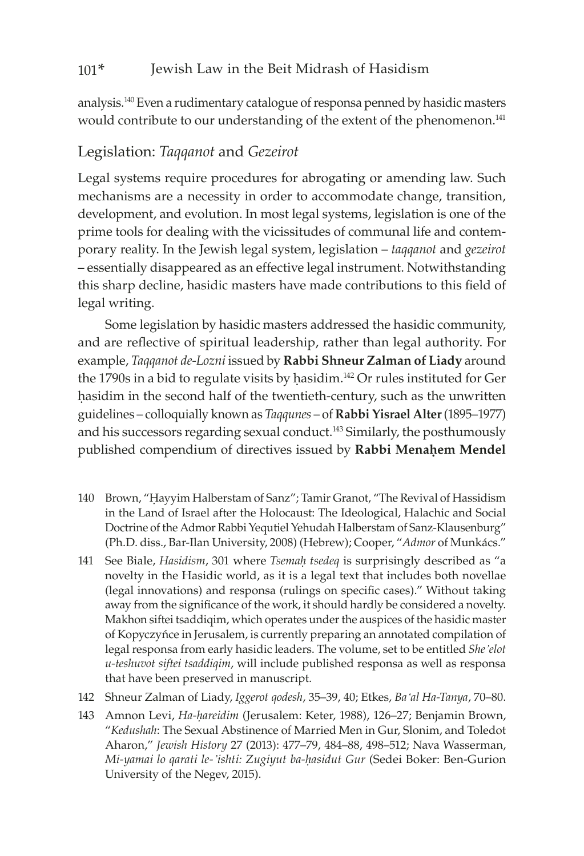## 101\* Jewish Law in the Beit Midrash of Hasidism

analysis.140 Even a rudimentary catalogue of responsa penned by hasidic masters would contribute to our understanding of the extent of the phenomenon.<sup>141</sup>

## Legislation: *Taqqanot* and *Gezeirot*

Legal systems require procedures for abrogating or amending law. Such mechanisms are a necessity in order to accommodate change, transition, development, and evolution. In most legal systems, legislation is one of the prime tools for dealing with the vicissitudes of communal life and contemporary reality. In the Jewish legal system, legislation – *taqqanot* and *gezeirot*  – essentially disappeared as an effective legal instrument. Notwithstanding this sharp decline, hasidic masters have made contributions to this field of legal writing.

Some legislation by hasidic masters addressed the hasidic community, and are reflective of spiritual leadership, rather than legal authority. For example, *Taqqanot de-Lozni* issued by **Rabbi Shneur Zalman of Liady** around the 1790s in a bid to regulate visits by hasidim.<sup>142</sup> Or rules instituted for Ger hasidim in the second half of the twentieth-century, such as the unwritten guidelines – colloquially known as *Taqqunes* – of **Rabbi Yisrael Alter** (1895–1977) and his successors regarding sexual conduct.<sup>143</sup> Similarly, the posthumously published compendium of directives issued by Rabbi Menahem Mendel

- 140 Brown, "Hayyim Halberstam of Sanz"; Tamir Granot, "The Revival of Hassidism in the Land of Israel after the Holocaust: The Ideological, Halachic and Social Doctrine of the Admor Rabbi Yequtiel Yehudah Halberstam of Sanz-Klausenburg" (Ph.D. diss., Bar-Ilan University, 2008) (Hebrew); Cooper, "*Admor* of Munkács."
- 141 See Biale, *Hasidism*, 301 where *Tsemaê tsedeq* is surprisingly described as "a novelty in the Hasidic world, as it is a legal text that includes both novellae (legal innovations) and responsa (rulings on specific cases)." Without taking away from the significance of the work, it should hardly be considered a novelty. Makhon siftei tsaddiqim, which operates under the auspices of the hasidic master of Kopyczyńce in Jerusalem, is currently preparing an annotated compilation of legal responsa from early hasidic leaders. The volume, set to be entitled *She'elot u-teshuvot siftei tsaddiqim*, will include published responsa as well as responsa that have been preserved in manuscript.
- 142 Shneur Zalman of Liady, *Iggerot qodesh*, 35–39, 40; Etkes, *Ba'al Ha-Tanya*, 70–80.
- 143 Amnon Levi, *Ha-hareidim* (Jerusalem: Keter, 1988), 126–27; Benjamin Brown, "*Kedushah*: The Sexual Abstinence of Married Men in Gur, Slonim, and Toledot Aharon," *Jewish History* 27 (2013): 477–79, 484–88, 498–512; Nava Wasserman, *Mi-yamai lo qarati le-'ishti: Zugiyut ba-êasidut Gur* (Sedei Boker: Ben-Gurion University of the Negev, 2015).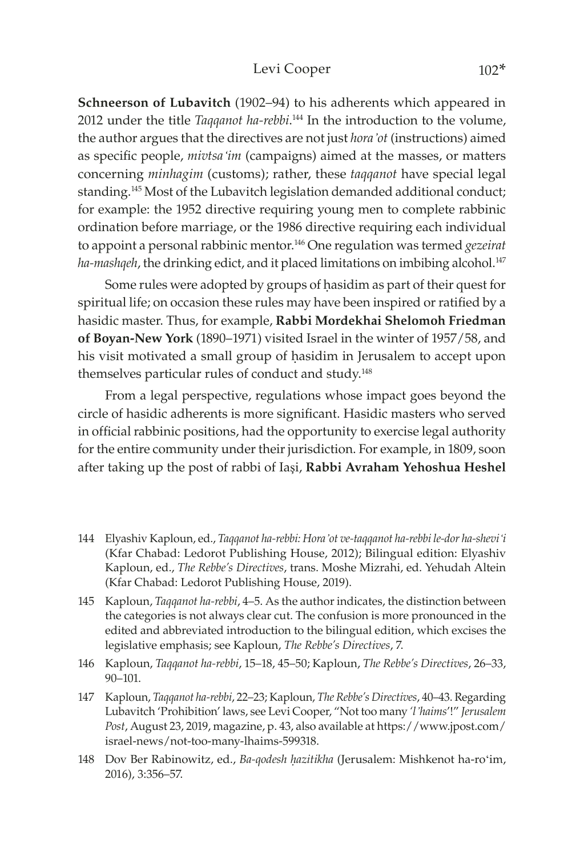#### Levi Cooper 102\*

**Schneerson of Lubavitch** (1902–94) to his adherents which appeared in 2012 under the title *Taqqanot ha-rebbi*. 144 In the introduction to the volume, the author argues that the directives are not just *hora'ot* (instructions) aimed as specific people, *mivtsa'im* (campaigns) aimed at the masses, or matters concerning *minhagim* (customs); rather, these *taqqanot* have special legal standing.<sup>145</sup> Most of the Lubavitch legislation demanded additional conduct; for example: the 1952 directive requiring young men to complete rabbinic ordination before marriage, or the 1986 directive requiring each individual to appoint a personal rabbinic mentor.146 One regulation was termed *gezeirat*  ha-mashqeh, the drinking edict, and it placed limitations on imbibing alcohol.<sup>147</sup>

Some rules were adopted by groups of hasidim as part of their quest for spiritual life; on occasion these rules may have been inspired or ratified by a hasidic master. Thus, for example, **Rabbi Mordekhai Shelomoh Friedman of Boyan-New York** (1890–1971) visited Israel in the winter of 1957/58, and his visit motivated a small group of hasidim in Jerusalem to accept upon themselves particular rules of conduct and study.<sup>148</sup>

From a legal perspective, regulations whose impact goes beyond the circle of hasidic adherents is more significant. Hasidic masters who served in official rabbinic positions, had the opportunity to exercise legal authority for the entire community under their jurisdiction. For example, in 1809, soon after taking up the post of rabbi of Iaşi, **Rabbi Avraham Yehoshua Heshel** 

- 144 Elyashiv Kaploun, ed., *Taqqanot ha-rebbi: Hora'ot ve-taqqanot ha-rebbi le-dor ha-shevi'i*  (Kfar Chabad: Ledorot Publishing House, 2012); Bilingual edition: Elyashiv Kaploun, ed., *The Rebbe's Directives*, trans. Moshe Mizrahi, ed. Yehudah Altein (Kfar Chabad: Ledorot Publishing House, 2019).
- 145 Kaploun, *Taqqanot ha-rebbi*, 4–5. As the author indicates, the distinction between the categories is not always clear cut. The confusion is more pronounced in the edited and abbreviated introduction to the bilingual edition, which excises the legislative emphasis; see Kaploun, *The Rebbe's Directives*, 7.
- 146 Kaploun, *Taqqanot ha-rebbi*, 15–18, 45–50; Kaploun, *The Rebbe's Directives*, 26–33, 90–101.
- 147 Kaploun, *Taqqanot ha-rebbi*, 22–23; Kaploun, *The Rebbe's Directives*, 40–43. Regarding Lubavitch 'Prohibition' laws, see Levi Cooper, "Not too many *'l'haims*'!" *Jerusalem Post*, August 23, 2019, magazine, p. 43, also available at https://www.jpost.com/ israel-news/not-too-many-lhaims-599318.
- 148 Dov Ber Rabinowitz, ed., *Ba-qodesh hazitikha* (Jerusalem: Mishkenot ha-ro'im, 2016), 3:356–57.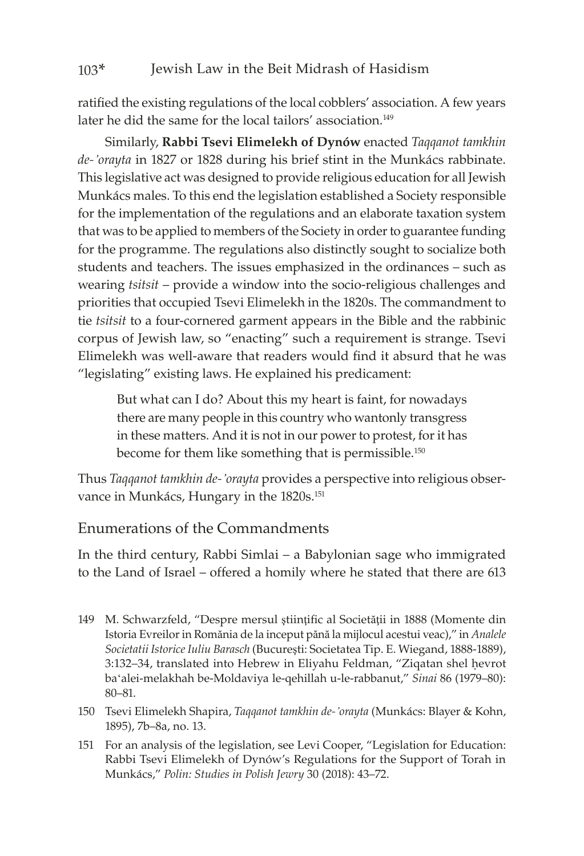## 103\* Jewish Law in the Beit Midrash of Hasidism

ratified the existing regulations of the local cobblers' association. A few years later he did the same for the local tailors' association.<sup>149</sup>

Similarly, **Rabbi Tsevi Elimelekh of Dynów** enacted *Taqqanot tamkhin de-'orayta* in 1827 or 1828 during his brief stint in the Munkács rabbinate. This legislative act was designed to provide religious education for all Jewish Munkács males. To this end the legislation established a Society responsible for the implementation of the regulations and an elaborate taxation system that was to be applied to members of the Society in order to guarantee funding for the programme. The regulations also distinctly sought to socialize both students and teachers. The issues emphasized in the ordinances – such as wearing *tsitsit* – provide a window into the socio-religious challenges and priorities that occupied Tsevi Elimelekh in the 1820s. The commandment to tie *tsitsit* to a four-cornered garment appears in the Bible and the rabbinic corpus of Jewish law, so "enacting" such a requirement is strange. Tsevi Elimelekh was well-aware that readers would find it absurd that he was "legislating" existing laws. He explained his predicament:

But what can I do? About this my heart is faint, for nowadays there are many people in this country who wantonly transgress in these matters. And it is not in our power to protest, for it has become for them like something that is permissible.<sup>150</sup>

Thus *Taqqanot tamkhin de-'orayta* provides a perspective into religious observance in Munkács, Hungary in the 1820s.<sup>151</sup>

## Enumerations of the Commandments

In the third century, Rabbi Simlai – a Babylonian sage who immigrated to the Land of Israel – offered a homily where he stated that there are 613

- 149 M. Schwarzfeld, "Despre mersul ştiinţific al Societăţii in 1888 (Momente din Istoria Evreilor in Romănia de la inceput pănă la mijlocul acestui veac)," in *Analele Societatii Istorice Iuliu Barasch* (Bucureşti: Societatea Tip. E. Wiegand, 1888-1889), 3:132-34, translated into Hebrew in Eliyahu Feldman, "Ziqatan shel hevrot ba'alei-melakhah be-Moldaviya le-qehillah u-le-rabbanut," *Sinai* 86 (1979–80): 80–81.
- 150 Tsevi Elimelekh Shapira, *Taqqanot tamkhin de-'orayta* (Munkács: Blayer & Kohn, 1895), 7b–8a, no. 13.
- 151 For an analysis of the legislation, see Levi Cooper, "Legislation for Education: Rabbi Tsevi Elimelekh of Dynów's Regulations for the Support of Torah in Munkács," *Polin: Studies in Polish Jewry* 30 (2018): 43–72.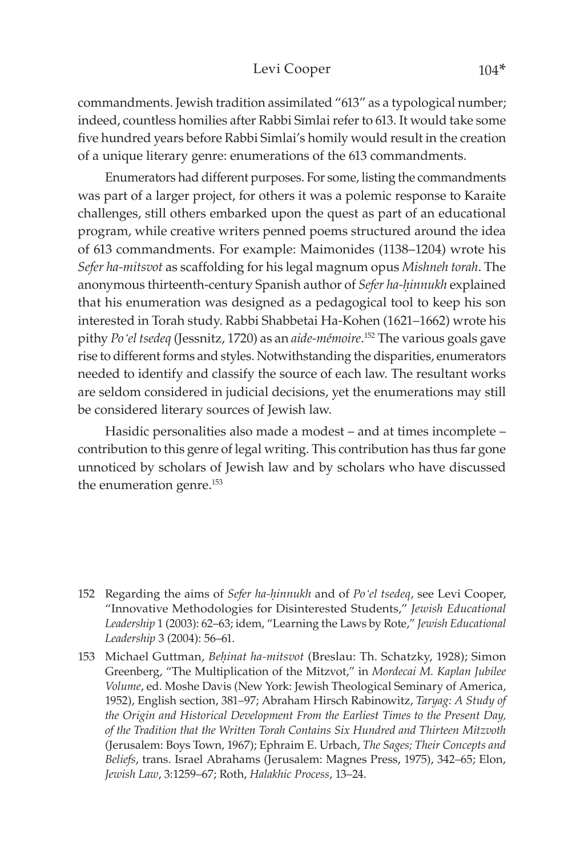#### Levi Cooper 104\*

commandments. Jewish tradition assimilated "613" as a typological number; indeed, countless homilies after Rabbi Simlai refer to 613. It would take some five hundred years before Rabbi Simlai's homily would result in the creation of a unique literary genre: enumerations of the 613 commandments.

Enumerators had different purposes. For some, listing the commandments was part of a larger project, for others it was a polemic response to Karaite challenges, still others embarked upon the quest as part of an educational program, while creative writers penned poems structured around the idea of 613 commandments. For example: Maimonides (1138–1204) wrote his *Sefer ha-mitsvot* as scaffolding for his legal magnum opus *Mishneh torah*. The anonymous thirteenth-century Spanish author of *Sefer ha-êinnukh* explained that his enumeration was designed as a pedagogical tool to keep his son interested in Torah study. Rabbi Shabbetai Ha-Kohen (1621–1662) wrote his pithy *Po'el tsedeq* (Jessnitz, 1720) as an *aide-mémoire*. 152 The various goals gave rise to different forms and styles. Notwithstanding the disparities, enumerators needed to identify and classify the source of each law. The resultant works are seldom considered in judicial decisions, yet the enumerations may still be considered literary sources of Jewish law.

Hasidic personalities also made a modest – and at times incomplete – contribution to this genre of legal writing. This contribution has thus far gone unnoticed by scholars of Jewish law and by scholars who have discussed the enumeration genre.<sup>153</sup>

<sup>152</sup> Regarding the aims of *Sefer ha-êinnukh* and of *Po'el tsedeq*, see Levi Cooper, "Innovative Methodologies for Disinterested Students," *Jewish Educational Leadership* 1 (2003): 62–63; idem, "Learning the Laws by Rote," *Jewish Educational Leadership* 3 (2004): 56–61.

<sup>153</sup> Michael Guttman, *Behinat ha-mitsvot* (Breslau: Th. Schatzky, 1928); Simon Greenberg, "The Multiplication of the Mitzvot," in *Mordecai M. Kaplan Jubilee Volume*, ed. Moshe Davis (New York: Jewish Theological Seminary of America, 1952), English section, 381–97; Abraham Hirsch Rabinowitz, *Taryag: A Study of the Origin and Historical Development From the Earliest Times to the Present Day, of the Tradition that the Written Torah Contains Six Hundred and Thirteen Mitzvoth* (Jerusalem: Boys Town, 1967); Ephraim E. Urbach, *The Sages; Their Concepts and Beliefs*, trans. Israel Abrahams (Jerusalem: Magnes Press, 1975), 342–65; Elon, *Jewish Law*, 3:1259–67; Roth, *Halakhic Process*, 13–24.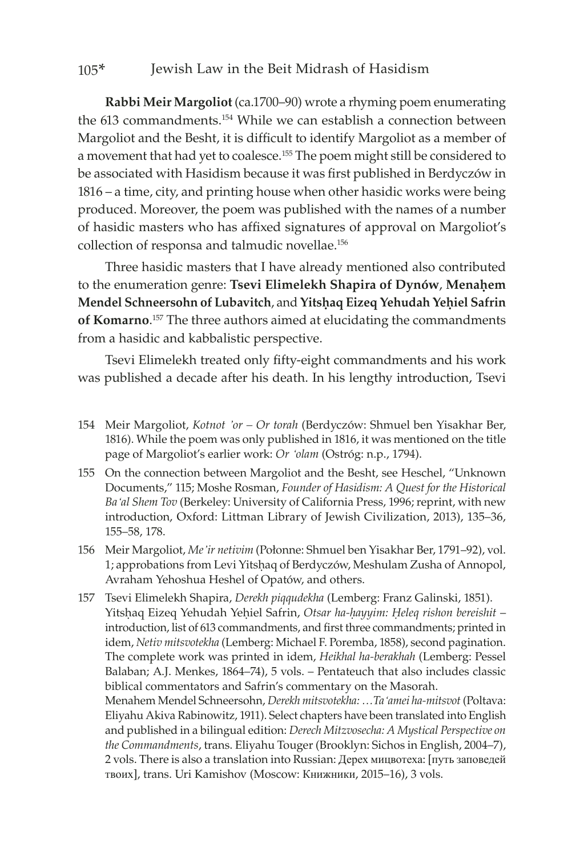#### 105\* Jewish Law in the Beit Midrash of Hasidism

**Rabbi Meir Margoliot** (ca.1700–90) wrote a rhyming poem enumerating the 613 commandments.<sup>154</sup> While we can establish a connection between Margoliot and the Besht, it is difficult to identify Margoliot as a member of a movement that had yet to coalesce.155 The poem might still be considered to be associated with Hasidism because it was first published in Berdyczów in 1816 – a time, city, and printing house when other hasidic works were being produced. Moreover, the poem was published with the names of a number of hasidic masters who has affixed signatures of approval on Margoliot's collection of responsa and talmudic novellae.156

Three hasidic masters that I have already mentioned also contributed to the enumeration genre: Tsevi Elimelekh Shapira of Dynów, Menahem **Mendel Schneersohn of Lubavitch**, and Yitshaq Eizeq Yehudah Yehiel Safrin **of Komarno**. 157 The three authors aimed at elucidating the commandments from a hasidic and kabbalistic perspective.

Tsevi Elimelekh treated only fifty-eight commandments and his work was published a decade after his death. In his lengthy introduction, Tsevi

- 154 Meir Margoliot, *Kotnot 'or Or torah* (Berdyczów: Shmuel ben Yisakhar Ber, 1816). While the poem was only published in 1816, it was mentioned on the title page of Margoliot's earlier work: *Or 'olam* (Ostróg: n.p., 1794).
- 155 On the connection between Margoliot and the Besht, see Heschel, "Unknown Documents," 115; Moshe Rosman, *Founder of Hasidism: A Quest for the Historical Ba'al Shem Tov* (Berkeley: University of California Press, 1996; reprint, with new introduction, Oxford: Littman Library of Jewish Civilization, 2013), 135–36, 155–58, 178.
- 156 Meir Margoliot, *Me'ir netivim* (Połonne: Shmuel ben Yisakhar Ber, 1791–92), vol. 1; approbations from Levi Yitshaq of Berdyczów, Meshulam Zusha of Annopol, Avraham Yehoshua Heshel of Opatów, and others.
- 157 Tsevi Elimelekh Shapira, *Derekh piqqudekha* (Lemberg: Franz Galinski, 1851). Yitshaq Eizeq Yehudah Yehiel Safrin, Otsar ha-hayyim: Heleq rishon bereishit – introduction, list of 613 commandments, and first three commandments; printed in idem, *Netiv mitsvotekha* (Lemberg: Michael F. Poremba, 1858), second pagination. The complete work was printed in idem, *Heikhal ha-berakhah* (Lemberg: Pessel Balaban; A.J. Menkes, 1864–74), 5 vols. – Pentateuch that also includes classic biblical commentators and Safrin's commentary on the Masorah. Menahem Mendel Schneersohn, *Derekh mitsvotekha: …Ta'amei ha-mitsvot* (Poltava: Eliyahu Akiva Rabinowitz, 1911). Select chapters have been translated into English and published in a bilingual edition: *Derech Mitzvosecha: A Mystical Perspective on the Commandments*, trans. Eliyahu Touger (Brooklyn: Sichos in English, 2004–7), 2 vols. There is also a translation into Russian: Дерех мицвотеха: [путь заповедей твоих], trans. Uri Kamishov (Moscow: Книжники, 2015–16), 3 vols.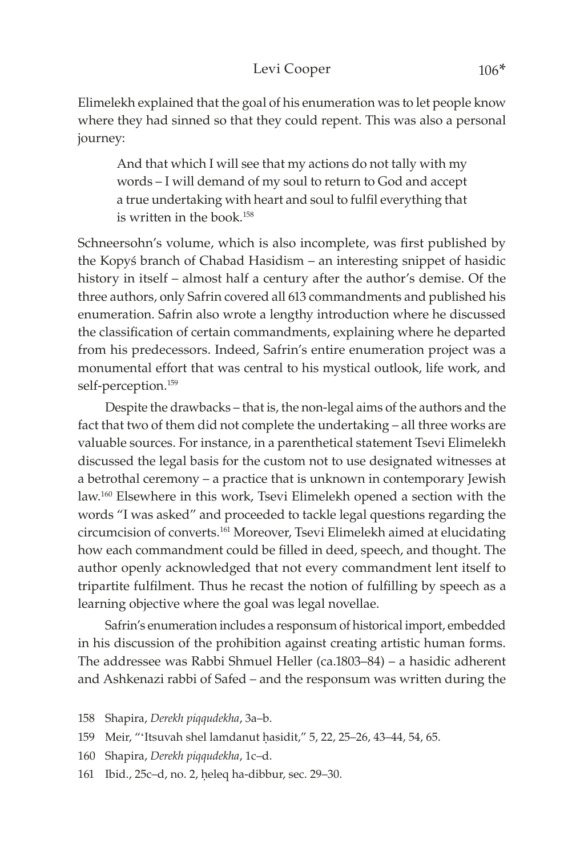#### Levi Cooper 106\*

Elimelekh explained that the goal of his enumeration was to let people know where they had sinned so that they could repent. This was also a personal journey:

And that which I will see that my actions do not tally with my words – I will demand of my soul to return to God and accept a true undertaking with heart and soul to fulfil everything that is written in the book.<sup>158</sup>

Schneersohn's volume, which is also incomplete, was first published by the Kopyś branch of Chabad Hasidism – an interesting snippet of hasidic history in itself – almost half a century after the author's demise. Of the three authors, only Safrin covered all 613 commandments and published his enumeration. Safrin also wrote a lengthy introduction where he discussed the classification of certain commandments, explaining where he departed from his predecessors. Indeed, Safrin's entire enumeration project was a monumental effort that was central to his mystical outlook, life work, and self-perception.<sup>159</sup>

Despite the drawbacks – that is, the non-legal aims of the authors and the fact that two of them did not complete the undertaking – all three works are valuable sources. For instance, in a parenthetical statement Tsevi Elimelekh discussed the legal basis for the custom not to use designated witnesses at a betrothal ceremony – a practice that is unknown in contemporary Jewish law.160 Elsewhere in this work, Tsevi Elimelekh opened a section with the words "I was asked" and proceeded to tackle legal questions regarding the circumcision of converts.161 Moreover, Tsevi Elimelekh aimed at elucidating how each commandment could be filled in deed, speech, and thought. The author openly acknowledged that not every commandment lent itself to tripartite fulfilment. Thus he recast the notion of fulfilling by speech as a learning objective where the goal was legal novellae.

Safrin's enumeration includes a responsum of historical import, embedded in his discussion of the prohibition against creating artistic human forms. The addressee was Rabbi Shmuel Heller (ca.1803–84) – a hasidic adherent and Ashkenazi rabbi of Safed – and the responsum was written during the

- 159 Meir, "'Itsuvah shel lamdanut hasidit," 5, 22, 25–26, 43–44, 54, 65.
- 160 Shapira, *Derekh piqqudekha*, 1c–d.
- 161 Ibid., 25c-d, no. 2, heleq ha-dibbur, sec. 29-30.

<sup>158</sup> Shapira, *Derekh piqqudekha*, 3a–b.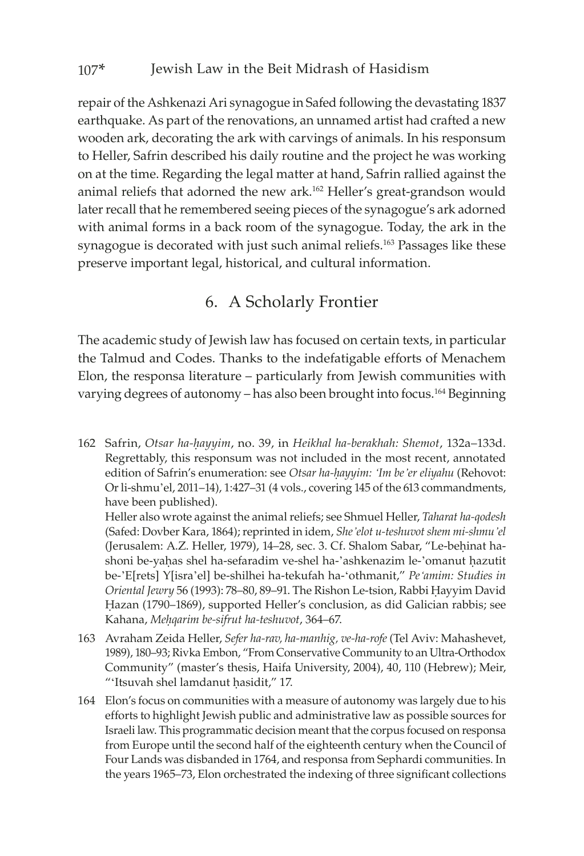repair of the Ashkenazi Ari synagogue in Safed following the devastating 1837 earthquake. As part of the renovations, an unnamed artist had crafted a new wooden ark, decorating the ark with carvings of animals. In his responsum to Heller, Safrin described his daily routine and the project he was working on at the time. Regarding the legal matter at hand, Safrin rallied against the animal reliefs that adorned the new ark.162 Heller's great-grandson would later recall that he remembered seeing pieces of the synagogue's ark adorned with animal forms in a back room of the synagogue. Today, the ark in the synagogue is decorated with just such animal reliefs.<sup>163</sup> Passages like these preserve important legal, historical, and cultural information.

## 6. A Scholarly Frontier

The academic study of Jewish law has focused on certain texts, in particular the Talmud and Codes. Thanks to the indefatigable efforts of Menachem Elon, the responsa literature – particularly from Jewish communities with varying degrees of autonomy – has also been brought into focus.164 Beginning

162 Safrin, *Otsar ha-êayyim*, no. 39, in *Heikhal ha-berakhah: Shemot*, 132a–133d. Regrettably, this responsum was not included in the most recent, annotated edition of Safrin's enumeration: see Otsar ha-hayyim: 'Im be'er eliyahu (Rehovot: Or li-shmu'el, 2011–14), 1:427–31 (4 vols., covering 145 of the 613 commandments, have been published).

Heller also wrote against the animal reliefs; see Shmuel Heller, *Taharat ha-qodesh* (Safed: Dovber Kara, 1864); reprinted in idem, *She'elot u-teshuvot shem mi-shmu'el* (Jerusalem: A.Z. Heller, 1979), 14–28, sec. 3. Cf. Shalom Sabar, "Le-behinat hashoni be-yaḥas shel ha-sefaradim ve-shel ha-'ashkenazim le-'omanut ḥazutit be-'E[rets] Y[isra'el] be-shilhei ha-tekufah ha-'othmanit," *Pe'amim: Studies in Oriental Jewry* 56 (1993): 78–80, 89–91. The Rishon Le-tsion, Rabbi Êayyim David Êazan (1790–1869), supported Heller's conclusion, as did Galician rabbis; see Kahana, *Meêqarim be-sifrut ha-teshuvot*, 364–67.

- 163 Avraham Zeida Heller, *Sefer ha-rav, ha-manhig, ve-ha-rofe* (Tel Aviv: Mahashevet, 1989), 180–93; Rivka Embon, "From Conservative Community to an Ultra-Orthodox Community" (master's thesis, Haifa University, 2004), 40, 110 (Hebrew); Meir, "'Itsuvah shel lamdanut hasidit," 17.
- 164 Elon's focus on communities with a measure of autonomy was largely due to his efforts to highlight Jewish public and administrative law as possible sources for Israeli law. This programmatic decision meant that the corpus focused on responsa from Europe until the second half of the eighteenth century when the Council of Four Lands was disbanded in 1764, and responsa from Sephardi communities. In the years 1965–73, Elon orchestrated the indexing of three significant collections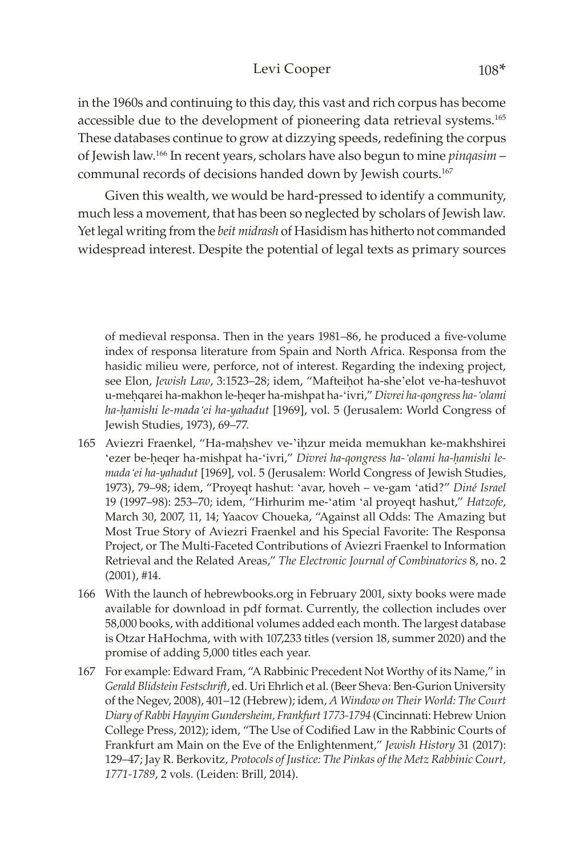### Levi Cooper 108\*

in the 1960s and continuing to this day, this vast and rich corpus has become accessible due to the development of pioneering data retrieval systems.<sup>165</sup> These databases continue to grow at dizzying speeds, redefining the corpus of Jewish law.166 In recent years, scholars have also begun to mine *pinqasim* – communal records of decisions handed down by Jewish courts.167

Given this wealth, we would be hard-pressed to identify a community, much less a movement, that has been so neglected by scholars of Jewish law. Yet legal writing from the *beit midrash* of Hasidism has hitherto not commanded widespread interest. Despite the potential of legal texts as primary sources

of medieval responsa. Then in the years 1981–86, he produced a five-volume index of responsa literature from Spain and North Africa. Responsa from the hasidic milieu were, perforce, not of interest. Regarding the indexing project, see Elon, *Jewish Law*, 3:1523-28; idem, "Mafteihot ha-she'elot ve-ha-teshuvot u-meêqarei ha-makhon le-êeqer ha-mishpat ha-'ivri," *Divrei ha-qongress ha-'olami ha-êamishi le-mada'ei ha-yahadut* [1969], vol. 5 (Jerusalem: World Congress of Jewish Studies, 1973), 69–77.

- 165 Aviezri Fraenkel, "Ha-mahshev ve-'ihzur meida memukhan ke-makhshirei 'ezer be-heger ha-mishpat ha-'ivri," Divrei ha-gongress ha-'olami ha-hamishi le*mada'ei ha-yahadut* [1969], vol. 5 (Jerusalem: World Congress of Jewish Studies, 1973), 79–98; idem, "Proyeqt hashut: 'avar, hoveh – ve-gam 'atid?" *Diné Israel* 19 (1997–98): 253–70; idem, "Hirhurim me-'atim 'al proyeqt hashut," *Hatzofe*, March 30, 2007, 11, 14; Yaacov Choueka, "Against all Odds: The Amazing but Most True Story of Aviezri Fraenkel and his Special Favorite: The Responsa Project, or The Multi-Faceted Contributions of Aviezri Fraenkel to Information Retrieval and the Related Areas," *The Electronic Journal of Combinatorics* 8, no. 2 (2001), #14.
- 166 With the launch of hebrewbooks.org in February 2001, sixty books were made available for download in pdf format. Currently, the collection includes over 58,000 books, with additional volumes added each month. The largest database is Otzar HaHochma, with with 107,233 titles (version 18, summer 2020) and the promise of adding 5,000 titles each year.
- 167 For example: Edward Fram, "A Rabbinic Precedent Not Worthy of its Name," in *Gerald Blidstein Festschrift*, ed. Uri Ehrlich et al. (Beer Sheva: Ben-Gurion University of the Negev, 2008), 401–12 (Hebrew); idem, *A Window on Their World: The Court Diary of Rabbi Hayyim Gundersheim, Frankfurt 1773-1794* (Cincinnati: Hebrew Union College Press, 2012); idem, "The Use of Codified Law in the Rabbinic Courts of Frankfurt am Main on the Eve of the Enlightenment," *Jewish History* 31 (2017): 129–47; Jay R. Berkovitz, *Protocols of Justice: The Pinkas of the Metz Rabbinic Court, 1771-1789*, 2 vols. (Leiden: Brill, 2014).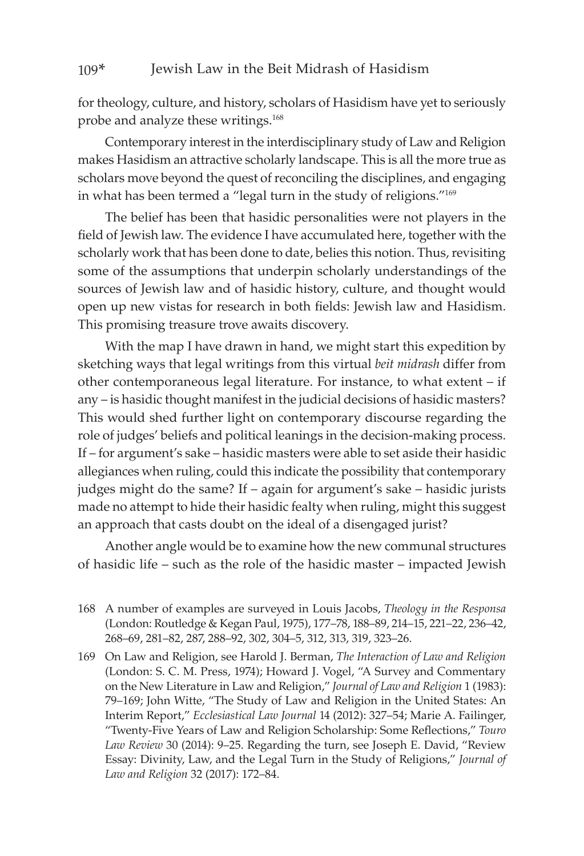#### 109\* Jewish Law in the Beit Midrash of Hasidism

for theology, culture, and history, scholars of Hasidism have yet to seriously probe and analyze these writings.<sup>168</sup>

Contemporary interest in the interdisciplinary study of Law and Religion makes Hasidism an attractive scholarly landscape. This is all the more true as scholars move beyond the quest of reconciling the disciplines, and engaging in what has been termed a "legal turn in the study of religions."<sup>169</sup>

The belief has been that hasidic personalities were not players in the field of Jewish law. The evidence I have accumulated here, together with the scholarly work that has been done to date, belies this notion. Thus, revisiting some of the assumptions that underpin scholarly understandings of the sources of Jewish law and of hasidic history, culture, and thought would open up new vistas for research in both fields: Jewish law and Hasidism. This promising treasure trove awaits discovery.

With the map I have drawn in hand, we might start this expedition by sketching ways that legal writings from this virtual *beit midrash* differ from other contemporaneous legal literature. For instance, to what extent – if any – is hasidic thought manifest in the judicial decisions of hasidic masters? This would shed further light on contemporary discourse regarding the role of judges' beliefs and political leanings in the decision-making process. If – for argument's sake – hasidic masters were able to set aside their hasidic allegiances when ruling, could this indicate the possibility that contemporary judges might do the same? If – again for argument's sake – hasidic jurists made no attempt to hide their hasidic fealty when ruling, might this suggest an approach that casts doubt on the ideal of a disengaged jurist?

Another angle would be to examine how the new communal structures of hasidic life – such as the role of the hasidic master – impacted Jewish

- 168 A number of examples are surveyed in Louis Jacobs, *Theology in the Responsa* (London: Routledge & Kegan Paul, 1975), 177–78, 188–89, 214–15, 221–22, 236–42, 268–69, 281–82, 287, 288–92, 302, 304–5, 312, 313, 319, 323–26.
- 169 On Law and Religion, see Harold J. Berman, *The Interaction of Law and Religion* (London: S. C. M. Press, 1974); Howard J. Vogel, "A Survey and Commentary on the New Literature in Law and Religion," *Journal of Law and Religion* 1 (1983): 79–169; John Witte, "The Study of Law and Religion in the United States: An Interim Report," *Ecclesiastical Law Journal* 14 (2012): 327–54; Marie A. Failinger, "Twenty-Five Years of Law and Religion Scholarship: Some Reflections," *Touro Law Review* 30 (2014): 9–25. Regarding the turn, see Joseph E. David, "Review Essay: Divinity, Law, and the Legal Turn in the Study of Religions," *Journal of Law and Religion* 32 (2017): 172–84.